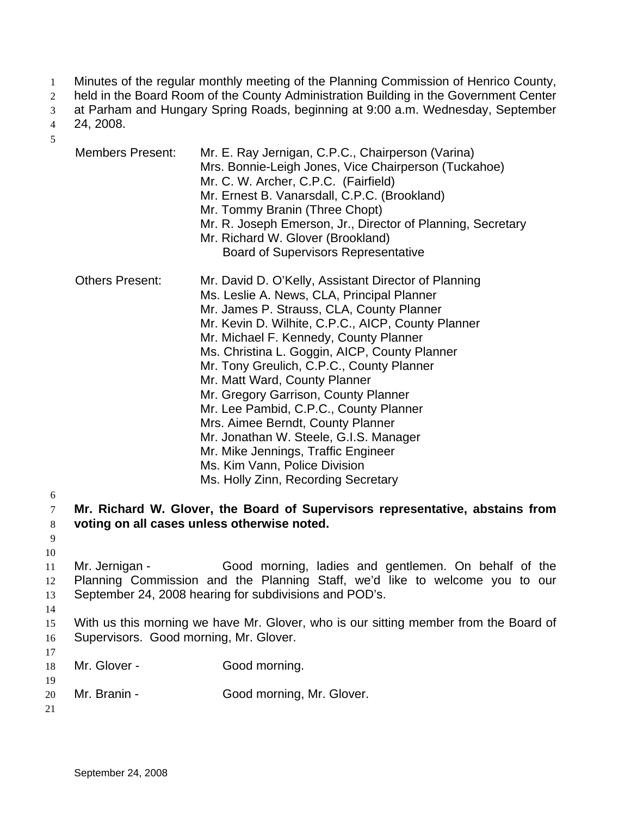- Minutes of the regular monthly meeting of the Planning Commission of Henrico County, 1
- held in the Board Room of the County Administration Building in the Government Center 2
- at Parham and Hungary Spring Roads, beginning at 9:00 a.m. Wednesday, September 3

24, 2008. 4

5

- Members Present: Mr. E. Ray Jernigan, C.P.C., Chairperson (Varina) Mrs. Bonnie-Leigh Jones, Vice Chairperson (Tuckahoe) Mr. C. W. Archer, C.P.C. (Fairfield) Mr. Ernest B. Vanarsdall, C.P.C. (Brookland) Mr. Tommy Branin (Three Chopt) Mr. R. Joseph Emerson, Jr., Director of Planning, Secretary Mr. Richard W. Glover (Brookland) Board of Supervisors Representative Others Present: Mr. David D. O'Kelly, Assistant Director of Planning Ms. Leslie A. News, CLA, Principal Planner Mr. James P. Strauss, CLA, County Planner Mr. Kevin D. Wilhite, C.P.C., AICP, County Planner Mr. Michael F. Kennedy, County Planner Ms. Christina L. Goggin, AICP, County Planner Mr. Tony Greulich, C.P.C., County Planner Mr. Matt Ward, County Planner Mr. Gregory Garrison, County Planner Mr. Lee Pambid, C.P.C., County Planner Mrs. Aimee Berndt, County Planner Mr. Jonathan W. Steele, G.I.S. Manager Mr. Mike Jennings, Traffic Engineer Ms. Kim Vann, Police Division Ms. Holly Zinn, Recording Secretary **Mr. Richard W. Glover, the Board of Supervisors representative, abstains from voting on all cases unless otherwise noted.**  Mr. Jernigan - Good morning, ladies and gentlemen. On behalf of the Planning Commission and the Planning Staff, we'd like to welcome you to our September 24, 2008 hearing for subdivisions and POD's. With us this morning we have Mr. Glover, who is our sitting member from the Board of
- 16 17 Supervisors. Good morning, Mr. Glover.

| 18 | Mr. Glover - | Good morning.             |
|----|--------------|---------------------------|
| 19 |              |                           |
| 20 | Mr. Branin - | Good morning, Mr. Glover. |

21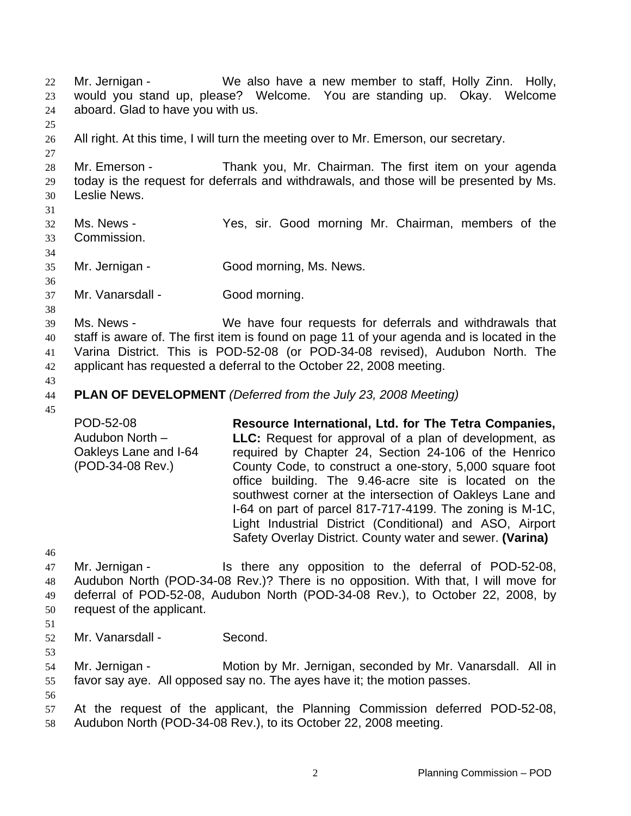Mr. Jernigan - We also have a new member to staff, Holly Zinn. Holly, would you stand up, please? Welcome. You are standing up. Okay. Welcome aboard. Glad to have you with us. 22 23 24 25 26 27 28 29 30 31 32 33 34 35 36 37 38 39 40 41 42 43 44 45 46 47 48 49 50 51 52 53 54 55 56 57 58 All right. At this time, I will turn the meeting over to Mr. Emerson, our secretary. Mr. Emerson - Thank you, Mr. Chairman. The first item on your agenda today is the request for deferrals and withdrawals, and those will be presented by Ms. Leslie News. Ms. News - The Yes, sir. Good morning Mr. Chairman, members of the Commission. Mr. Jernigan - Good morning, Ms. News. Mr. Vanarsdall - Good morning. Ms. News - We have four requests for deferrals and withdrawals that staff is aware of. The first item is found on page 11 of your agenda and is located in the Varina District. This is POD-52-08 (or POD-34-08 revised), Audubon North. The applicant has requested a deferral to the October 22, 2008 meeting. **PLAN OF DEVELOPMENT** *(Deferred from the July 23, 2008 Meeting)*  POD-52-08 Audubon North – Oakleys Lane and I-64 (POD-34-08 Rev.) **Resource International, Ltd. for The Tetra Companies, LLC:** Request for approval of a plan of development, as required by Chapter 24, Section 24-106 of the Henrico County Code, to construct a one-story, 5,000 square foot office building. The 9.46-acre site is located on the southwest corner at the intersection of Oakleys Lane and I-64 on part of parcel 817-717-4199. The zoning is M-1C, Light Industrial District (Conditional) and ASO, Airport Safety Overlay District. County water and sewer. **(Varina)**  Mr. Jernigan - Is there any opposition to the deferral of POD-52-08, Audubon North (POD-34-08 Rev.)? There is no opposition. With that, I will move for deferral of POD-52-08, Audubon North (POD-34-08 Rev.), to October 22, 2008, by request of the applicant. Mr. Vanarsdall - Second. Mr. Jernigan - Motion by Mr. Jernigan, seconded by Mr. Vanarsdall. All in favor say aye. All opposed say no. The ayes have it; the motion passes. At the request of the applicant, the Planning Commission deferred POD-52-08, Audubon North (POD-34-08 Rev.), to its October 22, 2008 meeting.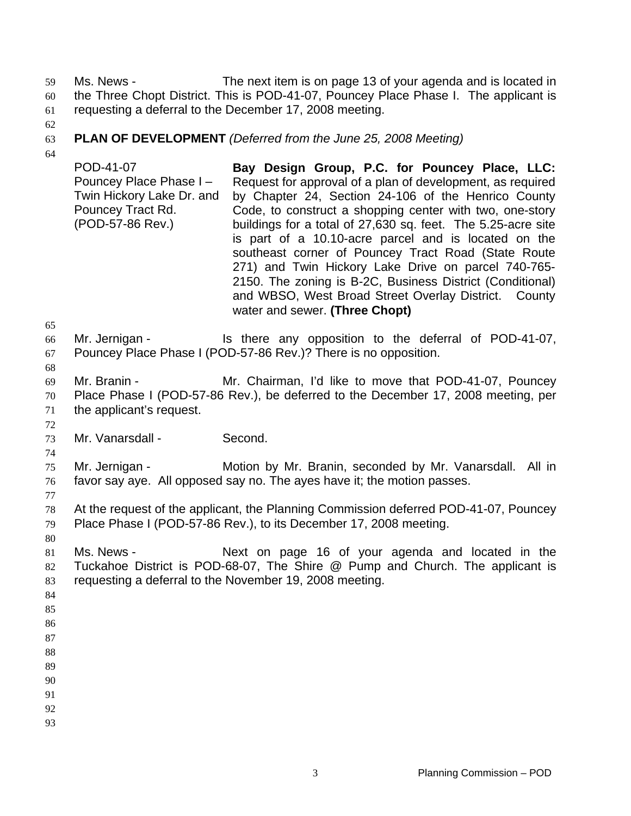Ms. News - The next item is on page 13 of your agenda and is located in the Three Chopt District. This is POD-41-07, Pouncey Place Phase I. The applicant is requesting a deferral to the December 17, 2008 meeting. 59 60 61

62

#### 63 **PLAN OF DEVELOPMENT** *(Deferred from the June 25, 2008 Meeting)*

64

POD-41-07 Pouncey Place Phase I – Twin Hickory Lake Dr. and Pouncey Tract Rd. (POD-57-86 Rev.) **Bay Design Group, P.C. for Pouncey Place, LLC:**  Request for approval of a plan of development, as required by Chapter 24, Section 24-106 of the Henrico County Code, to construct a shopping center with two, one-story buildings for a total of 27,630 sq. feet. The 5.25-acre site is part of a 10.10-acre parcel and is located on the southeast corner of Pouncey Tract Road (State Route 271) and Twin Hickory Lake Drive on parcel 740-765- 2150. The zoning is B-2C, Business District (Conditional) and WBSO, West Broad Street Overlay District. County water and sewer. **(Three Chopt)** 

65

72

74

77

66 67 Mr. Jernigan - Is there any opposition to the deferral of POD-41-07, Pouncey Place Phase I (POD-57-86 Rev.)? There is no opposition.

68 69 70 71 Mr. Branin - **Mr. Chairman, I'd like to move that POD-41-07, Pouncey** Place Phase I (POD-57-86 Rev.), be deferred to the December 17, 2008 meeting, per the applicant's request.

73 Mr. Vanarsdall - Second.

75 76 Mr. Jernigan - **Motion by Mr. Branin, seconded by Mr. Vanarsdall.** All in favor say aye. All opposed say no. The ayes have it; the motion passes.

78 79 At the request of the applicant, the Planning Commission deferred POD-41-07, Pouncey Place Phase I (POD-57-86 Rev.), to its December 17, 2008 meeting.

80

81 82 83 Ms. News - The Mext on page 16 of your agenda and located in the Tuckahoe District is POD-68-07, The Shire @ Pump and Church. The applicant is requesting a deferral to the November 19, 2008 meeting.

- 84
- 85
- 86 87
- 88
- 89
- 90

- 92
- 93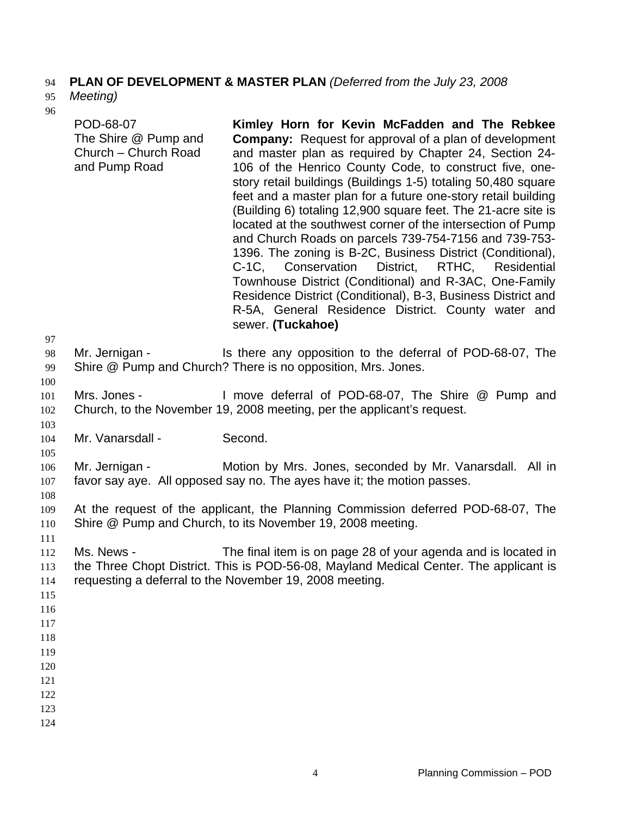#### **PLAN OF DEVELOPMENT & MASTER PLAN** *(Deferred from the July 23, 2008*  94

#### *Meeting)*  95

|                   | ٠                |
|-------------------|------------------|
|                   |                  |
| ×                 | ٦                |
| ×                 |                  |
|                   |                  |
| ٦<br>I<br>۰.<br>٠ | ı<br>٠<br>×<br>٠ |

| Y0                                                                        | POD-68-07<br>The Shire @ Pump and<br>Church - Church Road<br>and Pump Road | Kimley Horn for Kevin McFadden and The Rebkee<br><b>Company:</b> Request for approval of a plan of development<br>and master plan as required by Chapter 24, Section 24-<br>106 of the Henrico County Code, to construct five, one-<br>story retail buildings (Buildings 1-5) totaling 50,480 square<br>feet and a master plan for a future one-story retail building<br>(Building 6) totaling 12,900 square feet. The 21-acre site is<br>located at the southwest corner of the intersection of Pump<br>and Church Roads on parcels 739-754-7156 and 739-753-<br>1396. The zoning is B-2C, Business District (Conditional),<br>C-1C, Conservation District,<br>RTHC, Residential<br>Townhouse District (Conditional) and R-3AC, One-Family<br>Residence District (Conditional), B-3, Business District and<br>R-5A, General Residence District. County water and<br>sewer. (Tuckahoe) |
|---------------------------------------------------------------------------|----------------------------------------------------------------------------|----------------------------------------------------------------------------------------------------------------------------------------------------------------------------------------------------------------------------------------------------------------------------------------------------------------------------------------------------------------------------------------------------------------------------------------------------------------------------------------------------------------------------------------------------------------------------------------------------------------------------------------------------------------------------------------------------------------------------------------------------------------------------------------------------------------------------------------------------------------------------------------|
| 97<br>98<br>99                                                            | Mr. Jernigan -                                                             | Is there any opposition to the deferral of POD-68-07, The<br>Shire @ Pump and Church? There is no opposition, Mrs. Jones.                                                                                                                                                                                                                                                                                                                                                                                                                                                                                                                                                                                                                                                                                                                                                              |
| 100<br>101<br>102                                                         | Mrs. Jones -                                                               | I move deferral of POD-68-07, The Shire @ Pump and<br>Church, to the November 19, 2008 meeting, per the applicant's request.                                                                                                                                                                                                                                                                                                                                                                                                                                                                                                                                                                                                                                                                                                                                                           |
| 103<br>104                                                                | Mr. Vanarsdall -                                                           | Second.                                                                                                                                                                                                                                                                                                                                                                                                                                                                                                                                                                                                                                                                                                                                                                                                                                                                                |
| 105<br>106<br>$107\,$                                                     | Mr. Jernigan -                                                             | Motion by Mrs. Jones, seconded by Mr. Vanarsdall. All in<br>favor say aye. All opposed say no. The ayes have it; the motion passes.                                                                                                                                                                                                                                                                                                                                                                                                                                                                                                                                                                                                                                                                                                                                                    |
| 108<br>109<br>110                                                         |                                                                            | At the request of the applicant, the Planning Commission deferred POD-68-07, The<br>Shire @ Pump and Church, to its November 19, 2008 meeting.                                                                                                                                                                                                                                                                                                                                                                                                                                                                                                                                                                                                                                                                                                                                         |
| 111<br>112<br>113<br>114<br>115<br>116<br>117<br>118<br>119<br>120<br>121 | Ms. News -                                                                 | The final item is on page 28 of your agenda and is located in<br>the Three Chopt District. This is POD-56-08, Mayland Medical Center. The applicant is<br>requesting a deferral to the November 19, 2008 meeting.                                                                                                                                                                                                                                                                                                                                                                                                                                                                                                                                                                                                                                                                      |
| 122<br>123<br>124                                                         |                                                                            |                                                                                                                                                                                                                                                                                                                                                                                                                                                                                                                                                                                                                                                                                                                                                                                                                                                                                        |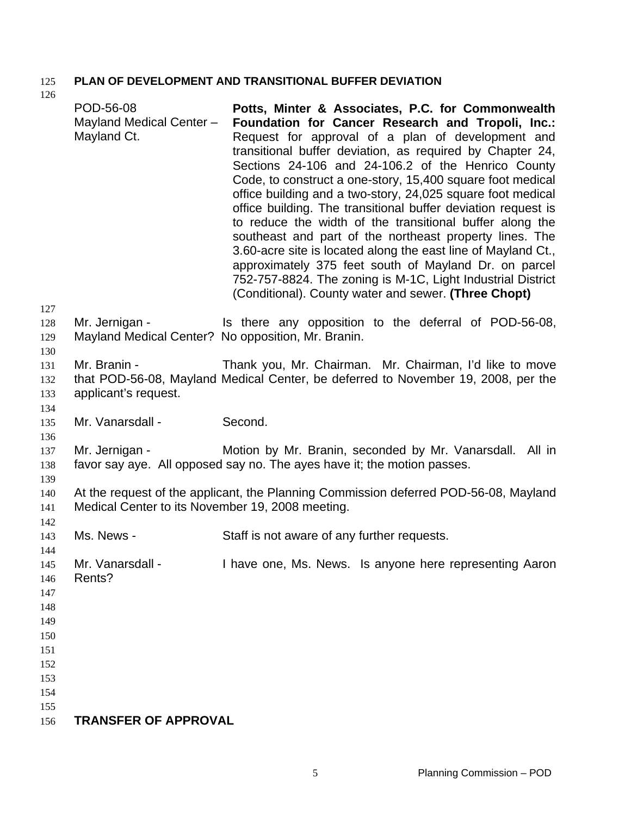### 125 **PLAN OF DEVELOPMENT AND TRANSITIONAL BUFFER DEVIATION**  126

|                                                      | POD-56-08<br>Mayland Medical Center -<br>Mayland Ct. | Potts, Minter & Associates, P.C. for Commonwealth<br>Foundation for Cancer Research and Tropoli, Inc.:<br>Request for approval of a plan of development and<br>transitional buffer deviation, as required by Chapter 24,<br>Sections 24-106 and 24-106.2 of the Henrico County<br>Code, to construct a one-story, 15,400 square foot medical<br>office building and a two-story, 24,025 square foot medical<br>office building. The transitional buffer deviation request is<br>to reduce the width of the transitional buffer along the<br>southeast and part of the northeast property lines. The<br>3.60-acre site is located along the east line of Mayland Ct.,<br>approximately 375 feet south of Mayland Dr. on parcel<br>752-757-8824. The zoning is M-1C, Light Industrial District<br>(Conditional). County water and sewer. (Three Chopt) |
|------------------------------------------------------|------------------------------------------------------|------------------------------------------------------------------------------------------------------------------------------------------------------------------------------------------------------------------------------------------------------------------------------------------------------------------------------------------------------------------------------------------------------------------------------------------------------------------------------------------------------------------------------------------------------------------------------------------------------------------------------------------------------------------------------------------------------------------------------------------------------------------------------------------------------------------------------------------------------|
| 127<br>128<br>129                                    | Mr. Jernigan -                                       | Is there any opposition to the deferral of POD-56-08,<br>Mayland Medical Center? No opposition, Mr. Branin.                                                                                                                                                                                                                                                                                                                                                                                                                                                                                                                                                                                                                                                                                                                                          |
| 130<br>131<br>132<br>133<br>134                      | Mr. Branin -<br>applicant's request.                 | Thank you, Mr. Chairman. Mr. Chairman, I'd like to move<br>that POD-56-08, Mayland Medical Center, be deferred to November 19, 2008, per the                                                                                                                                                                                                                                                                                                                                                                                                                                                                                                                                                                                                                                                                                                         |
| 135<br>136                                           | Mr. Vanarsdall -                                     | Second.                                                                                                                                                                                                                                                                                                                                                                                                                                                                                                                                                                                                                                                                                                                                                                                                                                              |
| 137<br>138                                           | Mr. Jernigan -                                       | Motion by Mr. Branin, seconded by Mr. Vanarsdall. All in<br>favor say aye. All opposed say no. The ayes have it; the motion passes.                                                                                                                                                                                                                                                                                                                                                                                                                                                                                                                                                                                                                                                                                                                  |
| 139<br>140<br>141                                    | Medical Center to its November 19, 2008 meeting.     | At the request of the applicant, the Planning Commission deferred POD-56-08, Mayland                                                                                                                                                                                                                                                                                                                                                                                                                                                                                                                                                                                                                                                                                                                                                                 |
| 142<br>143<br>144                                    | Ms. News -                                           | Staff is not aware of any further requests.                                                                                                                                                                                                                                                                                                                                                                                                                                                                                                                                                                                                                                                                                                                                                                                                          |
| 145<br>146<br>147<br>148<br>149<br>150<br>151<br>152 | Mr. Vanarsdall -<br>Rents?                           | I have one, Ms. News. Is anyone here representing Aaron                                                                                                                                                                                                                                                                                                                                                                                                                                                                                                                                                                                                                                                                                                                                                                                              |
| 153<br>154                                           |                                                      |                                                                                                                                                                                                                                                                                                                                                                                                                                                                                                                                                                                                                                                                                                                                                                                                                                                      |
| 155<br>156                                           | <b>TRANSFER OF APPROVAL</b>                          |                                                                                                                                                                                                                                                                                                                                                                                                                                                                                                                                                                                                                                                                                                                                                                                                                                                      |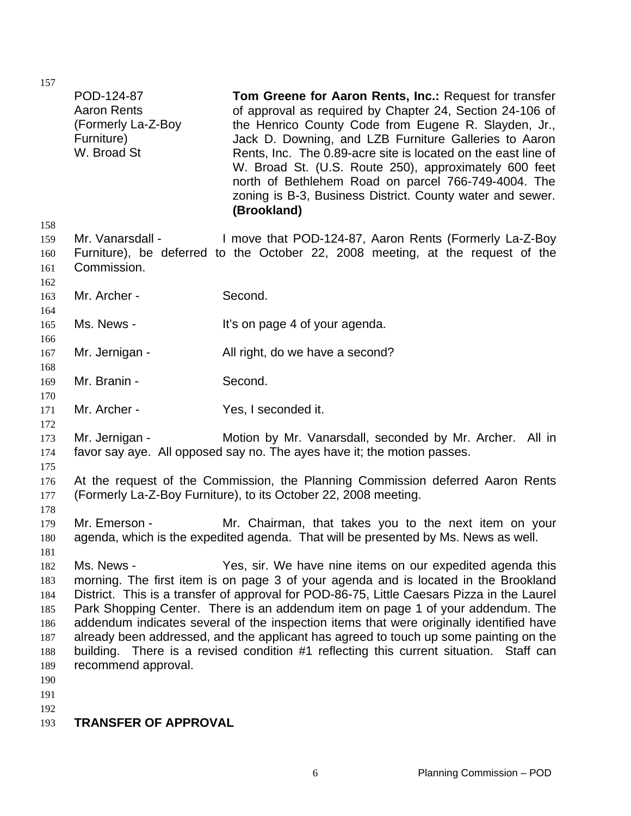|                                                                           | POD-124-87<br><b>Aaron Rents</b><br>(Formerly La-Z-Boy<br>Furniture)<br>W. Broad St | Tom Greene for Aaron Rents, Inc.: Request for transfer<br>of approval as required by Chapter 24, Section 24-106 of<br>the Henrico County Code from Eugene R. Slayden, Jr.,<br>Jack D. Downing, and LZB Furniture Galleries to Aaron<br>Rents, Inc. The 0.89-acre site is located on the east line of<br>W. Broad St. (U.S. Route 250), approximately 600 feet<br>north of Bethlehem Road on parcel 766-749-4004. The<br>zoning is B-3, Business District. County water and sewer.<br>(Brookland)                                                                                                                |
|---------------------------------------------------------------------------|-------------------------------------------------------------------------------------|-----------------------------------------------------------------------------------------------------------------------------------------------------------------------------------------------------------------------------------------------------------------------------------------------------------------------------------------------------------------------------------------------------------------------------------------------------------------------------------------------------------------------------------------------------------------------------------------------------------------|
| 158<br>159<br>160<br>161                                                  | Mr. Vanarsdall -<br>Commission.                                                     | I move that POD-124-87, Aaron Rents (Formerly La-Z-Boy<br>Furniture), be deferred to the October 22, 2008 meeting, at the request of the                                                                                                                                                                                                                                                                                                                                                                                                                                                                        |
| 162<br>163<br>164                                                         | Mr. Archer -                                                                        | Second.                                                                                                                                                                                                                                                                                                                                                                                                                                                                                                                                                                                                         |
| 165<br>166                                                                | Ms. News -                                                                          | It's on page 4 of your agenda.                                                                                                                                                                                                                                                                                                                                                                                                                                                                                                                                                                                  |
| 167<br>168                                                                | Mr. Jernigan -                                                                      | All right, do we have a second?                                                                                                                                                                                                                                                                                                                                                                                                                                                                                                                                                                                 |
| 169<br>170                                                                | Mr. Branin -                                                                        | Second.                                                                                                                                                                                                                                                                                                                                                                                                                                                                                                                                                                                                         |
| 171<br>172                                                                | Mr. Archer -                                                                        | Yes, I seconded it.                                                                                                                                                                                                                                                                                                                                                                                                                                                                                                                                                                                             |
| 173<br>174<br>175                                                         | Mr. Jernigan -                                                                      | Motion by Mr. Vanarsdall, seconded by Mr. Archer. All in<br>favor say aye. All opposed say no. The ayes have it; the motion passes.                                                                                                                                                                                                                                                                                                                                                                                                                                                                             |
| 176<br>177<br>178                                                         |                                                                                     | At the request of the Commission, the Planning Commission deferred Aaron Rents<br>(Formerly La-Z-Boy Furniture), to its October 22, 2008 meeting.                                                                                                                                                                                                                                                                                                                                                                                                                                                               |
| 179<br>180<br>181                                                         | Mr. Emerson -                                                                       | Mr. Chairman, that takes you to the next item on your<br>agenda, which is the expedited agenda. That will be presented by Ms. News as well.                                                                                                                                                                                                                                                                                                                                                                                                                                                                     |
| 182<br>183<br>184<br>185<br>186<br>187<br>188<br>189<br>190<br>191<br>192 | Ms. News -<br>recommend approval.                                                   | Yes, sir. We have nine items on our expedited agenda this<br>morning. The first item is on page 3 of your agenda and is located in the Brookland<br>District. This is a transfer of approval for POD-86-75, Little Caesars Pizza in the Laurel<br>Park Shopping Center. There is an addendum item on page 1 of your addendum. The<br>addendum indicates several of the inspection items that were originally identified have<br>already been addressed, and the applicant has agreed to touch up some painting on the<br>building. There is a revised condition #1 reflecting this current situation. Staff can |
| 193                                                                       | <b>TRANSFER OF APPROVAL</b>                                                         |                                                                                                                                                                                                                                                                                                                                                                                                                                                                                                                                                                                                                 |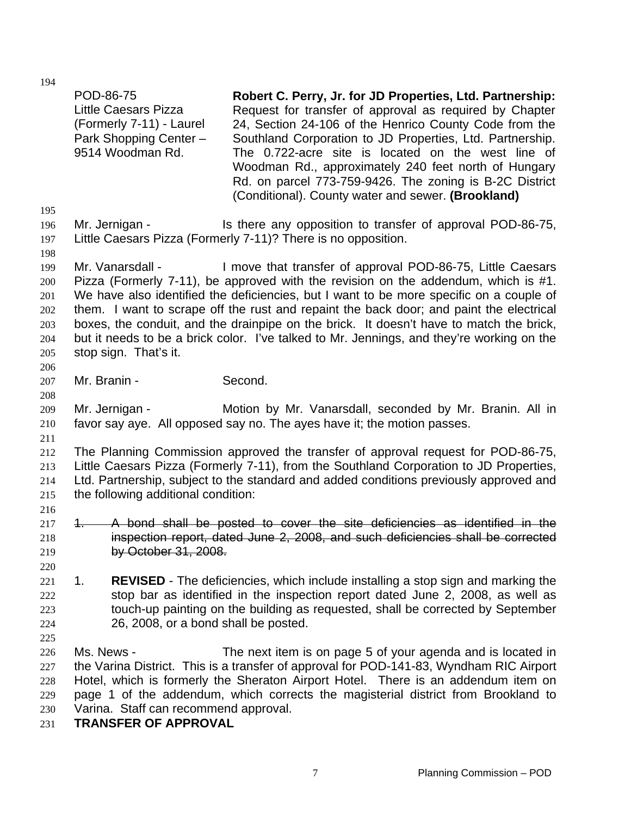| 195                                                  | POD-86-75<br><b>Little Caesars Pizza</b><br>(Formerly 7-11) - Laurel<br>Park Shopping Center -<br>9514 Woodman Rd.                                                                                                                                                                                                                                                                                                                                                                                                                                                          | Robert C. Perry, Jr. for JD Properties, Ltd. Partnership:<br>Request for transfer of approval as required by Chapter<br>24, Section 24-106 of the Henrico County Code from the<br>Southland Corporation to JD Properties, Ltd. Partnership.<br>The 0.722-acre site is located on the west line of<br>Woodman Rd., approximately 240 feet north of Hungary<br>Rd. on parcel 773-759-9426. The zoning is B-2C District<br>(Conditional). County water and sewer. (Brookland) |  |  |  |
|------------------------------------------------------|-----------------------------------------------------------------------------------------------------------------------------------------------------------------------------------------------------------------------------------------------------------------------------------------------------------------------------------------------------------------------------------------------------------------------------------------------------------------------------------------------------------------------------------------------------------------------------|----------------------------------------------------------------------------------------------------------------------------------------------------------------------------------------------------------------------------------------------------------------------------------------------------------------------------------------------------------------------------------------------------------------------------------------------------------------------------|--|--|--|
| 196<br>197<br>198                                    | Mr. Jernigan -                                                                                                                                                                                                                                                                                                                                                                                                                                                                                                                                                              | Is there any opposition to transfer of approval POD-86-75,<br>Little Caesars Pizza (Formerly 7-11)? There is no opposition.                                                                                                                                                                                                                                                                                                                                                |  |  |  |
| 199<br>200<br>201<br>202<br>203<br>204<br>205<br>206 | Mr. Vanarsdall -<br>I move that transfer of approval POD-86-75, Little Caesars<br>Pizza (Formerly 7-11), be approved with the revision on the addendum, which is #1.<br>We have also identified the deficiencies, but I want to be more specific on a couple of<br>them. I want to scrape off the rust and repaint the back door; and paint the electrical<br>boxes, the conduit, and the drainpipe on the brick. It doesn't have to match the brick,<br>but it needs to be a brick color. I've talked to Mr. Jennings, and they're working on the<br>stop sign. That's it. |                                                                                                                                                                                                                                                                                                                                                                                                                                                                            |  |  |  |
| 207                                                  | Mr. Branin -                                                                                                                                                                                                                                                                                                                                                                                                                                                                                                                                                                | Second.                                                                                                                                                                                                                                                                                                                                                                                                                                                                    |  |  |  |
| 208<br>209<br>210                                    | Mr. Jernigan -                                                                                                                                                                                                                                                                                                                                                                                                                                                                                                                                                              | Motion by Mr. Vanarsdall, seconded by Mr. Branin. All in<br>favor say aye. All opposed say no. The ayes have it; the motion passes.                                                                                                                                                                                                                                                                                                                                        |  |  |  |
| 211<br>212<br>213<br>214<br>215                      | the following additional condition:                                                                                                                                                                                                                                                                                                                                                                                                                                                                                                                                         | The Planning Commission approved the transfer of approval request for POD-86-75,<br>Little Caesars Pizza (Formerly 7-11), from the Southland Corporation to JD Properties,<br>Ltd. Partnership, subject to the standard and added conditions previously approved and                                                                                                                                                                                                       |  |  |  |
| 216<br>217<br>218<br>219<br>220                      | $\ddot{\ }$<br>by October 31, 2008.                                                                                                                                                                                                                                                                                                                                                                                                                                                                                                                                         | A bond shall be posted to cover the site deficiencies as identified in the<br>inspection report, dated June 2, 2008, and such deficiencies shall be corrected                                                                                                                                                                                                                                                                                                              |  |  |  |
| 221<br>222<br>223<br>224<br>225                      | 1.<br>26, 2008, or a bond shall be posted.                                                                                                                                                                                                                                                                                                                                                                                                                                                                                                                                  | <b>REVISED</b> - The deficiencies, which include installing a stop sign and marking the<br>stop bar as identified in the inspection report dated June 2, 2008, as well as<br>touch-up painting on the building as requested, shall be corrected by September                                                                                                                                                                                                               |  |  |  |
| 226<br>227<br>228<br>229<br>230<br>231               | Ms. News -<br>Varina. Staff can recommend approval.<br><b>TRANSFER OF APPROVAL</b>                                                                                                                                                                                                                                                                                                                                                                                                                                                                                          | The next item is on page 5 of your agenda and is located in<br>the Varina District. This is a transfer of approval for POD-141-83, Wyndham RIC Airport<br>Hotel, which is formerly the Sheraton Airport Hotel. There is an addendum item on<br>page 1 of the addendum, which corrects the magisterial district from Brookland to                                                                                                                                           |  |  |  |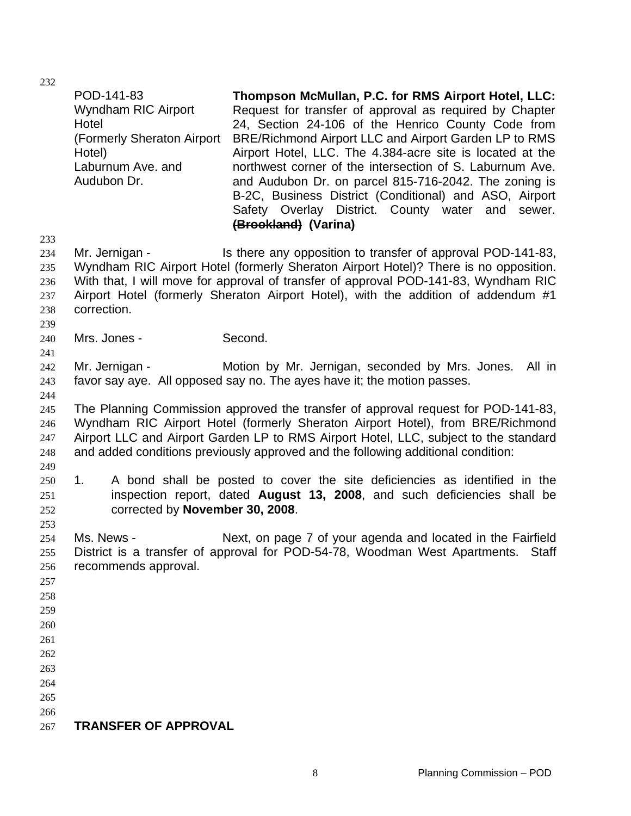|                                        | POD-141-83<br>Wyndham RIC Airport<br>Hotel<br>(Formerly Sheraton Airport<br>Hotel)<br>Laburnum Ave. and<br>Audubon Dr. | Thompson McMullan, P.C. for RMS Airport Hotel, LLC:<br>Request for transfer of approval as required by Chapter<br>24, Section 24-106 of the Henrico County Code from<br>BRE/Richmond Airport LLC and Airport Garden LP to RMS<br>Airport Hotel, LLC. The 4.384-acre site is located at the<br>northwest corner of the intersection of S. Laburnum Ave.<br>and Audubon Dr. on parcel 815-716-2042. The zoning is<br>B-2C, Business District (Conditional) and ASO, Airport<br>Safety Overlay District. County water<br>and<br>sewer.<br>(Brookland) (Varina) |
|----------------------------------------|------------------------------------------------------------------------------------------------------------------------|-------------------------------------------------------------------------------------------------------------------------------------------------------------------------------------------------------------------------------------------------------------------------------------------------------------------------------------------------------------------------------------------------------------------------------------------------------------------------------------------------------------------------------------------------------------|
| 233                                    |                                                                                                                        |                                                                                                                                                                                                                                                                                                                                                                                                                                                                                                                                                             |
| 234<br>235<br>236<br>237<br>238<br>239 | Mr. Jernigan -<br>correction.                                                                                          | Is there any opposition to transfer of approval POD-141-83,<br>Wyndham RIC Airport Hotel (formerly Sheraton Airport Hotel)? There is no opposition.<br>With that, I will move for approval of transfer of approval POD-141-83, Wyndham RIC<br>Airport Hotel (formerly Sheraton Airport Hotel), with the addition of addendum #1                                                                                                                                                                                                                             |
| 240                                    | Mrs. Jones -                                                                                                           | Second.                                                                                                                                                                                                                                                                                                                                                                                                                                                                                                                                                     |
| 241                                    |                                                                                                                        |                                                                                                                                                                                                                                                                                                                                                                                                                                                                                                                                                             |
| 242                                    | Mr. Jernigan -                                                                                                         | Motion by Mr. Jernigan, seconded by Mrs. Jones.<br>All in                                                                                                                                                                                                                                                                                                                                                                                                                                                                                                   |
| 243<br>244                             |                                                                                                                        | favor say aye. All opposed say no. The ayes have it; the motion passes.                                                                                                                                                                                                                                                                                                                                                                                                                                                                                     |
| 245<br>246<br>247<br>248               |                                                                                                                        | The Planning Commission approved the transfer of approval request for POD-141-83,<br>Wyndham RIC Airport Hotel (formerly Sheraton Airport Hotel), from BRE/Richmond<br>Airport LLC and Airport Garden LP to RMS Airport Hotel, LLC, subject to the standard<br>and added conditions previously approved and the following additional condition:                                                                                                                                                                                                             |
| 249<br>250<br>251<br>252<br>253        | 1.<br>corrected by November 30, 2008.                                                                                  | A bond shall be posted to cover the site deficiencies as identified in the<br>inspection report, dated August 13, 2008, and such deficiencies shall be                                                                                                                                                                                                                                                                                                                                                                                                      |
| 254<br>255<br>256<br>257               | Ms. News -<br>recommends approval.                                                                                     | Next, on page 7 of your agenda and located in the Fairfield<br>District is a transfer of approval for POD-54-78, Woodman West Apartments.<br>Staff                                                                                                                                                                                                                                                                                                                                                                                                          |
| 258                                    |                                                                                                                        |                                                                                                                                                                                                                                                                                                                                                                                                                                                                                                                                                             |
| 259                                    |                                                                                                                        |                                                                                                                                                                                                                                                                                                                                                                                                                                                                                                                                                             |
| 260                                    |                                                                                                                        |                                                                                                                                                                                                                                                                                                                                                                                                                                                                                                                                                             |
| 261                                    |                                                                                                                        |                                                                                                                                                                                                                                                                                                                                                                                                                                                                                                                                                             |
| 262                                    |                                                                                                                        |                                                                                                                                                                                                                                                                                                                                                                                                                                                                                                                                                             |
| 263                                    |                                                                                                                        |                                                                                                                                                                                                                                                                                                                                                                                                                                                                                                                                                             |
| 264                                    |                                                                                                                        |                                                                                                                                                                                                                                                                                                                                                                                                                                                                                                                                                             |
|                                        |                                                                                                                        |                                                                                                                                                                                                                                                                                                                                                                                                                                                                                                                                                             |
| 265                                    |                                                                                                                        |                                                                                                                                                                                                                                                                                                                                                                                                                                                                                                                                                             |
| 266                                    |                                                                                                                        |                                                                                                                                                                                                                                                                                                                                                                                                                                                                                                                                                             |
| 267                                    | <b>TRANSFER OF APPROVAL</b>                                                                                            |                                                                                                                                                                                                                                                                                                                                                                                                                                                                                                                                                             |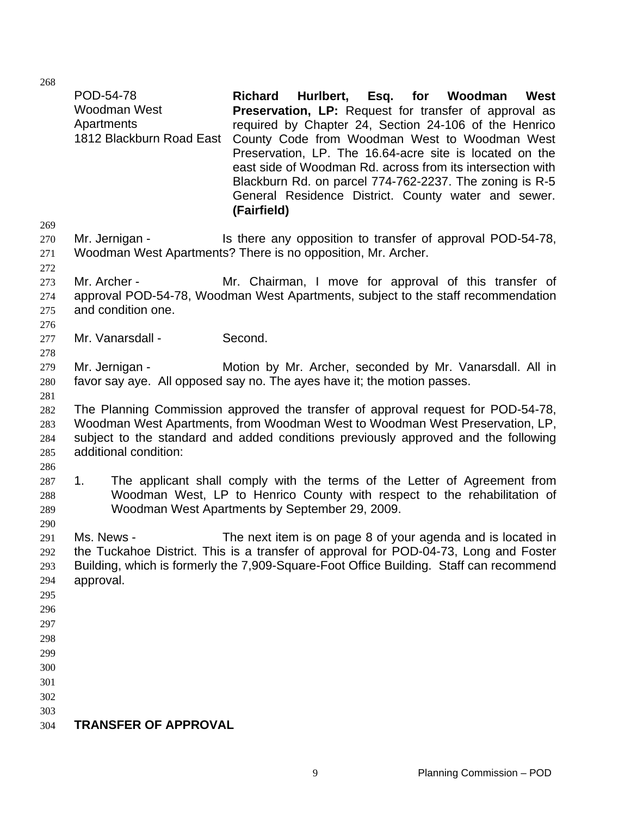POD-54-78 Woodman West Apartments

|                                                                           |                                    | Preservation, LP. The 16.64-acre site is located on the<br>east side of Woodman Rd. across from its intersection with<br>Blackburn Rd. on parcel 774-762-2237. The zoning is R-5<br>General Residence District. County water and sewer.<br>(Fairfield) |
|---------------------------------------------------------------------------|------------------------------------|--------------------------------------------------------------------------------------------------------------------------------------------------------------------------------------------------------------------------------------------------------|
| 269<br>270<br>271                                                         | Mr. Jernigan -                     | Is there any opposition to transfer of approval POD-54-78,<br>Woodman West Apartments? There is no opposition, Mr. Archer.                                                                                                                             |
| 272<br>273<br>274<br>275<br>276                                           | Mr. Archer -<br>and condition one. | Mr. Chairman, I move for approval of this transfer of<br>approval POD-54-78, Woodman West Apartments, subject to the staff recommendation                                                                                                              |
| 277<br>278                                                                | Mr. Vanarsdall -                   | Second.                                                                                                                                                                                                                                                |
| 279<br>280<br>281                                                         | Mr. Jernigan -                     | Motion by Mr. Archer, seconded by Mr. Vanarsdall. All in<br>favor say aye. All opposed say no. The ayes have it; the motion passes.                                                                                                                    |
| 282<br>283<br>284<br>285                                                  | additional condition:              | The Planning Commission approved the transfer of approval request for POD-54-78,<br>Woodman West Apartments, from Woodman West to Woodman West Preservation, LP,<br>subject to the standard and added conditions previously approved and the following |
| 286<br>287<br>288<br>289<br>290                                           | 1.                                 | The applicant shall comply with the terms of the Letter of Agreement from<br>Woodman West, LP to Henrico County with respect to the rehabilitation of<br>Woodman West Apartments by September 29, 2009.                                                |
| 291<br>292<br>293<br>294<br>295<br>296<br>297<br>298<br>299<br>300<br>301 | Ms. News -<br>approval.            | The next item is on page 8 of your agenda and is located in<br>the Tuckahoe District. This is a transfer of approval for POD-04-73, Long and Foster<br>Building, which is formerly the 7,909-Square-Foot Office Building. Staff can recommend          |
| 302<br>303                                                                |                                    |                                                                                                                                                                                                                                                        |
| 304                                                                       | <b>TRANSFER OF APPROVAL</b>        |                                                                                                                                                                                                                                                        |

1812 Blackburn Road East County Code from Woodman West to Woodman West

**Richard Hurlbert, Esq. for Woodman West Preservation, LP:** Request for transfer of approval as required by Chapter 24, Section 24-106 of the Henrico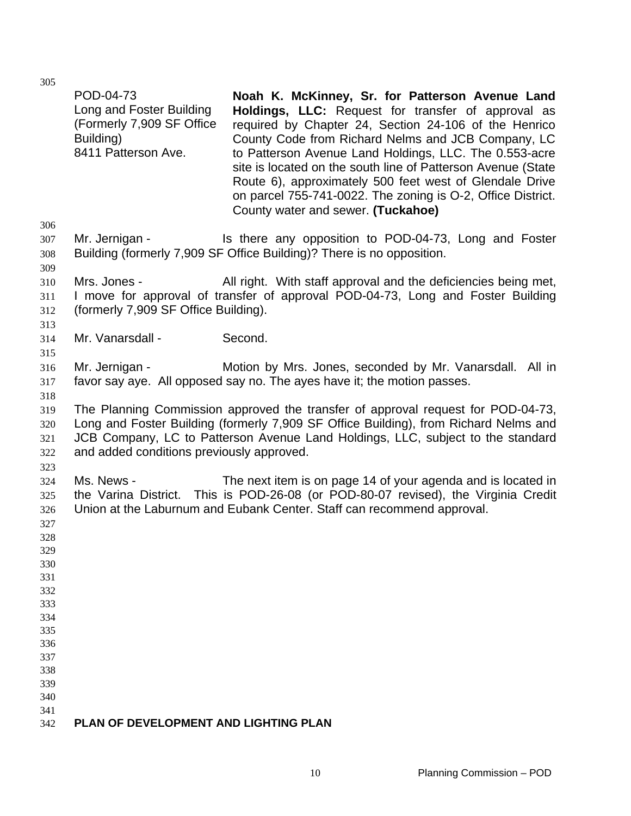| 306                             | POD-04-73<br>Long and Foster Building<br>(Formerly 7,909 SF Office<br>Building)<br>8411 Patterson Ave. | Noah K. McKinney, Sr. for Patterson Avenue Land<br>Holdings, LLC: Request for transfer of approval as<br>required by Chapter 24, Section 24-106 of the Henrico<br>County Code from Richard Nelms and JCB Company, LC<br>to Patterson Avenue Land Holdings, LLC. The 0.553-acre<br>site is located on the south line of Patterson Avenue (State<br>Route 6), approximately 500 feet west of Glendale Drive<br>on parcel 755-741-0022. The zoning is O-2, Office District.<br>County water and sewer. (Tuckahoe) |
|---------------------------------|--------------------------------------------------------------------------------------------------------|----------------------------------------------------------------------------------------------------------------------------------------------------------------------------------------------------------------------------------------------------------------------------------------------------------------------------------------------------------------------------------------------------------------------------------------------------------------------------------------------------------------|
| 307<br>308<br>309               | Mr. Jernigan -                                                                                         | Is there any opposition to POD-04-73, Long and Foster<br>Building (formerly 7,909 SF Office Building)? There is no opposition.                                                                                                                                                                                                                                                                                                                                                                                 |
| 310<br>311<br>312<br>313        | Mrs. Jones -<br>(formerly 7,909 SF Office Building).                                                   | All right. With staff approval and the deficiencies being met,<br>I move for approval of transfer of approval POD-04-73, Long and Foster Building                                                                                                                                                                                                                                                                                                                                                              |
| 314                             | Mr. Vanarsdall -                                                                                       | Second.                                                                                                                                                                                                                                                                                                                                                                                                                                                                                                        |
| 315<br>316<br>317<br>318        | Mr. Jernigan -                                                                                         | Motion by Mrs. Jones, seconded by Mr. Vanarsdall. All in<br>favor say aye. All opposed say no. The ayes have it; the motion passes.                                                                                                                                                                                                                                                                                                                                                                            |
| 319<br>320<br>321<br>322<br>323 | and added conditions previously approved.                                                              | The Planning Commission approved the transfer of approval request for POD-04-73,<br>Long and Foster Building (formerly 7,909 SF Office Building), from Richard Nelms and<br>JCB Company, LC to Patterson Avenue Land Holdings, LLC, subject to the standard                                                                                                                                                                                                                                                    |
| 324<br>325<br>326<br>327        | Ms. News -                                                                                             | The next item is on page 14 of your agenda and is located in<br>the Varina District. This is POD-26-08 (or POD-80-07 revised), the Virginia Credit<br>Union at the Laburnum and Eubank Center. Staff can recommend approval.                                                                                                                                                                                                                                                                                   |
| 328<br>329                      |                                                                                                        |                                                                                                                                                                                                                                                                                                                                                                                                                                                                                                                |
| 330                             |                                                                                                        |                                                                                                                                                                                                                                                                                                                                                                                                                                                                                                                |
| 331                             |                                                                                                        |                                                                                                                                                                                                                                                                                                                                                                                                                                                                                                                |
| 332<br>333                      |                                                                                                        |                                                                                                                                                                                                                                                                                                                                                                                                                                                                                                                |
| 334                             |                                                                                                        |                                                                                                                                                                                                                                                                                                                                                                                                                                                                                                                |
| 335                             |                                                                                                        |                                                                                                                                                                                                                                                                                                                                                                                                                                                                                                                |
| 336                             |                                                                                                        |                                                                                                                                                                                                                                                                                                                                                                                                                                                                                                                |
| 337                             |                                                                                                        |                                                                                                                                                                                                                                                                                                                                                                                                                                                                                                                |
| 338                             |                                                                                                        |                                                                                                                                                                                                                                                                                                                                                                                                                                                                                                                |
| 339                             |                                                                                                        |                                                                                                                                                                                                                                                                                                                                                                                                                                                                                                                |
| 340                             |                                                                                                        |                                                                                                                                                                                                                                                                                                                                                                                                                                                                                                                |
| 341                             |                                                                                                        |                                                                                                                                                                                                                                                                                                                                                                                                                                                                                                                |
| 342                             | PLAN OF DEVELOPMENT AND LIGHTING PLAN                                                                  |                                                                                                                                                                                                                                                                                                                                                                                                                                                                                                                |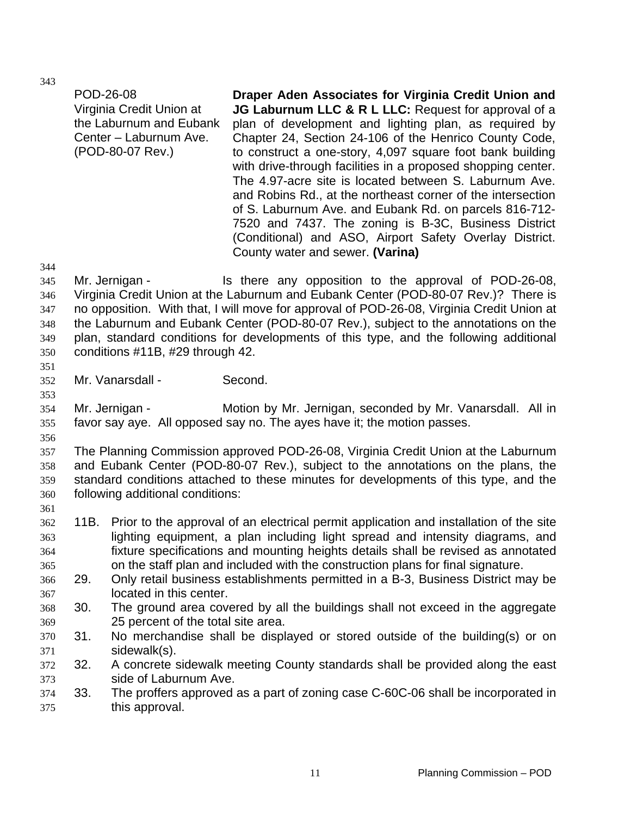POD-26-08 Virginia Credit Union at the Laburnum and Eubank Center – Laburnum Ave. (POD-80-07 Rev.)

**Draper Aden Associates for Virginia Credit Union and JG Laburnum LLC & R L LLC:** Request for approval of a plan of development and lighting plan, as required by Chapter 24, Section 24-106 of the Henrico County Code, to construct a one-story, 4,097 square foot bank building with drive-through facilities in a proposed shopping center. The 4.97-acre site is located between S. Laburnum Ave. and Robins Rd., at the northeast corner of the intersection of S. Laburnum Ave. and Eubank Rd. on parcels 816-712- 7520 and 7437. The zoning is B-3C, Business District (Conditional) and ASO, Airport Safety Overlay District. County water and sewer. **(Varina)** 

345 346 347 348 349 350 Mr. Jernigan - The Is there any opposition to the approval of POD-26-08, Virginia Credit Union at the Laburnum and Eubank Center (POD-80-07 Rev.)? There is no opposition. With that, I will move for approval of POD-26-08, Virginia Credit Union at the Laburnum and Eubank Center (POD-80-07 Rev.), subject to the annotations on the plan, standard conditions for developments of this type, and the following additional conditions #11B, #29 through 42.

351

353

356

361

344

352 Mr. Vanarsdall - Second.

354 355 Mr. Jernigan - Motion by Mr. Jernigan, seconded by Mr. Vanarsdall. All in favor say aye. All opposed say no. The ayes have it; the motion passes.

357 358 359 360 The Planning Commission approved POD-26-08, Virginia Credit Union at the Laburnum and Eubank Center (POD-80-07 Rev.), subject to the annotations on the plans, the standard conditions attached to these minutes for developments of this type, and the following additional conditions:

- 362 363 364 365 11B. Prior to the approval of an electrical permit application and installation of the site lighting equipment, a plan including light spread and intensity diagrams, and fixture specifications and mounting heights details shall be revised as annotated on the staff plan and included with the construction plans for final signature.
- 366 367 29. Only retail business establishments permitted in a B-3, Business District may be located in this center.
- 368 369 30. The ground area covered by all the buildings shall not exceed in the aggregate 25 percent of the total site area.
- 370 371 31. No merchandise shall be displayed or stored outside of the building(s) or on sidewalk(s).
- 372 373 32. A concrete sidewalk meeting County standards shall be provided along the east side of Laburnum Ave.
- 374 375 33. The proffers approved as a part of zoning case C-60C-06 shall be incorporated in this approval.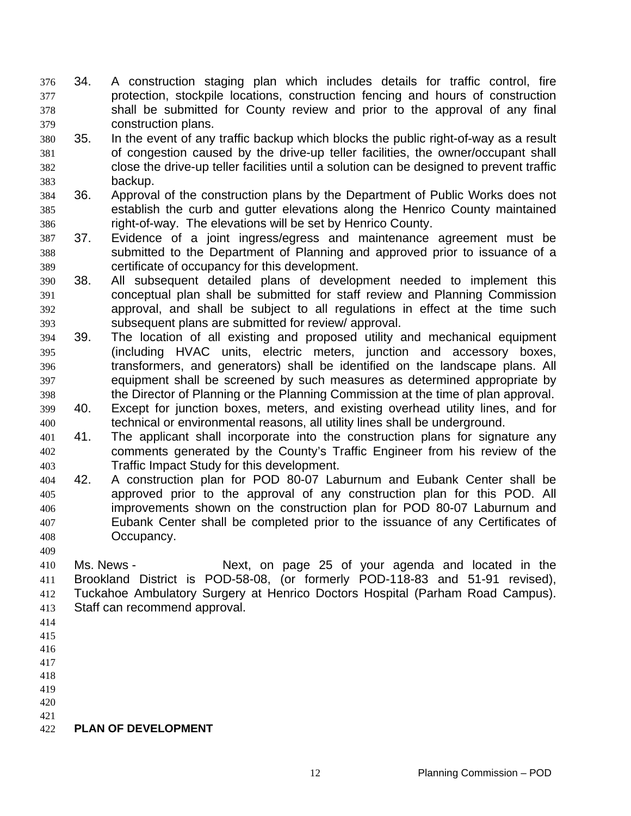- 34. A construction staging plan which includes details for traffic control, fire protection, stockpile locations, construction fencing and hours of construction shall be submitted for County review and prior to the approval of any final construction plans. 376 377 378 379
- 380 381 382 383 35. In the event of any traffic backup which blocks the public right-of-way as a result of congestion caused by the drive-up teller facilities, the owner/occupant shall close the drive-up teller facilities until a solution can be designed to prevent traffic backup.
- 384 385 386 36. Approval of the construction plans by the Department of Public Works does not establish the curb and gutter elevations along the Henrico County maintained right-of-way. The elevations will be set by Henrico County.
- 387 388 389 37. Evidence of a joint ingress/egress and maintenance agreement must be submitted to the Department of Planning and approved prior to issuance of a certificate of occupancy for this development.
- 390 391 392 393 38. All subsequent detailed plans of development needed to implement this conceptual plan shall be submitted for staff review and Planning Commission approval, and shall be subject to all regulations in effect at the time such subsequent plans are submitted for review/ approval.
- 394 395 396 397 398 39. The location of all existing and proposed utility and mechanical equipment (including HVAC units, electric meters, junction and accessory boxes, transformers, and generators) shall be identified on the landscape plans. All equipment shall be screened by such measures as determined appropriate by the Director of Planning or the Planning Commission at the time of plan approval.
- 399 400 40. Except for junction boxes, meters, and existing overhead utility lines, and for technical or environmental reasons, all utility lines shall be underground.
- 401 402 403 41. The applicant shall incorporate into the construction plans for signature any comments generated by the County's Traffic Engineer from his review of the Traffic Impact Study for this development.
- 404 405 406 407 408 42. A construction plan for POD 80-07 Laburnum and Eubank Center shall be approved prior to the approval of any construction plan for this POD. All improvements shown on the construction plan for POD 80-07 Laburnum and Eubank Center shall be completed prior to the issuance of any Certificates of Occupancy.
- 410 411 412 413 Ms. News - The Mext, on page 25 of your agenda and located in the Brookland District is POD-58-08, (or formerly POD-118-83 and 51-91 revised), Tuckahoe Ambulatory Surgery at Henrico Doctors Hospital (Parham Road Campus). Staff can recommend approval.
- 414

- 415
- 416 417
- 418
- 419
- 420
- 421

#### 422 **PLAN OF DEVELOPMENT**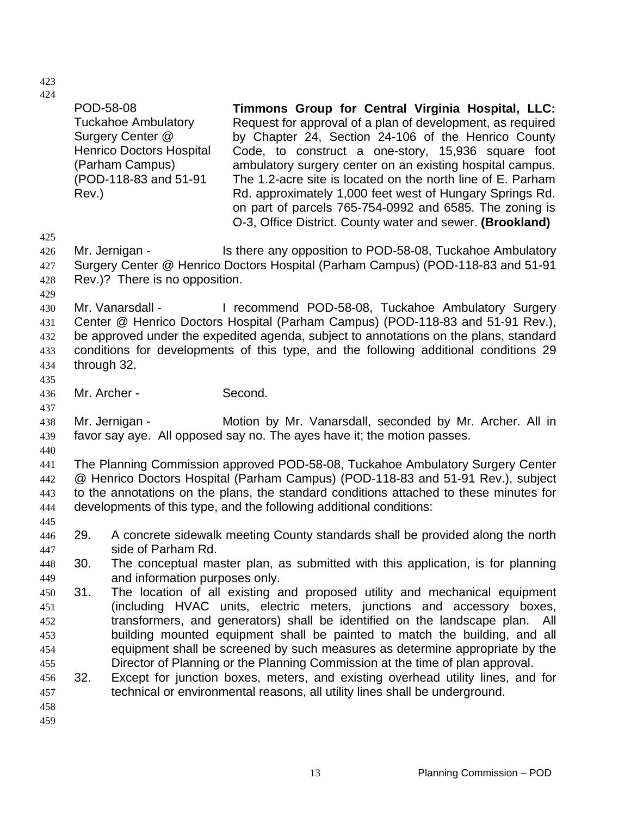| 424<br>425                             | POD-58-08<br><b>Tuckahoe Ambulatory</b><br>Surgery Center @<br><b>Henrico Doctors Hospital</b><br>(Parham Campus)<br>(POD-118-83 and 51-91<br>Rev.) | Timmons Group for Central Virginia Hospital, LLC:<br>Request for approval of a plan of development, as required<br>by Chapter 24, Section 24-106 of the Henrico County<br>Code, to construct a one-story, 15,936 square foot<br>ambulatory surgery center on an existing hospital campus.<br>The 1.2-acre site is located on the north line of E. Parham<br>Rd. approximately 1,000 feet west of Hungary Springs Rd.<br>on part of parcels 765-754-0992 and 6585. The zoning is<br>O-3, Office District. County water and sewer. (Brookland) |  |
|----------------------------------------|-----------------------------------------------------------------------------------------------------------------------------------------------------|----------------------------------------------------------------------------------------------------------------------------------------------------------------------------------------------------------------------------------------------------------------------------------------------------------------------------------------------------------------------------------------------------------------------------------------------------------------------------------------------------------------------------------------------|--|
| 426<br>427<br>428<br>429               | Mr. Jernigan -<br>Rev.)? There is no opposition.                                                                                                    | Is there any opposition to POD-58-08, Tuckahoe Ambulatory<br>Surgery Center @ Henrico Doctors Hospital (Parham Campus) (POD-118-83 and 51-91                                                                                                                                                                                                                                                                                                                                                                                                 |  |
| 430<br>431<br>432<br>433<br>434<br>435 | Mr. Vanarsdall -<br>through 32.                                                                                                                     | I recommend POD-58-08, Tuckahoe Ambulatory Surgery<br>Center @ Henrico Doctors Hospital (Parham Campus) (POD-118-83 and 51-91 Rev.),<br>be approved under the expedited agenda, subject to annotations on the plans, standard<br>conditions for developments of this type, and the following additional conditions 29                                                                                                                                                                                                                        |  |
| 436<br>437                             | Mr. Archer -                                                                                                                                        | Second.                                                                                                                                                                                                                                                                                                                                                                                                                                                                                                                                      |  |
| 438<br>439<br>440                      | Mr. Jernigan -                                                                                                                                      | Motion by Mr. Vanarsdall, seconded by Mr. Archer. All in<br>favor say aye. All opposed say no. The ayes have it; the motion passes.                                                                                                                                                                                                                                                                                                                                                                                                          |  |
| 441<br>442<br>443<br>444<br>445        |                                                                                                                                                     | The Planning Commission approved POD-58-08, Tuckahoe Ambulatory Surgery Center<br>@ Henrico Doctors Hospital (Parham Campus) (POD-118-83 and 51-91 Rev.), subject<br>to the annotations on the plans, the standard conditions attached to these minutes for<br>developments of this type, and the following additional conditions:                                                                                                                                                                                                           |  |
| 446<br>447                             | 29.<br>side of Parham Rd.                                                                                                                           | A concrete sidewalk meeting County standards shall be provided along the north                                                                                                                                                                                                                                                                                                                                                                                                                                                               |  |
| 448<br>449                             | 30.<br>and information purposes only.                                                                                                               | The conceptual master plan, as submitted with this application, is for planning                                                                                                                                                                                                                                                                                                                                                                                                                                                              |  |
| 450<br>451<br>452<br>453<br>454<br>455 | 31.                                                                                                                                                 | The location of all existing and proposed utility and mechanical equipment<br>(including HVAC units, electric meters, junctions and accessory boxes,<br>transformers, and generators) shall be identified on the landscape plan.<br>All<br>building mounted equipment shall be painted to match the building, and all<br>equipment shall be screened by such measures as determine appropriate by the<br>Director of Planning or the Planning Commission at the time of plan approval.                                                       |  |
| 456<br>457<br>458<br>459               | 32.                                                                                                                                                 | Except for junction boxes, meters, and existing overhead utility lines, and for<br>technical or environmental reasons, all utility lines shall be underground.                                                                                                                                                                                                                                                                                                                                                                               |  |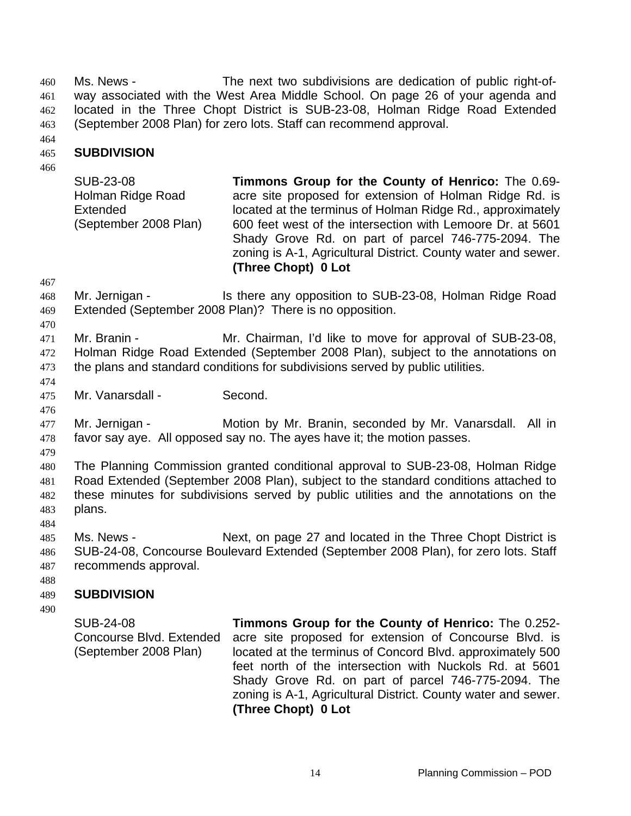Ms. News - The next two subdivisions are dedication of public right-ofway associated with the West Area Middle School. On page 26 of your agenda and located in the Three Chopt District is SUB-23-08, Holman Ridge Road Extended (September 2008 Plan) for zero lots. Staff can recommend approval. 460 461 462 463

464

#### 465 **SUBDIVISION**

466

SUB-23-08 Holman Ridge Road Extended (September 2008 Plan) **Timmons Group for the County of Henrico:** The 0.69 acre site proposed for extension of Holman Ridge Rd. is located at the terminus of Holman Ridge Rd., approximately 600 feet west of the intersection with Lemoore Dr. at 5601 Shady Grove Rd. on part of parcel 746-775-2094. The zoning is A-1, Agricultural District. County water and sewer. **(Three Chopt) 0 Lot** 

467

468 469 Mr. Jernigan - Is there any opposition to SUB-23-08, Holman Ridge Road Extended (September 2008 Plan)? There is no opposition.

470

471 472 473 Mr. Branin - **Mr. Chairman, I'd like to move for approval of SUB-23-08,** Holman Ridge Road Extended (September 2008 Plan), subject to the annotations on the plans and standard conditions for subdivisions served by public utilities.

474 475

476

Mr. Vanarsdall - Second.

477 478 Mr. Jernigan - **Motion by Mr. Branin, seconded by Mr. Vanarsdall.** All in favor say aye. All opposed say no. The ayes have it; the motion passes.

479

480 481 482 483 The Planning Commission granted conditional approval to SUB-23-08, Holman Ridge Road Extended (September 2008 Plan), subject to the standard conditions attached to these minutes for subdivisions served by public utilities and the annotations on the plans.

485 486 487 Ms. News - Next, on page 27 and located in the Three Chopt District is SUB-24-08, Concourse Boulevard Extended (September 2008 Plan), for zero lots. Staff recommends approval.

488

484

#### 489 **SUBDIVISION**

490

SUB-24-08 Concourse Blvd. Extended (September 2008 Plan) **Timmons Group for the County of Henrico:** The 0.252 acre site proposed for extension of Concourse Blvd. is located at the terminus of Concord Blvd. approximately 500 feet north of the intersection with Nuckols Rd. at 5601 Shady Grove Rd. on part of parcel 746-775-2094. The zoning is A-1, Agricultural District. County water and sewer. **(Three Chopt) 0 Lot**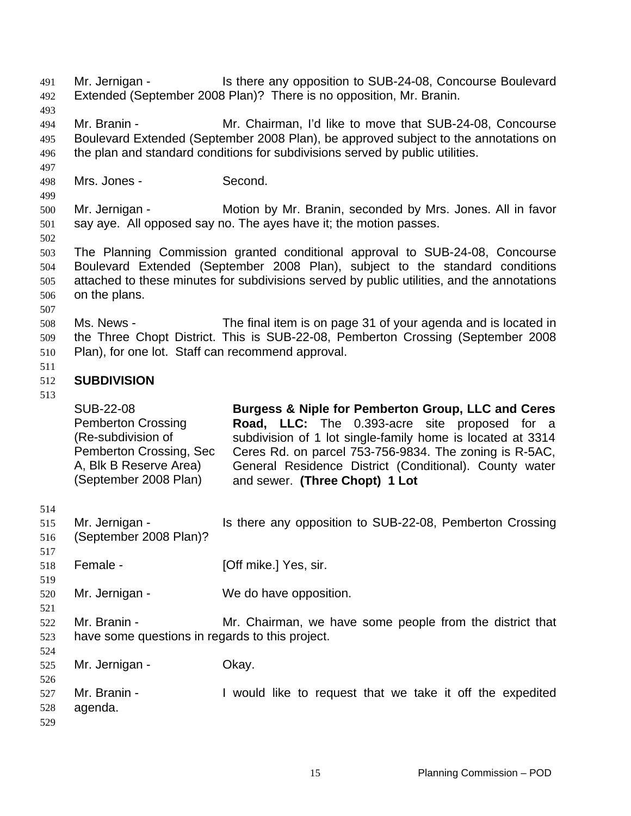Mr. Jernigan - The Is there any opposition to SUB-24-08, Concourse Boulevard Extended (September 2008 Plan)? There is no opposition, Mr. Branin. 491 492 493 494 495 496 497 498 499 500 501 502 503 504 505 506 507 508 509 510 511 512 513 514 515 516 517 518 519 520 521 522 523 524 525 526 527 528 529 Mr. Branin - Mr. Chairman, I'd like to move that SUB-24-08, Concourse Boulevard Extended (September 2008 Plan), be approved subject to the annotations on the plan and standard conditions for subdivisions served by public utilities. Mrs. Jones - Second. Mr. Jernigan - **Motion by Mr. Branin, seconded by Mrs. Jones. All in favor** say aye. All opposed say no. The ayes have it; the motion passes. The Planning Commission granted conditional approval to SUB-24-08, Concourse Boulevard Extended (September 2008 Plan), subject to the standard conditions attached to these minutes for subdivisions served by public utilities, and the annotations on the plans. Ms. News - The final item is on page 31 of your agenda and is located in the Three Chopt District. This is SUB-22-08, Pemberton Crossing (September 2008 Plan), for one lot. Staff can recommend approval. **SUBDIVISION**  SUB-22-08 Pemberton Crossing (Re-subdivision of Pemberton Crossing, Sec A, Blk B Reserve Area) (September 2008 Plan) **Burgess & Niple for Pemberton Group, LLC and Ceres Road, LLC:** The 0.393-acre site proposed for a subdivision of 1 lot single-family home is located at 3314 Ceres Rd. on parcel 753-756-9834. The zoning is R-5AC, General Residence District (Conditional). County water and sewer. **(Three Chopt) 1 Lot**  Mr. Jernigan - Is there any opposition to SUB-22-08, Pemberton Crossing (September 2008 Plan)? Female - [Off mike.] Yes, sir. Mr. Jernigan - We do have opposition. Mr. Branin - The Mr. Chairman, we have some people from the district that have some questions in regards to this project. Mr. Jernigan - Ckay. Mr. Branin - I would like to request that we take it off the expedited agenda.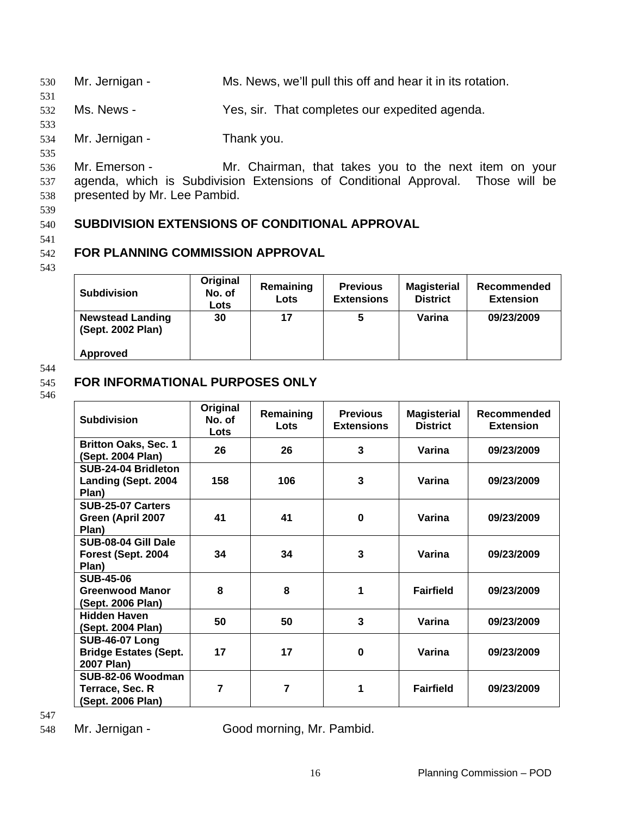530 Mr. Jernigan - Ms. News, we'll pull this off and hear it in its rotation.

532 Ms. News - Yes, sir. That completes our expedited agenda.

**SUBDIVISION EXTENSIONS OF CONDITIONAL APPROVAL** 

534 Mr. Jernigan - Thank you.

535 536

537 538 Mr. Emerson - Mr. Chairman, that takes you to the next item on your agenda, which is Subdivision Extensions of Conditional Approval. Those will be presented by Mr. Lee Pambid.

539

531

533

# 540

541

#### 542 **FOR PLANNING COMMISSION APPROVAL**

543

| <b>Subdivision</b>                           | Original<br>No. of<br>Lots | Remaining<br>Lots | <b>Previous</b><br><b>Extensions</b> | <b>Magisterial</b><br><b>District</b> | Recommended<br><b>Extension</b> |
|----------------------------------------------|----------------------------|-------------------|--------------------------------------|---------------------------------------|---------------------------------|
| <b>Newstead Landing</b><br>(Sept. 2002 Plan) | 30                         | 17                | 5                                    | Varina                                | 09/23/2009                      |
| Approved                                     |                            |                   |                                      |                                       |                                 |

### 544

#### 545 **FOR INFORMATIONAL PURPOSES ONLY**

546

| <b>Subdivision</b>                                                  | Original<br>No. of<br>Lots | Remaining<br>Lots | <b>Previous</b><br><b>Extensions</b> | <b>Magisterial</b><br><b>District</b> | Recommended<br><b>Extension</b> |
|---------------------------------------------------------------------|----------------------------|-------------------|--------------------------------------|---------------------------------------|---------------------------------|
| <b>Britton Oaks, Sec. 1</b><br>(Sept. 2004 Plan)                    | 26                         | 26                | 3                                    | Varina                                | 09/23/2009                      |
| SUB-24-04 Bridleton<br>Landing (Sept. 2004<br>Plan)                 | 158                        | 106               | 3                                    | Varina                                | 09/23/2009                      |
| SUB-25-07 Carters<br>Green (April 2007<br>Plan)                     | 41                         | 41                | 0                                    | Varina                                | 09/23/2009                      |
| SUB-08-04 Gill Dale<br>Forest (Sept. 2004<br>Plan)                  | 34                         | 34                | 3                                    | Varina                                | 09/23/2009                      |
| <b>SUB-45-06</b><br><b>Greenwood Manor</b><br>(Sept. 2006 Plan)     | 8                          | 8                 | 1                                    | <b>Fairfield</b>                      | 09/23/2009                      |
| <b>Hidden Haven</b><br>(Sept. 2004 Plan)                            | 50                         | 50                | 3                                    | Varina                                | 09/23/2009                      |
| <b>SUB-46-07 Long</b><br><b>Bridge Estates (Sept.</b><br>2007 Plan) | 17                         | 17                | 0                                    | Varina                                | 09/23/2009                      |
| SUB-82-06 Woodman<br>Terrace, Sec. R<br>(Sept. 2006 Plan)           | 7                          | $\overline{7}$    | 1                                    | <b>Fairfield</b>                      | 09/23/2009                      |

547

548 Mr. Jernigan - Good morning, Mr. Pambid.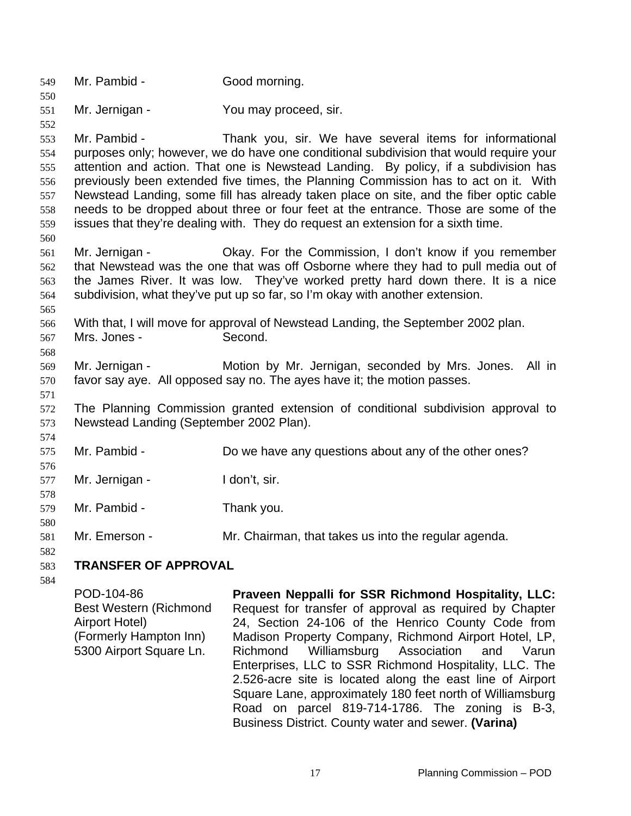549 Mr. Pambid - Good morning. 550 551 552 553 554 555 556 557 558 559 560 561 562 563 564 565 566 567 568 569 570 571 572 573 574 575 576 577 578 579 580 581 582 583 584 Mr. Jernigan - You may proceed, sir. Mr. Pambid - Thank you, sir. We have several items for informational purposes only; however, we do have one conditional subdivision that would require your attention and action. That one is Newstead Landing. By policy, if a subdivision has previously been extended five times, the Planning Commission has to act on it. With Newstead Landing, some fill has already taken place on site, and the fiber optic cable needs to be dropped about three or four feet at the entrance. Those are some of the issues that they're dealing with. They do request an extension for a sixth time. Mr. Jernigan - Okay. For the Commission, I don't know if you remember that Newstead was the one that was off Osborne where they had to pull media out of the James River. It was low. They've worked pretty hard down there. It is a nice subdivision, what they've put up so far, so I'm okay with another extension. With that, I will move for approval of Newstead Landing, the September 2002 plan. Mrs. Jones - Second. Mr. Jernigan - The Motion by Mr. Jernigan, seconded by Mrs. Jones. All in favor say aye. All opposed say no. The ayes have it; the motion passes. The Planning Commission granted extension of conditional subdivision approval to Newstead Landing (September 2002 Plan). Mr. Pambid - **Do we have any questions about any of the other ones?** Mr. Jernigan - I don't, sir. Mr. Pambid - Thank you. Mr. Emerson - Mr. Chairman, that takes us into the regular agenda. **TRANSFER OF APPROVAL**  POD-104-86 Best Western (Richmond Airport Hotel) (Formerly Hampton Inn) 5300 Airport Square Ln. **Praveen Neppalli for SSR Richmond Hospitality, LLC:**  Request for transfer of approval as required by Chapter 24, Section 24-106 of the Henrico County Code from Madison Property Company, Richmond Airport Hotel, LP, Richmond Williamsburg Association and Varun Enterprises, LLC to SSR Richmond Hospitality, LLC. The 2.526-acre site is located along the east line of Airport

Square Lane, approximately 180 feet north of Williamsburg Road on parcel 819-714-1786. The zoning is B-3,

Business District. County water and sewer. **(Varina)**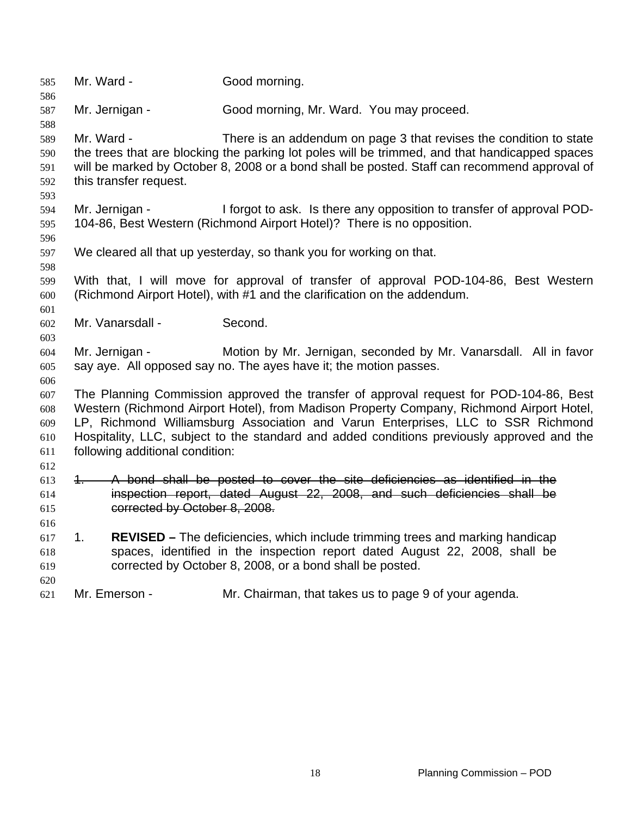Mr. Ward - Good morning. Mr. Jernigan - Good morning, Mr. Ward. You may proceed. Mr. Ward - There is an addendum on page 3 that revises the condition to state the trees that are blocking the parking lot poles will be trimmed, and that handicapped spaces will be marked by October 8, 2008 or a bond shall be posted. Staff can recommend approval of this transfer request. Mr. Jernigan - I forgot to ask. Is there any opposition to transfer of approval POD-104-86, Best Western (Richmond Airport Hotel)? There is no opposition. We cleared all that up yesterday, so thank you for working on that. With that, I will move for approval of transfer of approval POD-104-86, Best Western (Richmond Airport Hotel), with #1 and the clarification on the addendum. Mr. Vanarsdall - Second. Mr. Jernigan - **Motion by Mr. Jernigan, seconded by Mr. Vanarsdall.** All in favor say aye. All opposed say no. The ayes have it; the motion passes. The Planning Commission approved the transfer of approval request for POD-104-86, Best Western (Richmond Airport Hotel), from Madison Property Company, Richmond Airport Hotel, LP, Richmond Williamsburg Association and Varun Enterprises, LLC to SSR Richmond Hospitality, LLC, subject to the standard and added conditions previously approved and the following additional condition: 1. A bond shall be posted to cover the site deficiencies as identified in the inspection report, dated August 22, 2008, and such deficiencies shall be corrected by October 8, 2008. 1. **REVISED –** The deficiencies, which include trimming trees and marking handicap spaces, identified in the inspection report dated August 22, 2008, shall be corrected by October 8, 2008, or a bond shall be posted. Mr. Emerson - Mr. Chairman, that takes us to page 9 of your agenda.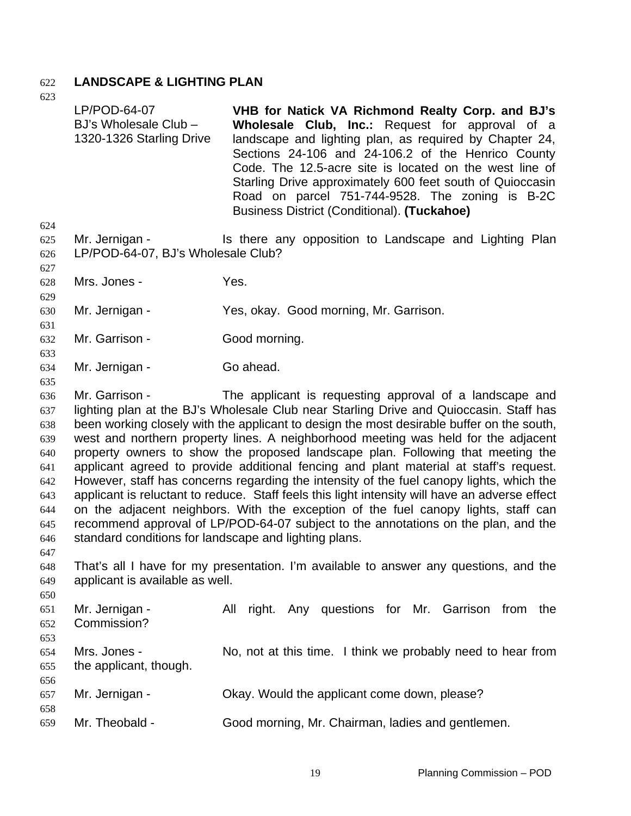## 622 **LANDSCAPE & LIGHTING PLAN**

623

658

624 625 626 627 628 629 630 631 632 633 634 635 636 637 638 639 640 641 642 643 644 645 646 647 648 649 650 651 652 653 654 655 656 LP/POD-64-07 BJ's Wholesale Club – 1320-1326 Starling Drive **VHB for Natick VA Richmond Realty Corp. and BJ's Wholesale Club, Inc.:** Request for approval of a landscape and lighting plan, as required by Chapter 24, Sections 24-106 and 24-106.2 of the Henrico County Code. The 12.5-acre site is located on the west line of Starling Drive approximately 600 feet south of Quioccasin Road on parcel 751-744-9528. The zoning is B-2C Business District (Conditional). **(Tuckahoe)**  Mr. Jernigan - Is there any opposition to Landscape and Lighting Plan LP/POD-64-07, BJ's Wholesale Club? Mrs. Jones - Yes. Mr. Jernigan - Yes, okay. Good morning, Mr. Garrison. Mr. Garrison - Good morning. Mr. Jernigan - Go ahead. Mr. Garrison - The applicant is requesting approval of a landscape and lighting plan at the BJ's Wholesale Club near Starling Drive and Quioccasin. Staff has been working closely with the applicant to design the most desirable buffer on the south, west and northern property lines. A neighborhood meeting was held for the adjacent property owners to show the proposed landscape plan. Following that meeting the applicant agreed to provide additional fencing and plant material at staff's request. However, staff has concerns regarding the intensity of the fuel canopy lights, which the applicant is reluctant to reduce. Staff feels this light intensity will have an adverse effect on the adjacent neighbors. With the exception of the fuel canopy lights, staff can recommend approval of LP/POD-64-07 subject to the annotations on the plan, and the standard conditions for landscape and lighting plans. That's all I have for my presentation. I'm available to answer any questions, and the applicant is available as well. Mr. Jernigan - The All right. Any questions for Mr. Garrison from the Commission? Mrs. Jones - No, not at this time. I think we probably need to hear from the applicant, though.

- 657 Mr. Jernigan - Okay. Would the applicant come down, please?
- 659 Mr. Theobald - Good morning, Mr. Chairman, ladies and gentlemen.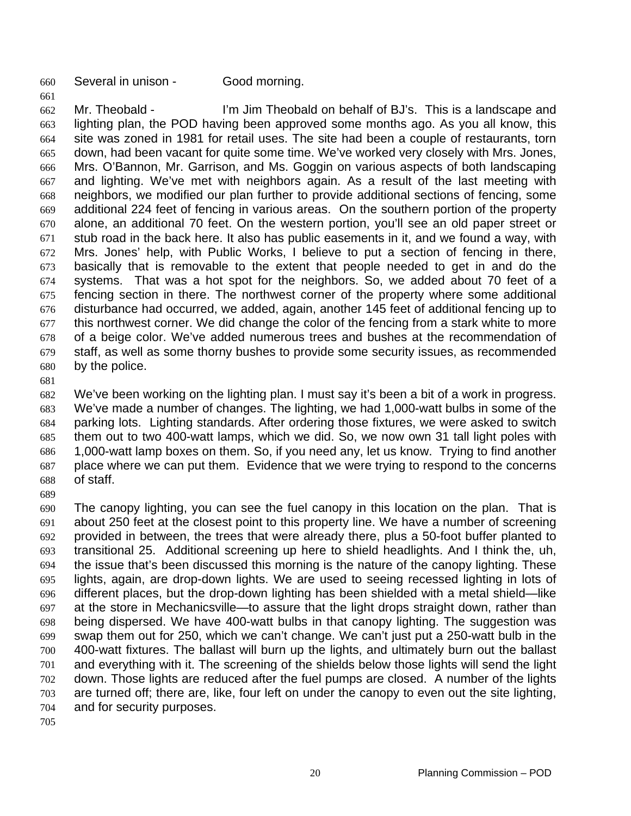660 Several in unison - Good morning.

662 663 664 665 666 667 668 669 670 671 672 673 674 675 676 677 678 679 680 Mr. Theobald - I'm Jim Theobald on behalf of BJ's. This is a landscape and lighting plan, the POD having been approved some months ago. As you all know, this site was zoned in 1981 for retail uses. The site had been a couple of restaurants, torn down, had been vacant for quite some time. We've worked very closely with Mrs. Jones, Mrs. O'Bannon, Mr. Garrison, and Ms. Goggin on various aspects of both landscaping and lighting. We've met with neighbors again. As a result of the last meeting with neighbors, we modified our plan further to provide additional sections of fencing, some additional 224 feet of fencing in various areas. On the southern portion of the property alone, an additional 70 feet. On the western portion, you'll see an old paper street or stub road in the back here. It also has public easements in it, and we found a way, with Mrs. Jones' help, with Public Works, I believe to put a section of fencing in there, basically that is removable to the extent that people needed to get in and do the systems. That was a hot spot for the neighbors. So, we added about 70 feet of a fencing section in there. The northwest corner of the property where some additional disturbance had occurred, we added, again, another 145 feet of additional fencing up to this northwest corner. We did change the color of the fencing from a stark white to more of a beige color. We've added numerous trees and bushes at the recommendation of staff, as well as some thorny bushes to provide some security issues, as recommended by the police.

681

661

682 683 684 685 686 687 688 We've been working on the lighting plan. I must say it's been a bit of a work in progress. We've made a number of changes. The lighting, we had 1,000-watt bulbs in some of the parking lots. Lighting standards. After ordering those fixtures, we were asked to switch them out to two 400-watt lamps, which we did. So, we now own 31 tall light poles with 1,000-watt lamp boxes on them. So, if you need any, let us know. Trying to find another place where we can put them. Evidence that we were trying to respond to the concerns of staff.

689

690 691 692 693 694 695 696 697 698 699 700 701 702 703 704 The canopy lighting, you can see the fuel canopy in this location on the plan. That is about 250 feet at the closest point to this property line. We have a number of screening provided in between, the trees that were already there, plus a 50-foot buffer planted to transitional 25. Additional screening up here to shield headlights. And I think the, uh, the issue that's been discussed this morning is the nature of the canopy lighting. These lights, again, are drop-down lights. We are used to seeing recessed lighting in lots of different places, but the drop-down lighting has been shielded with a metal shield—like at the store in Mechanicsville—to assure that the light drops straight down, rather than being dispersed. We have 400-watt bulbs in that canopy lighting. The suggestion was swap them out for 250, which we can't change. We can't just put a 250-watt bulb in the 400-watt fixtures. The ballast will burn up the lights, and ultimately burn out the ballast and everything with it. The screening of the shields below those lights will send the light down. Those lights are reduced after the fuel pumps are closed. A number of the lights are turned off; there are, like, four left on under the canopy to even out the site lighting, and for security purposes.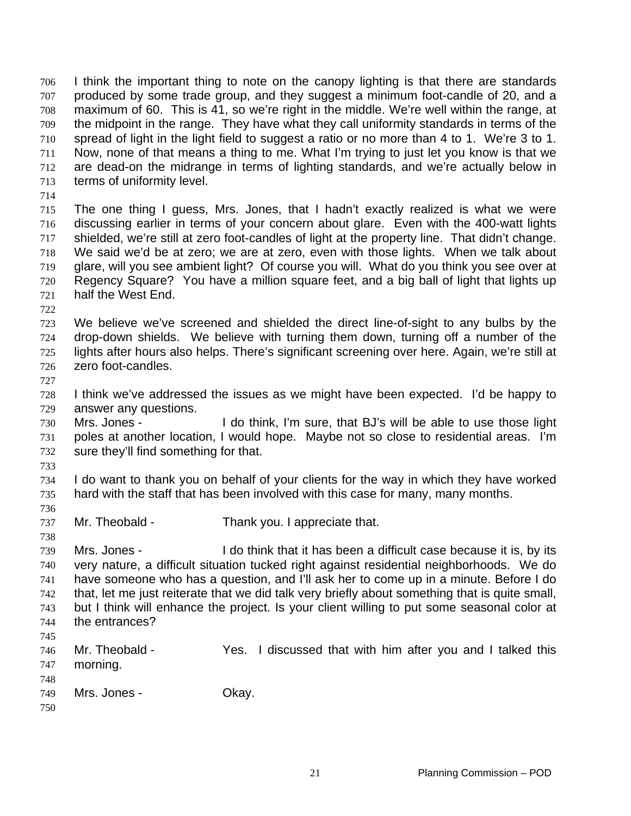I think the important thing to note on the canopy lighting is that there are standards produced by some trade group, and they suggest a minimum foot-candle of 20, and a maximum of 60. This is 41, so we're right in the middle. We're well within the range, at the midpoint in the range. They have what they call uniformity standards in terms of the spread of light in the light field to suggest a ratio or no more than 4 to 1. We're 3 to 1. Now, none of that means a thing to me. What I'm trying to just let you know is that we are dead-on the midrange in terms of lighting standards, and we're actually below in terms of uniformity level. 706 707 708 709 710 711 712 713 714 715 716 717 718 719 720 721 722 723 724 725 726 727 728 729 730 731 732 733 734 735 736 737 738 739 740 741 742 743 744 745 746 747 748 749 The one thing I guess, Mrs. Jones, that I hadn't exactly realized is what we were discussing earlier in terms of your concern about glare. Even with the 400-watt lights shielded, we're still at zero foot-candles of light at the property line. That didn't change. We said we'd be at zero; we are at zero, even with those lights. When we talk about glare, will you see ambient light? Of course you will. What do you think you see over at Regency Square? You have a million square feet, and a big ball of light that lights up half the West End. We believe we've screened and shielded the direct line-of-sight to any bulbs by the drop-down shields. We believe with turning them down, turning off a number of the lights after hours also helps. There's significant screening over here. Again, we're still at zero foot-candles. I think we've addressed the issues as we might have been expected. I'd be happy to answer any questions. Mrs. Jones - I do think, I'm sure, that BJ's will be able to use those light poles at another location, I would hope. Maybe not so close to residential areas. I'm sure they'll find something for that. I do want to thank you on behalf of your clients for the way in which they have worked hard with the staff that has been involved with this case for many, many months. Mr. Theobald - Thank you. I appreciate that. Mrs. Jones - I do think that it has been a difficult case because it is, by its very nature, a difficult situation tucked right against residential neighborhoods. We do have someone who has a question, and I'll ask her to come up in a minute. Before I do that, let me just reiterate that we did talk very briefly about something that is quite small, but I think will enhance the project. Is your client willing to put some seasonal color at the entrances? Mr. Theobald - Theobald - The Yes. I discussed that with him after you and I talked this morning. Mrs. Jones - Chay.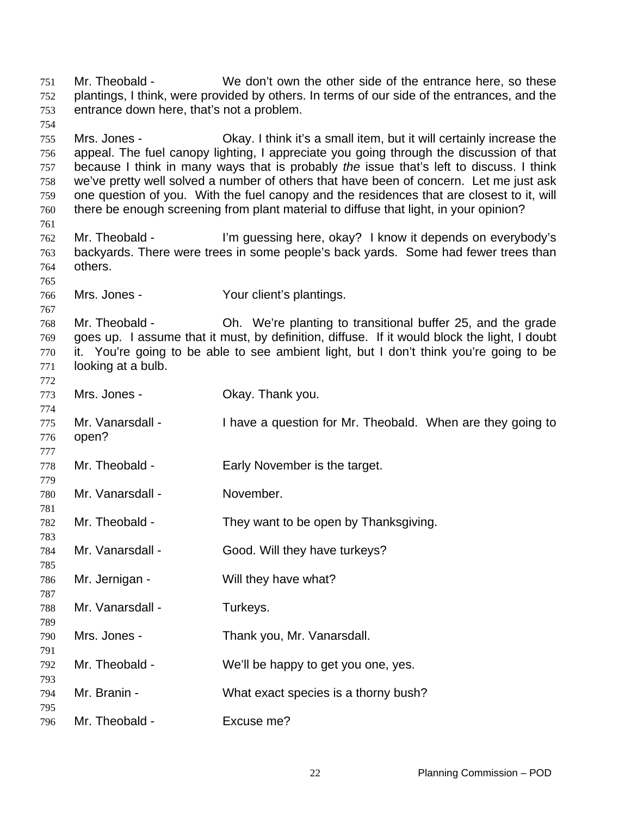Mr. Theobald - We don't own the other side of the entrance here, so these plantings, I think, were provided by others. In terms of our side of the entrances, and the entrance down here, that's not a problem. Mrs. Jones - Okay. I think it's a small item, but it will certainly increase the appeal. The fuel canopy lighting, I appreciate you going through the discussion of that because I think in many ways that is probably *the* issue that's left to discuss. I think we've pretty well solved a number of others that have been of concern. Let me just ask one question of you. With the fuel canopy and the residences that are closest to it, will there be enough screening from plant material to diffuse that light, in your opinion? Mr. Theobald - I'm guessing here, okay? I know it depends on everybody's backyards. There were trees in some people's back yards. Some had fewer trees than others. Mrs. Jones - Your client's plantings. Mr. Theobald - Ch. We're planting to transitional buffer 25, and the grade goes up. I assume that it must, by definition, diffuse. If it would block the light, I doubt it. You're going to be able to see ambient light, but I don't think you're going to be looking at a bulb. Mrs. Jones - Ckay. Thank you. Mr. Vanarsdall - I have a question for Mr. Theobald. When are they going to open? Mr. Theobald - Early November is the target. Mr. Vanarsdall - November. Mr. Theobald - They want to be open by Thanksgiving. Mr. Vanarsdall - Good. Will they have turkeys? Mr. Jernigan - Will they have what? Mr. Vanarsdall - Turkeys. Mrs. Jones - Thank you, Mr. Vanarsdall. Mr. Theobald - We'll be happy to get you one, yes. Mr. Branin - What exact species is a thorny bush? Mr. Theobald - Excuse me?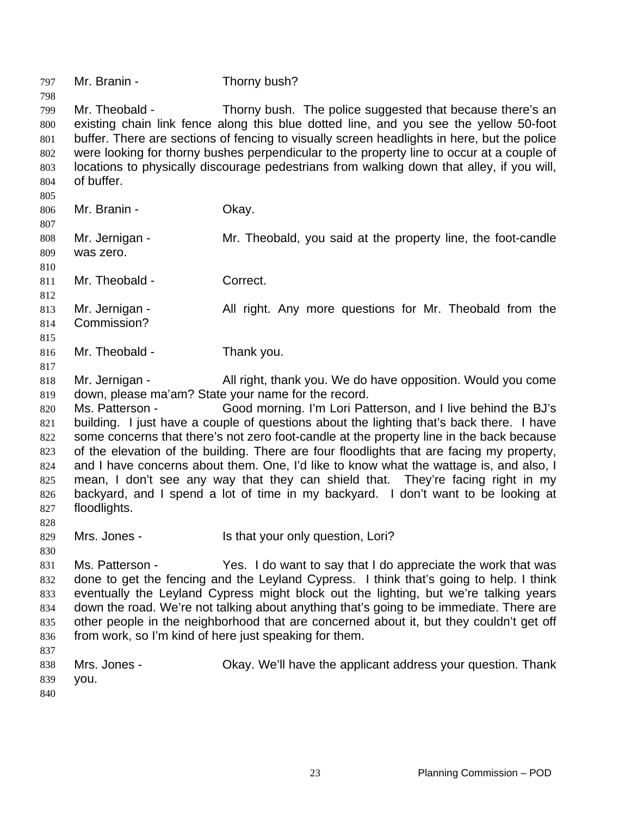797 Mr. Branin - Thorny bush? 798 799 800 801 802 803 804 805 806 807 808 809 810 811 812 813 814 815 816 817 818 819 820 821 822 823 824 825 826 827 828 829 830 831 832 833 834 835 836 837 838 839 840 Mr. Theobald - Thorny bush. The police suggested that because there's an existing chain link fence along this blue dotted line, and you see the yellow 50-foot buffer. There are sections of fencing to visually screen headlights in here, but the police were looking for thorny bushes perpendicular to the property line to occur at a couple of locations to physically discourage pedestrians from walking down that alley, if you will, of buffer. Mr. Branin - Ckay. Mr. Jernigan - Mr. Theobald, you said at the property line, the foot-candle was zero. Mr. Theobald - Correct. Mr. Jernigan - All right. Any more questions for Mr. Theobald from the Commission? Mr. Theobald - Thank you. Mr. Jernigan - All right, thank you. We do have opposition. Would you come down, please ma'am? State your name for the record. Ms. Patterson - Good morning. I'm Lori Patterson, and I live behind the BJ's building. I just have a couple of questions about the lighting that's back there. I have some concerns that there's not zero foot-candle at the property line in the back because of the elevation of the building. There are four floodlights that are facing my property, and I have concerns about them. One, I'd like to know what the wattage is, and also, I mean, I don't see any way that they can shield that. They're facing right in my backyard, and I spend a lot of time in my backyard. I don't want to be looking at floodlights. Mrs. Jones - Is that your only question, Lori? Ms. Patterson - Yes. I do want to say that I do appreciate the work that was done to get the fencing and the Leyland Cypress. I think that's going to help. I think eventually the Leyland Cypress might block out the lighting, but we're talking years down the road. We're not talking about anything that's going to be immediate. There are other people in the neighborhood that are concerned about it, but they couldn't get off from work, so I'm kind of here just speaking for them. Mrs. Jones - **Okay. We'll have the applicant address your question. Thank** you.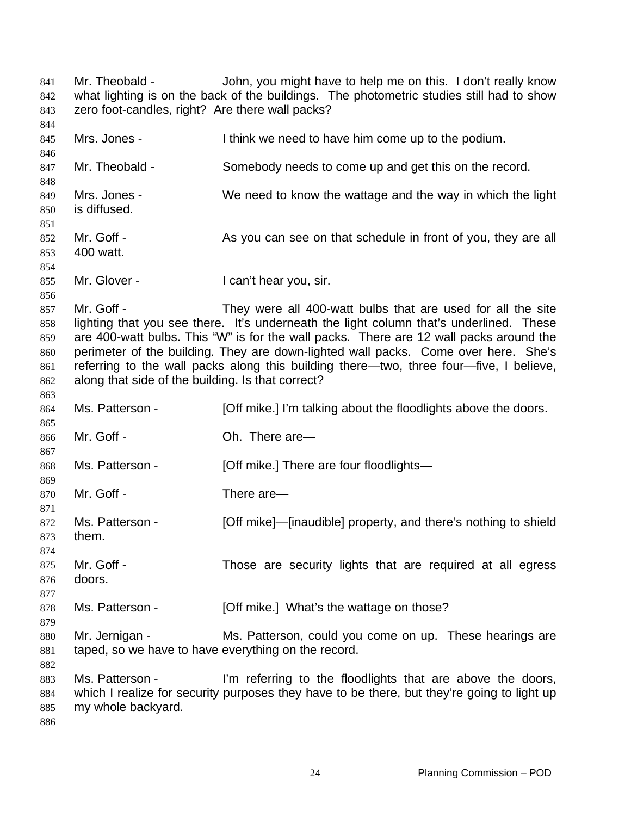Mr. Theobald - John, you might have to help me on this. I don't really know what lighting is on the back of the buildings. The photometric studies still had to show zero foot-candles, right? Are there wall packs? Mrs. Jones - Think we need to have him come up to the podium. Mr. Theobald - Somebody needs to come up and get this on the record. Mrs. Jones - We need to know the wattage and the way in which the light is diffused. Mr. Goff - As you can see on that schedule in front of you, they are all 400 watt. Mr. Glover - The Can't hear you, sir. Mr. Goff - They were all 400-watt bulbs that are used for all the site lighting that you see there. It's underneath the light column that's underlined. These are 400-watt bulbs. This "W" is for the wall packs. There are 12 wall packs around the perimeter of the building. They are down-lighted wall packs. Come over here. She's referring to the wall packs along this building there—two, three four—five, I believe, along that side of the building. Is that correct? Ms. Patterson - [Off mike.] I'm talking about the floodlights above the doors. Mr. Goff - Ch. There are— Ms. Patterson - **[Off mike.]** There are four floodlights— Mr. Goff - There are— Ms. Patterson - [Off mike]—[inaudible] property, and there's nothing to shield them. Mr. Goff - Those are security lights that are required at all egress doors. Ms. Patterson - [Off mike.] What's the wattage on those? Mr. Jernigan - Ms. Patterson, could you come on up. These hearings are taped, so we have to have everything on the record. Ms. Patterson - I'm referring to the floodlights that are above the doors, which I realize for security purposes they have to be there, but they're going to light up my whole backyard.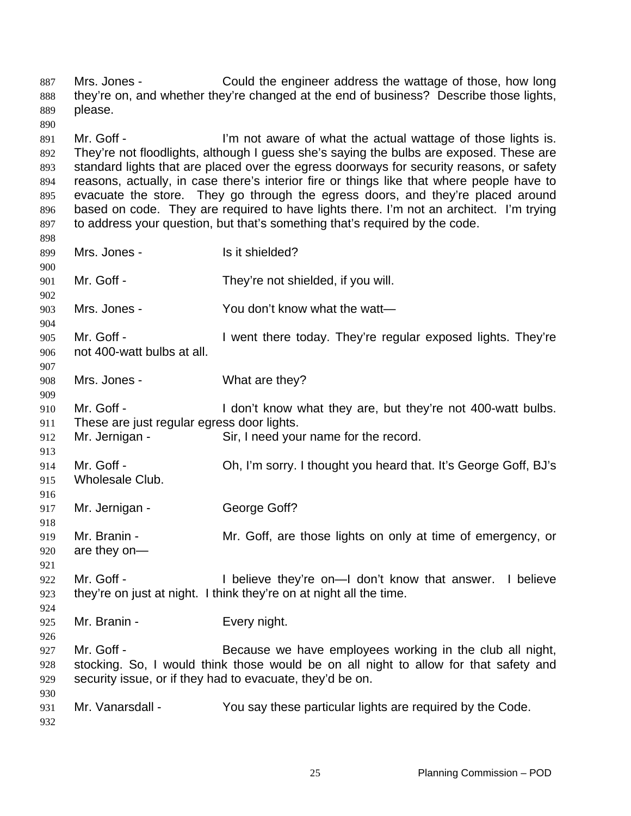Mrs. Jones - Could the engineer address the wattage of those, how long they're on, and whether they're changed at the end of business? Describe those lights, please. Mr. Goff - The I'm not aware of what the actual wattage of those lights is. They're not floodlights, although I guess she's saying the bulbs are exposed. These are standard lights that are placed over the egress doorways for security reasons, or safety reasons, actually, in case there's interior fire or things like that where people have to evacuate the store. They go through the egress doors, and they're placed around based on code. They are required to have lights there. I'm not an architect. I'm trying to address your question, but that's something that's required by the code. Mrs. Jones - Is it shielded? Mr. Goff - They're not shielded, if you will. Mrs. Jones - You don't know what the watt— Mr. Goff - I went there today. They're regular exposed lights. They're not 400-watt bulbs at all. Mrs. Jones - What are they? Mr. Goff - I don't know what they are, but they're not 400-watt bulbs. These are just regular egress door lights. Mr. Jernigan - Sir. I need your name for the record. Mr. Goff - Oh, I'm sorry. I thought you heard that. It's George Goff, BJ's Wholesale Club. Mr. Jernigan - George Goff? Mr. Branin - Mr. Goff, are those lights on only at time of emergency, or are they on— Mr. Goff - The Muslim Coff - I believe they're on—I don't know that answer. I believe they're on just at night. I think they're on at night all the time. Mr. Branin - Every night. Mr. Goff - Because we have employees working in the club all night, stocking. So, I would think those would be on all night to allow for that safety and security issue, or if they had to evacuate, they'd be on. Mr. Vanarsdall - You say these particular lights are required by the Code.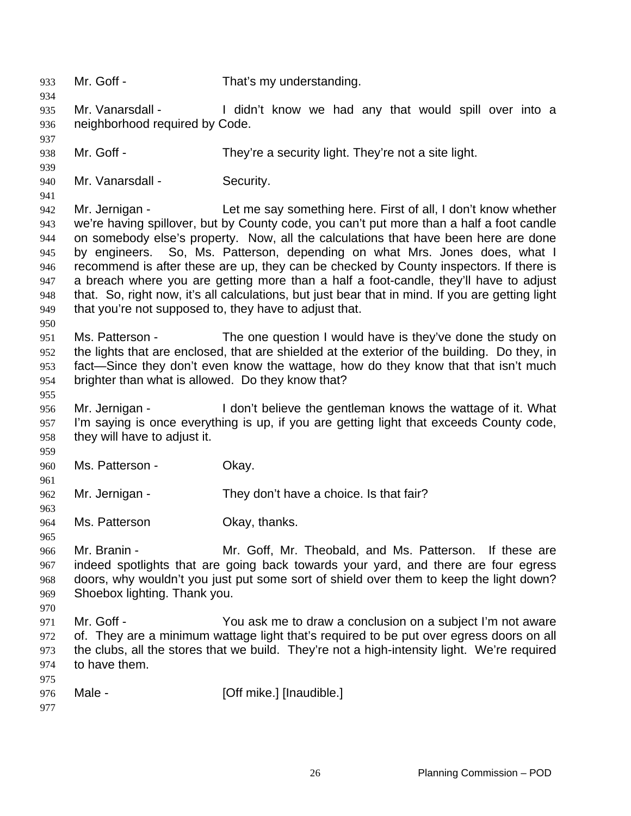933 Mr. Goff - That's my understanding. 934 935 936 937 938 939 940 941 942 943 944 945 946 947 948 949 950 951 952 953 954 955 956 957 958 959 960 961 962 963 964 965 966 967 968 969 970 971 972 973 974 975 976 977 Mr. Vanarsdall - I didn't know we had any that would spill over into a neighborhood required by Code. Mr. Goff - They're a security light. They're not a site light. Mr. Vanarsdall - Security. Mr. Jernigan - Let me say something here. First of all, I don't know whether we're having spillover, but by County code, you can't put more than a half a foot candle on somebody else's property. Now, all the calculations that have been here are done by engineers. So, Ms. Patterson, depending on what Mrs. Jones does, what I recommend is after these are up, they can be checked by County inspectors. If there is a breach where you are getting more than a half a foot-candle, they'll have to adjust that. So, right now, it's all calculations, but just bear that in mind. If you are getting light that you're not supposed to, they have to adjust that. Ms. Patterson - The one question I would have is they've done the study on the lights that are enclosed, that are shielded at the exterior of the building. Do they, in fact—Since they don't even know the wattage, how do they know that that isn't much brighter than what is allowed. Do they know that? Mr. Jernigan - The I don't believe the gentleman knows the wattage of it. What I'm saying is once everything is up, if you are getting light that exceeds County code, they will have to adjust it. Ms. Patterson - Chay. Mr. Jernigan - They don't have a choice. Is that fair? Ms. Patterson **Okay**, thanks. Mr. Branin - The Mr. Goff, Mr. Theobald, and Ms. Patterson. If these are indeed spotlights that are going back towards your yard, and there are four egress doors, why wouldn't you just put some sort of shield over them to keep the light down? Shoebox lighting. Thank you. Mr. Goff - You ask me to draw a conclusion on a subject I'm not aware of. They are a minimum wattage light that's required to be put over egress doors on all the clubs, all the stores that we build. They're not a high-intensity light. We're required to have them. Male - [Off mike.] [Inaudible.]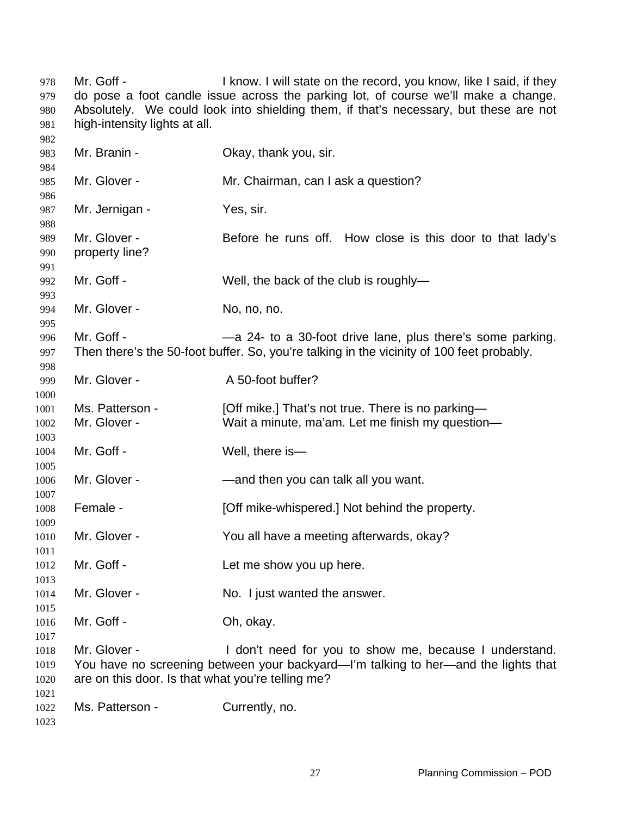Mr. Goff - I know. I will state on the record, you know, like I said, if they do pose a foot candle issue across the parking lot, of course we'll make a change. Absolutely. We could look into shielding them, if that's necessary, but these are not high-intensity lights at all. Mr. Branin - Ckay, thank you, sir. Mr. Glover - Mr. Chairman, can I ask a question? Mr. Jernigan - Yes, sir. Mr. Glover - Before he runs off. How close is this door to that lady's property line? Mr. Goff - Well, the back of the club is roughly-Mr. Glover - No, no, no. Mr. Goff - — —a 24- to a 30-foot drive lane, plus there's some parking. Then there's the 50-foot buffer. So, you're talking in the vicinity of 100 feet probably. Mr. Glover - A 50-foot buffer? Ms. Patterson - [Off mike.] That's not true. There is no parking— Mr. Glover - Wait a minute, ma'am. Let me finish my question— Mr. Goff - Well, there is Mr. Glover - — — — — — and then you can talk all you want. Female - [Off mike-whispered.] Not behind the property. Mr. Glover - You all have a meeting afterwards, okay? Mr. Goff - Let me show you up here. Mr. Glover - No. I just wanted the answer. Mr. Goff - Ch. okay. Mr. Glover - The State of I don't need for you to show me, because I understand. You have no screening between your backyard—I'm talking to her—and the lights that are on this door. Is that what you're telling me? Ms. Patterson - Currently, no.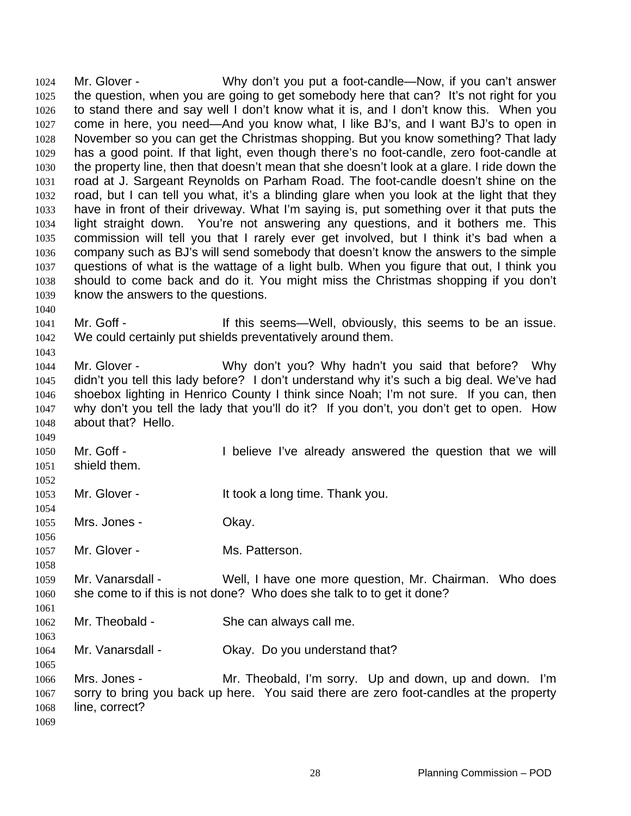Mr. Glover - Why don't you put a foot-candle—Now, if you can't answer the question, when you are going to get somebody here that can? It's not right for you to stand there and say well I don't know what it is, and I don't know this. When you come in here, you need—And you know what, I like BJ's, and I want BJ's to open in November so you can get the Christmas shopping. But you know something? That lady has a good point. If that light, even though there's no foot-candle, zero foot-candle at the property line, then that doesn't mean that she doesn't look at a glare. I ride down the road at J. Sargeant Reynolds on Parham Road. The foot-candle doesn't shine on the road, but I can tell you what, it's a blinding glare when you look at the light that they have in front of their driveway. What I'm saying is, put something over it that puts the light straight down. You're not answering any questions, and it bothers me. This commission will tell you that I rarely ever get involved, but I think it's bad when a company such as BJ's will send somebody that doesn't know the answers to the simple questions of what is the wattage of a light bulb. When you figure that out, I think you should to come back and do it. You might miss the Christmas shopping if you don't know the answers to the questions. 1024 1025 1026 1027 1028 1029 1030 1031 1032 1033 1034 1035 1036 1037 1038 1039 1040

- 1041 1042 Mr. Goff - This seems—Well, obviously, this seems to be an issue. We could certainly put shields preventatively around them.
- 1044 1045 1046 1047 1048 Mr. Glover - Why don't you? Why hadn't you said that before? Why didn't you tell this lady before? I don't understand why it's such a big deal. We've had shoebox lighting in Henrico County I think since Noah; I'm not sure. If you can, then why don't you tell the lady that you'll do it? If you don't, you don't get to open. How about that? Hello.
- 1049 1050 1051 Mr. Goff - The I believe I've already answered the question that we will shield them.
- 1053 Mr. Glover - The Muslim Littook a long time. Thank you.
- 1055 Mrs. Jones - Chay.

1043

1052

1054

1058

1061

1063

- 1056 1057 Mr. Glover - Ms. Patterson.
- 1059 1060 Mr. Vanarsdall - Well, I have one more question, Mr. Chairman. Who does she come to if this is not done? Who does she talk to to get it done?
- 1062 Mr. Theobald - She can always call me.
- 1064 Mr. Vanarsdall - Chay. Do you understand that?
- 1066 1067 1068 1069 Mrs. Jones - **Mr.** Theobald, I'm sorry. Up and down, up and down. I'm sorry to bring you back up here. You said there are zero foot-candles at the property line, correct?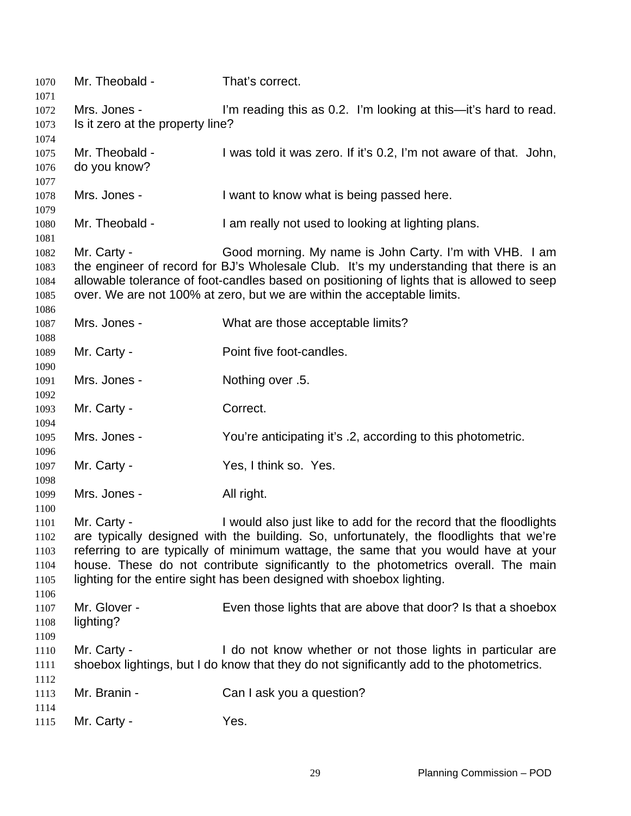| 1070<br>1071                                         | Mr. Theobald -                                                                                                                                                                                                                                                                                                                                                                                                                     | That's correct.                                                                                                                                                                                                                                                                                                            |
|------------------------------------------------------|------------------------------------------------------------------------------------------------------------------------------------------------------------------------------------------------------------------------------------------------------------------------------------------------------------------------------------------------------------------------------------------------------------------------------------|----------------------------------------------------------------------------------------------------------------------------------------------------------------------------------------------------------------------------------------------------------------------------------------------------------------------------|
| 1072<br>1073                                         | Mrs. Jones -<br>Is it zero at the property line?                                                                                                                                                                                                                                                                                                                                                                                   | I'm reading this as 0.2. I'm looking at this—it's hard to read.                                                                                                                                                                                                                                                            |
| 1074<br>1075<br>1076<br>1077                         | Mr. Theobald -<br>do you know?                                                                                                                                                                                                                                                                                                                                                                                                     | I was told it was zero. If it's 0.2, I'm not aware of that. John,                                                                                                                                                                                                                                                          |
| 1078<br>1079                                         | Mrs. Jones -                                                                                                                                                                                                                                                                                                                                                                                                                       | I want to know what is being passed here.                                                                                                                                                                                                                                                                                  |
| 1080<br>1081                                         | Mr. Theobald -                                                                                                                                                                                                                                                                                                                                                                                                                     | I am really not used to looking at lighting plans.                                                                                                                                                                                                                                                                         |
| 1082<br>1083<br>1084<br>1085                         | Mr. Carty -                                                                                                                                                                                                                                                                                                                                                                                                                        | Good morning. My name is John Carty. I'm with VHB. I am<br>the engineer of record for BJ's Wholesale Club. It's my understanding that there is an<br>allowable tolerance of foot-candles based on positioning of lights that is allowed to seep<br>over. We are not 100% at zero, but we are within the acceptable limits. |
| 1086<br>1087                                         | Mrs. Jones -                                                                                                                                                                                                                                                                                                                                                                                                                       | What are those acceptable limits?                                                                                                                                                                                                                                                                                          |
| 1088<br>1089                                         | Mr. Carty -                                                                                                                                                                                                                                                                                                                                                                                                                        | Point five foot-candles.                                                                                                                                                                                                                                                                                                   |
| 1090<br>1091                                         | Mrs. Jones -                                                                                                                                                                                                                                                                                                                                                                                                                       | Nothing over .5.                                                                                                                                                                                                                                                                                                           |
| 1092<br>1093                                         | Mr. Carty -                                                                                                                                                                                                                                                                                                                                                                                                                        | Correct.                                                                                                                                                                                                                                                                                                                   |
| 1094<br>1095                                         | Mrs. Jones -                                                                                                                                                                                                                                                                                                                                                                                                                       | You're anticipating it's .2, according to this photometric.                                                                                                                                                                                                                                                                |
| 1096<br>1097                                         | Mr. Carty -                                                                                                                                                                                                                                                                                                                                                                                                                        | Yes, I think so. Yes.                                                                                                                                                                                                                                                                                                      |
| 1098<br>1099                                         | Mrs. Jones -                                                                                                                                                                                                                                                                                                                                                                                                                       | All right.                                                                                                                                                                                                                                                                                                                 |
| 1100<br>1101<br>1102<br>1103<br>1104<br>1105<br>1106 | I would also just like to add for the record that the floodlights<br>Mr. Carty -<br>are typically designed with the building. So, unfortunately, the floodlights that we're<br>referring to are typically of minimum wattage, the same that you would have at your<br>house. These do not contribute significantly to the photometrics overall. The main<br>lighting for the entire sight has been designed with shoebox lighting. |                                                                                                                                                                                                                                                                                                                            |
| 1107<br>1108<br>1109                                 | Mr. Glover -<br>lighting?                                                                                                                                                                                                                                                                                                                                                                                                          | Even those lights that are above that door? Is that a shoebox                                                                                                                                                                                                                                                              |
| 1110<br>1111<br>1112                                 | Mr. Carty -                                                                                                                                                                                                                                                                                                                                                                                                                        | I do not know whether or not those lights in particular are<br>shoebox lightings, but I do know that they do not significantly add to the photometrics.                                                                                                                                                                    |
| 1113<br>1114                                         | Mr. Branin -                                                                                                                                                                                                                                                                                                                                                                                                                       | Can I ask you a question?                                                                                                                                                                                                                                                                                                  |
| 1115                                                 | Mr. Carty -                                                                                                                                                                                                                                                                                                                                                                                                                        | Yes.                                                                                                                                                                                                                                                                                                                       |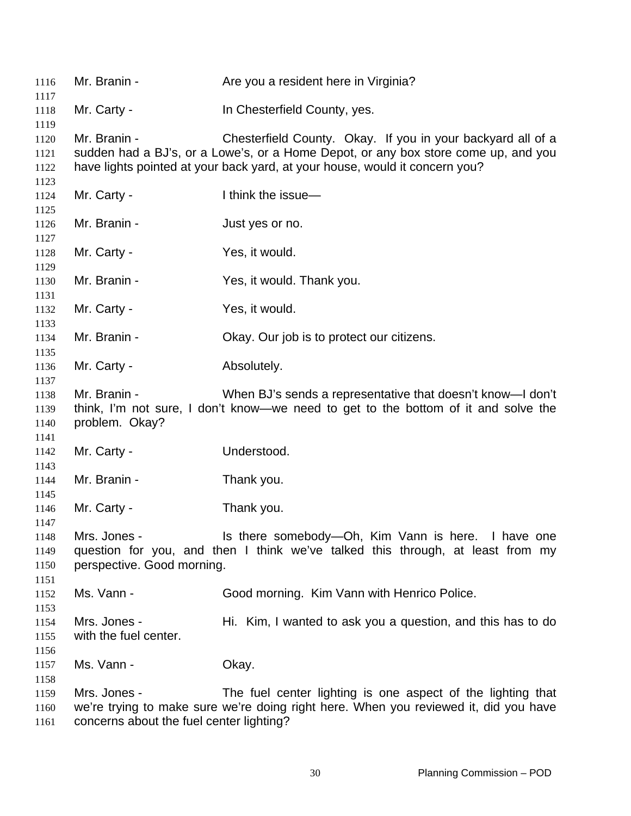| 1116                         | Mr. Branin -                                             | Are you a resident here in Virginia?                                                                                                                                                                                             |
|------------------------------|----------------------------------------------------------|----------------------------------------------------------------------------------------------------------------------------------------------------------------------------------------------------------------------------------|
| 1117<br>1118                 | Mr. Carty -                                              | In Chesterfield County, yes.                                                                                                                                                                                                     |
| 1119                         |                                                          |                                                                                                                                                                                                                                  |
| 1120<br>1121<br>1122<br>1123 | Mr. Branin -                                             | Chesterfield County. Okay. If you in your backyard all of a<br>sudden had a BJ's, or a Lowe's, or a Home Depot, or any box store come up, and you<br>have lights pointed at your back yard, at your house, would it concern you? |
| 1124<br>1125                 | Mr. Carty -                                              | I think the issue-                                                                                                                                                                                                               |
| 1126<br>1127                 | Mr. Branin -                                             | Just yes or no.                                                                                                                                                                                                                  |
| 1128<br>1129                 | Mr. Carty -                                              | Yes, it would.                                                                                                                                                                                                                   |
| 1130<br>1131                 | Mr. Branin -                                             | Yes, it would. Thank you.                                                                                                                                                                                                        |
| 1132<br>1133                 | Mr. Carty -                                              | Yes, it would.                                                                                                                                                                                                                   |
| 1134<br>1135                 | Mr. Branin -                                             | Okay. Our job is to protect our citizens.                                                                                                                                                                                        |
| 1136<br>1137                 | Mr. Carty -                                              | Absolutely.                                                                                                                                                                                                                      |
| 1138<br>1139<br>1140         | Mr. Branin -<br>problem. Okay?                           | When BJ's sends a representative that doesn't know—I don't<br>think, I'm not sure, I don't know—we need to get to the bottom of it and solve the                                                                                 |
| 1141<br>1142<br>1143         | Mr. Carty -                                              | Understood.                                                                                                                                                                                                                      |
| 1144<br>1145                 | Mr. Branin -                                             | Thank you.                                                                                                                                                                                                                       |
| 1146<br>1147                 | Mr. Carty -                                              | Thank you.                                                                                                                                                                                                                       |
| 1148<br>1149                 | Mrs. Jones -                                             | Is there somebody-Oh, Kim Vann is here. I have one<br>question for you, and then I think we've talked this through, at least from my                                                                                             |
| 1150<br>1151                 | perspective. Good morning.                               |                                                                                                                                                                                                                                  |
| 1152<br>1153                 | Ms. Vann -                                               | Good morning. Kim Vann with Henrico Police.                                                                                                                                                                                      |
| 1154<br>1155<br>1156         | Mrs. Jones -<br>with the fuel center.                    | Hi. Kim, I wanted to ask you a question, and this has to do                                                                                                                                                                      |
| 1157<br>1158                 | Ms. Vann -                                               | Okay.                                                                                                                                                                                                                            |
| 1159<br>1160<br>1161         | Mrs. Jones -<br>concorns about the fuel conter lighting? | The fuel center lighting is one aspect of the lighting that<br>we're trying to make sure we're doing right here. When you reviewed it, did you have                                                                              |

 concerns about the fuel center lighting?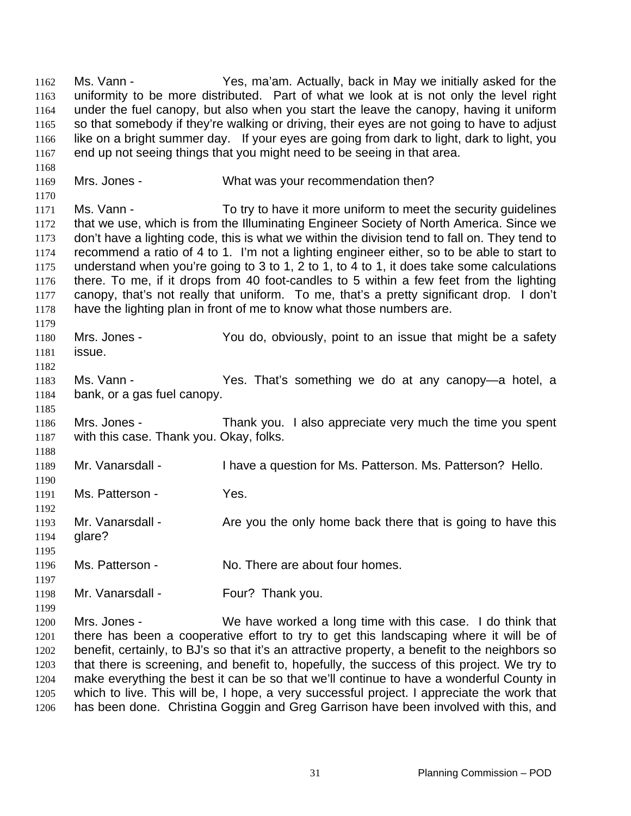Ms. Vann - The Yes, ma'am. Actually, back in May we initially asked for the uniformity to be more distributed. Part of what we look at is not only the level right under the fuel canopy, but also when you start the leave the canopy, having it uniform so that somebody if they're walking or driving, their eyes are not going to have to adjust like on a bright summer day. If your eyes are going from dark to light, dark to light, you end up not seeing things that you might need to be seeing in that area. 1162 1163 1164 1165 1166 1167 1168 1169 1170 1171 1172 1173 1174 1175 1176 1177 1178 1179 1180 1181 1182 1183 1184 1185 1186 1187 1188 1189 1190 1191 1192 1193 1194 1195 1196 1197 1198 1199 1200 1201 1202 1203 1204 Mrs. Jones - What was your recommendation then? Ms. Vann - To try to have it more uniform to meet the security guidelines that we use, which is from the Illuminating Engineer Society of North America. Since we don't have a lighting code, this is what we within the division tend to fall on. They tend to recommend a ratio of 4 to 1. I'm not a lighting engineer either, so to be able to start to understand when you're going to 3 to 1, 2 to 1, to 4 to 1, it does take some calculations there. To me, if it drops from 40 foot-candles to 5 within a few feet from the lighting canopy, that's not really that uniform. To me, that's a pretty significant drop. I don't have the lighting plan in front of me to know what those numbers are. Mrs. Jones - You do, obviously, point to an issue that might be a safety issue. Ms. Vann - The Yes. That's something we do at any canopy-a hotel, a bank, or a gas fuel canopy. Mrs. Jones - Thank you. I also appreciate very much the time you spent with this case. Thank you. Okay, folks. Mr. Vanarsdall - I have a question for Ms. Patterson. Ms. Patterson? Hello. Ms. Patterson - Yes. Mr. Vanarsdall - Are you the only home back there that is going to have this glare? Ms. Patterson - No. There are about four homes. Mr. Vanarsdall - Four? Thank you. Mrs. Jones - We have worked a long time with this case. I do think that there has been a cooperative effort to try to get this landscaping where it will be of benefit, certainly, to BJ's so that it's an attractive property, a benefit to the neighbors so that there is screening, and benefit to, hopefully, the success of this project. We try to make everything the best it can be so that we'll continue to have a wonderful County in

1205 1206 which to live. This will be, I hope, a very successful project. I appreciate the work that has been done. Christina Goggin and Greg Garrison have been involved with this, and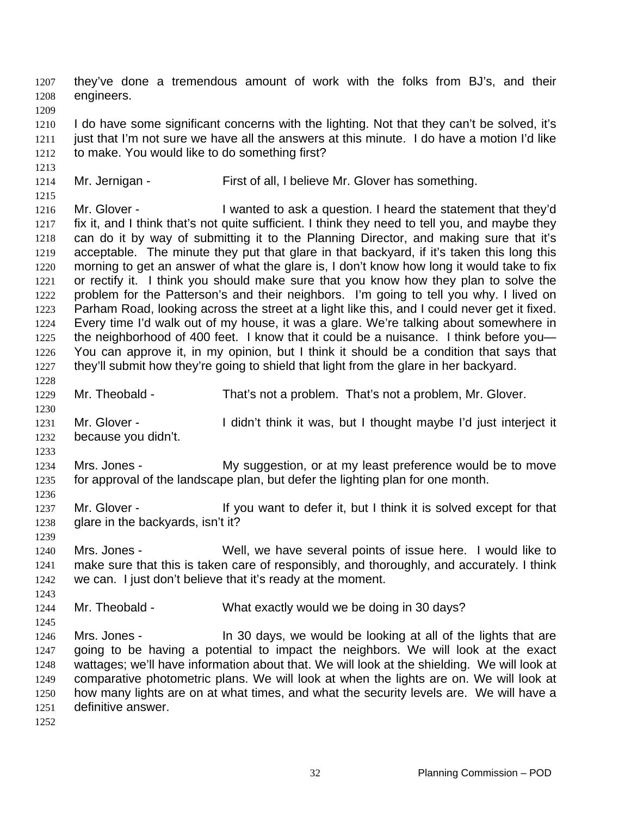they've done a tremendous amount of work with the folks from BJ's, and their engineers. 1207 1208 1209 1210 1211 1212 1213 1214 1215 1216 1217 1218 1219 1220 1221 1222 1223 1224 1225 1226 1227 1228 1229 1230 1231 1232 1233 1234 1235 1236 1237 1238 1239 1240 1241 1242 1243 1244 1245 1246 1247 1248 1249 1250 1251 1252 I do have some significant concerns with the lighting. Not that they can't be solved, it's just that I'm not sure we have all the answers at this minute. I do have a motion I'd like to make. You would like to do something first? Mr. Jernigan - First of all, I believe Mr. Glover has something. Mr. Glover - I wanted to ask a question. I heard the statement that they'd fix it, and I think that's not quite sufficient. I think they need to tell you, and maybe they can do it by way of submitting it to the Planning Director, and making sure that it's acceptable. The minute they put that glare in that backyard, if it's taken this long this morning to get an answer of what the glare is, I don't know how long it would take to fix or rectify it. I think you should make sure that you know how they plan to solve the problem for the Patterson's and their neighbors. I'm going to tell you why. I lived on Parham Road, looking across the street at a light like this, and I could never get it fixed. Every time I'd walk out of my house, it was a glare. We're talking about somewhere in the neighborhood of 400 feet. I know that it could be a nuisance. I think before you— You can approve it, in my opinion, but I think it should be a condition that says that they'll submit how they're going to shield that light from the glare in her backyard. Mr. Theobald - That's not a problem. That's not a problem, Mr. Glover. Mr. Glover - I didn't think it was, but I thought maybe I'd just interject it because you didn't. Mrs. Jones - My suggestion, or at my least preference would be to move for approval of the landscape plan, but defer the lighting plan for one month. Mr. Glover - If you want to defer it, but I think it is solved except for that glare in the backyards, isn't it? Mrs. Jones - Well, we have several points of issue here. I would like to make sure that this is taken care of responsibly, and thoroughly, and accurately. I think we can. I just don't believe that it's ready at the moment. Mr. Theobald - What exactly would we be doing in 30 days? Mrs. Jones - In 30 days, we would be looking at all of the lights that are going to be having a potential to impact the neighbors. We will look at the exact wattages; we'll have information about that. We will look at the shielding. We will look at comparative photometric plans. We will look at when the lights are on. We will look at how many lights are on at what times, and what the security levels are. We will have a definitive answer.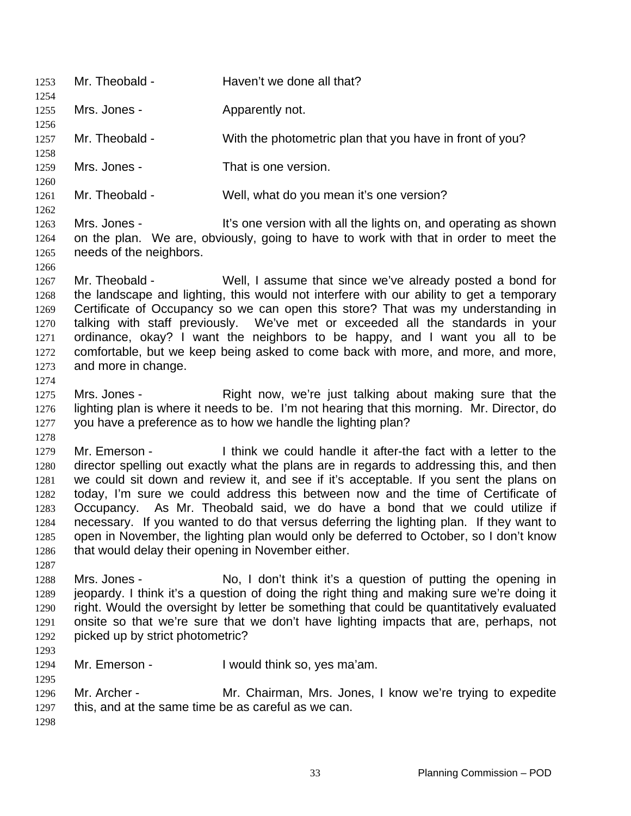1253 Mr. Theobald - Haven't we done all that? 1254 1255 1256 1257 1258 1259 1260 1261 1262 1263 1264 1265 1266 1267 1268 1269 1270 1271 1272 1273 1274 1275 1276 1277 1278 1279 1280 1281 1282 1283 1284 1285 1286 1287 1288 1289 1290 1291 1292 1293 1294 1295 1296 1297 1298 Mrs. Jones - **Apparently not.** Mr. Theobald - With the photometric plan that you have in front of you? Mrs. Jones - That is one version. Mr. Theobald - Well, what do you mean it's one version? Mrs. Jones - It's one version with all the lights on, and operating as shown on the plan. We are, obviously, going to have to work with that in order to meet the needs of the neighbors. Mr. Theobald - Well, I assume that since we've already posted a bond for the landscape and lighting, this would not interfere with our ability to get a temporary Certificate of Occupancy so we can open this store? That was my understanding in talking with staff previously. We've met or exceeded all the standards in your ordinance, okay? I want the neighbors to be happy, and I want you all to be comfortable, but we keep being asked to come back with more, and more, and more, and more in change. Mrs. Jones - Right now, we're just talking about making sure that the lighting plan is where it needs to be. I'm not hearing that this morning. Mr. Director, do you have a preference as to how we handle the lighting plan? Mr. Emerson - Think we could handle it after-the fact with a letter to the director spelling out exactly what the plans are in regards to addressing this, and then we could sit down and review it, and see if it's acceptable. If you sent the plans on today, I'm sure we could address this between now and the time of Certificate of Occupancy. As Mr. Theobald said, we do have a bond that we could utilize if necessary. If you wanted to do that versus deferring the lighting plan. If they want to open in November, the lighting plan would only be deferred to October, so I don't know that would delay their opening in November either. Mrs. Jones - No, I don't think it's a question of putting the opening in jeopardy. I think it's a question of doing the right thing and making sure we're doing it right. Would the oversight by letter be something that could be quantitatively evaluated onsite so that we're sure that we don't have lighting impacts that are, perhaps, not picked up by strict photometric? Mr. Emerson - I would think so, yes ma'am. Mr. Archer - **Mr. Chairman, Mrs. Jones, I know we're trying to expedite** this, and at the same time be as careful as we can.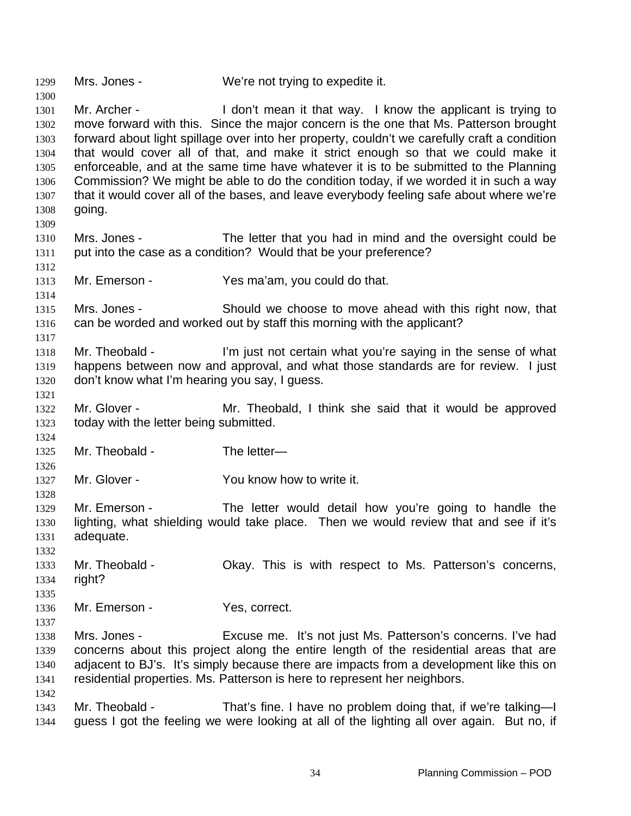1299 Mrs. Jones - We're not trying to expedite it.

1300

1312

1314

1317

1321

1326

1328

1342

1301 1302 1303 1304 1305 1306 1307 1308 1309 Mr. Archer - I don't mean it that way. I know the applicant is trying to move forward with this. Since the major concern is the one that Ms. Patterson brought forward about light spillage over into her property, couldn't we carefully craft a condition that would cover all of that, and make it strict enough so that we could make it enforceable, and at the same time have whatever it is to be submitted to the Planning Commission? We might be able to do the condition today, if we worded it in such a way that it would cover all of the bases, and leave everybody feeling safe about where we're going.

- 1310 1311 Mrs. Jones - The letter that you had in mind and the oversight could be put into the case as a condition? Would that be your preference?
- 1313 Mr. Emerson - Yes ma'am, you could do that.

1315 1316 Mrs. Jones - Should we choose to move ahead with this right now, that can be worded and worked out by staff this morning with the applicant?

- 1318 1319 1320 Mr. Theobald - I'm just not certain what you're saying in the sense of what happens between now and approval, and what those standards are for review. I just don't know what I'm hearing you say, I guess.
- 1322 1323 Mr. Glover - Theobald, I think she said that it would be approved today with the letter being submitted.
- 1324 1325 Mr. Theobald - The letter-
- 1327 Mr. Glover - The You know how to write it.
- 1329 1330 1331 Mr. Emerson - The letter would detail how you're going to handle the lighting, what shielding would take place. Then we would review that and see if it's adequate.
- 1332 1333 1334 Mr. Theobald - Chay. This is with respect to Ms. Patterson's concerns, right?
- 1335
- 1336 1337 Mr. Emerson - Yes, correct.
- 1338 1339 1340 1341 Mrs. Jones - Excuse me. It's not just Ms. Patterson's concerns. I've had concerns about this project along the entire length of the residential areas that are adjacent to BJ's. It's simply because there are impacts from a development like this on residential properties. Ms. Patterson is here to represent her neighbors.
- 1343 1344 Mr. Theobald - That's fine. I have no problem doing that, if we're talking—I guess I got the feeling we were looking at all of the lighting all over again. But no, if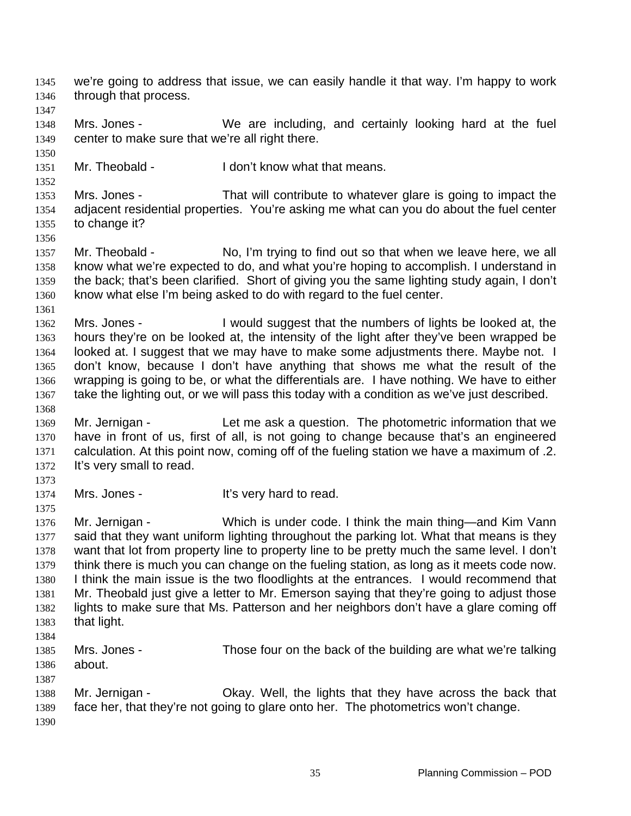1349 1350 1351 1352 1353 1354 1355 1356 1357 1358 1359 1360 1361 1362 1363 1364 1365 1366 1367 1368 1369 1370 1371 1372 1373 1374 1375 1376 1377 1378 1379 1380 1381 1382 1383 1384 1385 1386 1387 1388 1389 1390 Mrs. Jones - We are including, and certainly looking hard at the fuel center to make sure that we're all right there. Mr. Theobald - I don't know what that means. Mrs. Jones - That will contribute to whatever glare is going to impact the adjacent residential properties. You're asking me what can you do about the fuel center to change it? Mr. Theobald - No, I'm trying to find out so that when we leave here, we all know what we're expected to do, and what you're hoping to accomplish. I understand in the back; that's been clarified. Short of giving you the same lighting study again, I don't know what else I'm being asked to do with regard to the fuel center. Mrs. Jones - I would suggest that the numbers of lights be looked at, the hours they're on be looked at, the intensity of the light after they've been wrapped be looked at. I suggest that we may have to make some adjustments there. Maybe not. I don't know, because I don't have anything that shows me what the result of the wrapping is going to be, or what the differentials are. I have nothing. We have to either take the lighting out, or we will pass this today with a condition as we've just described. Mr. Jernigan - Let me ask a question. The photometric information that we have in front of us, first of all, is not going to change because that's an engineered calculation. At this point now, coming off of the fueling station we have a maximum of .2. It's very small to read. Mrs. Jones - The Mrs and to read. Mr. Jernigan - Which is under code. I think the main thing—and Kim Vann said that they want uniform lighting throughout the parking lot. What that means is they want that lot from property line to property line to be pretty much the same level. I don't think there is much you can change on the fueling station, as long as it meets code now. I think the main issue is the two floodlights at the entrances. I would recommend that Mr. Theobald just give a letter to Mr. Emerson saying that they're going to adjust those lights to make sure that Ms. Patterson and her neighbors don't have a glare coming off that light. Mrs. Jones - Those four on the back of the building are what we're talking about. Mr. Jernigan - Ckay. Well, the lights that they have across the back that face her, that they're not going to glare onto her. The photometrics won't change.

we're going to address that issue, we can easily handle it that way. I'm happy to work

through that process.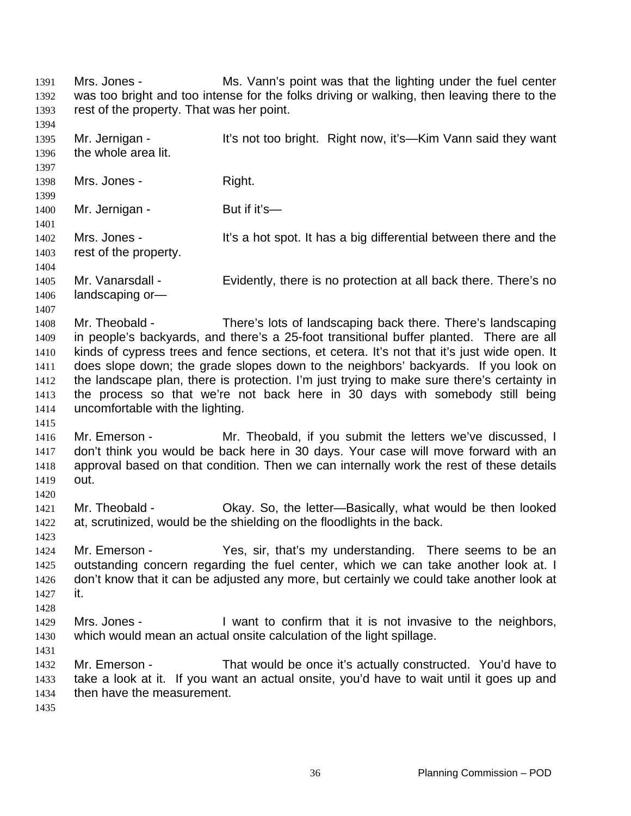Mrs. Jones - Ms. Vann's point was that the lighting under the fuel center was too bright and too intense for the folks driving or walking, then leaving there to the rest of the property. That was her point. 1391 1392 1393 1394 1395 1396 1397 1398 1399 1400 1401 1402 1403 1404 1405 1406 1407 1408 1409 1410 1411 1412 1413 1414 1415 1416 1417 1418 1419 1420 1421 1422 1423 1424 1425 1426 1427 1428 1429 1430 1431 1432 1433 1434 1435 Mr. Jernigan - It's not too bright. Right now, it's—Kim Vann said they want the whole area lit. Mrs. Jones - Right. Mr. Jernigan - But if it's— Mrs. Jones - It's a hot spot. It has a big differential between there and the rest of the property. Mr. Vanarsdall - Evidently, there is no protection at all back there. There's no landscaping or— Mr. Theobald - There's lots of landscaping back there. There's landscaping in people's backyards, and there's a 25-foot transitional buffer planted. There are all kinds of cypress trees and fence sections, et cetera. It's not that it's just wide open. It does slope down; the grade slopes down to the neighbors' backyards. If you look on the landscape plan, there is protection. I'm just trying to make sure there's certainty in the process so that we're not back here in 30 days with somebody still being uncomfortable with the lighting. Mr. Emerson - Mr. Theobald, if you submit the letters we've discussed, I don't think you would be back here in 30 days. Your case will move forward with an approval based on that condition. Then we can internally work the rest of these details out. Mr. Theobald - Okay. So, the letter—Basically, what would be then looked at, scrutinized, would be the shielding on the floodlights in the back. Mr. Emerson - Thes, sir, that's my understanding. There seems to be an outstanding concern regarding the fuel center, which we can take another look at. I don't know that it can be adjusted any more, but certainly we could take another look at it. Mrs. Jones - I want to confirm that it is not invasive to the neighbors, which would mean an actual onsite calculation of the light spillage. Mr. Emerson - That would be once it's actually constructed. You'd have to take a look at it. If you want an actual onsite, you'd have to wait until it goes up and then have the measurement.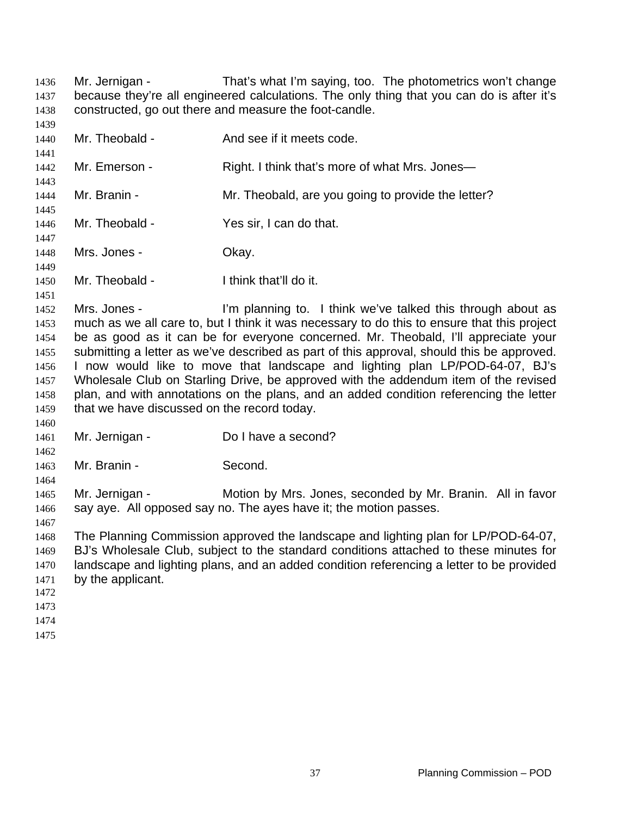Mr. Jernigan - That's what I'm saying, too. The photometrics won't change because they're all engineered calculations. The only thing that you can do is after it's constructed, go out there and measure the foot-candle. 

 Mr. Theobald - And see if it meets code. Mr. Emerson - Right. I think that's more of what Mrs. Jones— Mr. Branin - Mr. Theobald, are you going to provide the letter? Mr. Theobald - Yes sir, I can do that. Mrs. Jones - Chay. Mr. Theobald - I think that'll do it. Mrs. Jones - I'm planning to. I think we've talked this through about as much as we all care to, but I think it was necessary to do this to ensure that this project be as good as it can be for everyone concerned. Mr. Theobald, I'll appreciate your submitting a letter as we've described as part of this approval, should this be approved. I now would like to move that landscape and lighting plan LP/POD-64-07, BJ's Wholesale Club on Starling Drive, be approved with the addendum item of the revised plan, and with annotations on the plans, and an added condition referencing the letter that we have discussed on the record today. Mr. Jernigan - Do I have a second? Mr. Branin - Second. Mr. Jernigan - Motion by Mrs. Jones, seconded by Mr. Branin. All in favor say aye. All opposed say no. The ayes have it; the motion passes. The Planning Commission approved the landscape and lighting plan for LP/POD-64-07, BJ's Wholesale Club, subject to the standard conditions attached to these minutes for landscape and lighting plans, and an added condition referencing a letter to be provided by the applicant.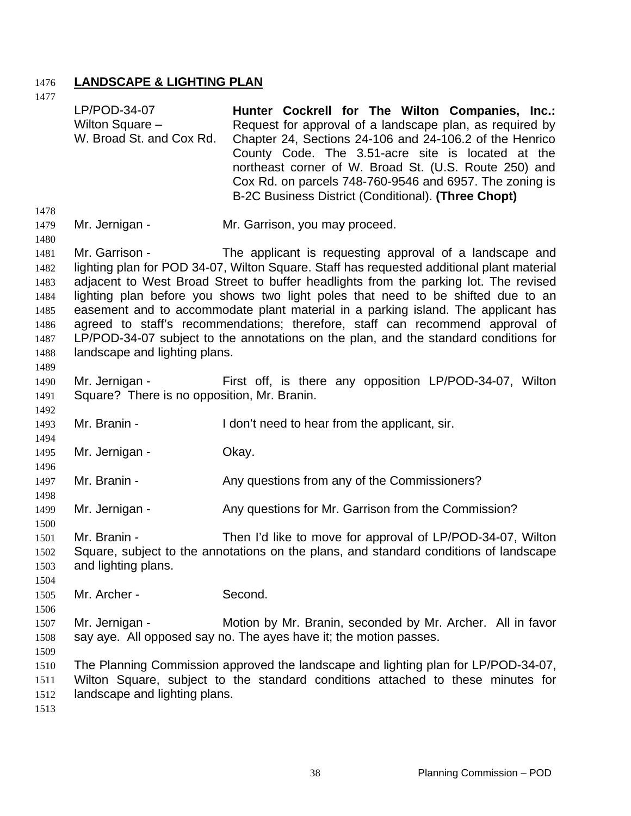## 1476 **LANDSCAPE & LIGHTING PLAN**

1477

1478 1479 1480 1481 1482 1483 1484 1485 1486 1487 1488 1489 1490 1491 1492 1493 1494 1495 1496 1497 1498 1499 1500 1501 1502 1503 1504 1505 1506 1507 1508 1509 1510 1511 1512 1513 LP/POD-34-07 Wilton Square – W. Broad St. and Cox Rd. **Hunter Cockrell for The Wilton Companies, Inc.:**  Request for approval of a landscape plan, as required by Chapter 24, Sections 24-106 and 24-106.2 of the Henrico County Code. The 3.51-acre site is located at the northeast corner of W. Broad St. (U.S. Route 250) and Cox Rd. on parcels 748-760-9546 and 6957. The zoning is B-2C Business District (Conditional). **(Three Chopt)**  Mr. Jernigan - Mr. Garrison, you may proceed. Mr. Garrison - The applicant is requesting approval of a landscape and lighting plan for POD 34-07, Wilton Square. Staff has requested additional plant material adjacent to West Broad Street to buffer headlights from the parking lot. The revised lighting plan before you shows two light poles that need to be shifted due to an easement and to accommodate plant material in a parking island. The applicant has agreed to staff's recommendations; therefore, staff can recommend approval of LP/POD-34-07 subject to the annotations on the plan, and the standard conditions for landscape and lighting plans. Mr. Jernigan - First off, is there any opposition LP/POD-34-07, Wilton Square? There is no opposition, Mr. Branin. Mr. Branin - The Muslim Con't need to hear from the applicant, sir. Mr. Jernigan - **Okay.** Mr. Branin - The Any questions from any of the Commissioners? Mr. Jernigan - The Any questions for Mr. Garrison from the Commission? Mr. Branin - Then I'd like to move for approval of LP/POD-34-07, Wilton Square, subject to the annotations on the plans, and standard conditions of landscape and lighting plans. Mr. Archer - Second. Mr. Jernigan - Motion by Mr. Branin, seconded by Mr. Archer. All in favor say aye. All opposed say no. The ayes have it; the motion passes. The Planning Commission approved the landscape and lighting plan for LP/POD-34-07, Wilton Square, subject to the standard conditions attached to these minutes for landscape and lighting plans.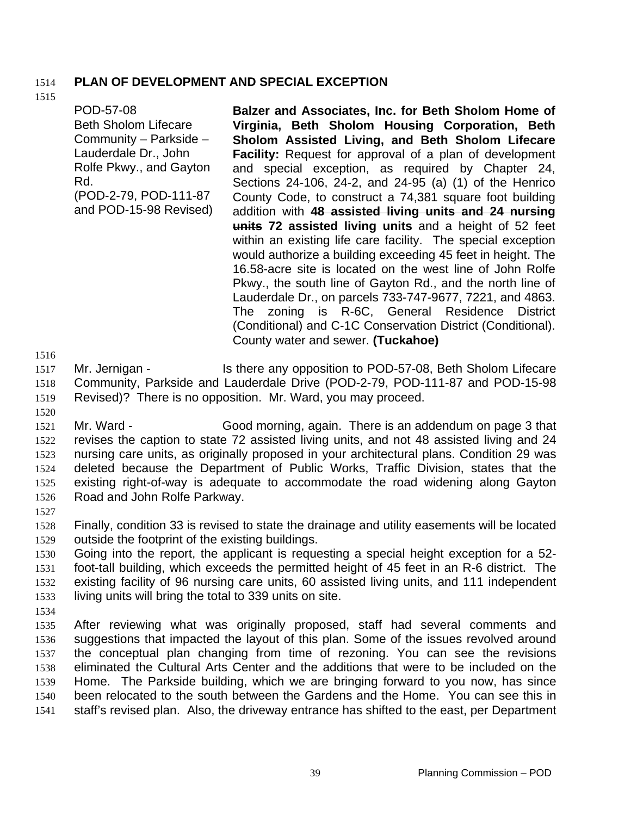## 1514 **PLAN OF DEVELOPMENT AND SPECIAL EXCEPTION**

### 1515

POD-57-08 Beth Sholom Lifecare Community – Parkside – Lauderdale Dr., John Rolfe Pkwy., and Gayton Rd. (POD-2-79, POD-111-87 and POD-15-98 Revised) **Balzer and Associates, Inc. for Beth Sholom Home of Virginia, Beth Sholom Housing Corporation, Beth Sholom Assisted Living, and Beth Sholom Lifecare Facility:** Request for approval of a plan of development and special exception, as required by Chapter 24, Sections 24-106, 24-2, and 24-95 (a) (1) of the Henrico County Code, to construct a 74,381 square foot building addition with **48 assisted living units and 24 nursing units 72 assisted living units** and a height of 52 feet within an existing life care facility. The special exception would authorize a building exceeding 45 feet in height. The 16.58-acre site is located on the west line of John Rolfe Pkwy., the south line of Gayton Rd., and the north line of Lauderdale Dr., on parcels 733-747-9677, 7221, and 4863. The zoning is R-6C, General Residence District (Conditional) and C-1C Conservation District (Conditional). County water and sewer. **(Tuckahoe)** 

1516

1517 1518 1519 Mr. Jernigan - Is there any opposition to POD-57-08, Beth Sholom Lifecare Community, Parkside and Lauderdale Drive (POD-2-79, POD-111-87 and POD-15-98 Revised)? There is no opposition. Mr. Ward, you may proceed.

1520

1521 1522 1523 1524 1525 1526 Mr. Ward - Good morning, again. There is an addendum on page 3 that revises the caption to state 72 assisted living units, and not 48 assisted living and 24 nursing care units, as originally proposed in your architectural plans. Condition 29 was deleted because the Department of Public Works, Traffic Division, states that the existing right-of-way is adequate to accommodate the road widening along Gayton Road and John Rolfe Parkway.

1527

1528 1529 Finally, condition 33 is revised to state the drainage and utility easements will be located outside the footprint of the existing buildings.

1530 1531 1532 1533 Going into the report, the applicant is requesting a special height exception for a 52 foot-tall building, which exceeds the permitted height of 45 feet in an R-6 district. The existing facility of 96 nursing care units, 60 assisted living units, and 111 independent living units will bring the total to 339 units on site.

1534

1535 1536 1537 1538 1539 1540 1541 After reviewing what was originally proposed, staff had several comments and suggestions that impacted the layout of this plan. Some of the issues revolved around the conceptual plan changing from time of rezoning. You can see the revisions eliminated the Cultural Arts Center and the additions that were to be included on the Home. The Parkside building, which we are bringing forward to you now, has since been relocated to the south between the Gardens and the Home. You can see this in staff's revised plan. Also, the driveway entrance has shifted to the east, per Department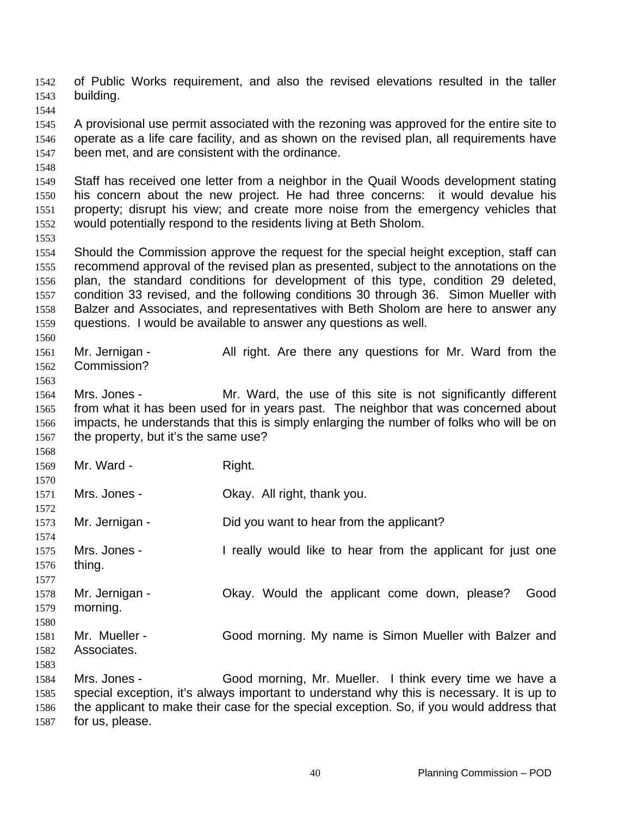of Public Works requirement, and also the revised elevations resulted in the taller building. 1542 1543 1544 1545 1546 1547 1548 1549 1550 1551 1552 1553 1554 1555 1556 1557 1558 1559 1560 1561 1562 1563 1564 1565 1566 1567 1568 1569 1570 1571 1572 1573 1574 1575 1576 1577 1578 1579 1580 1581 1582 1583 1584 1585 1586 1587 A provisional use permit associated with the rezoning was approved for the entire site to operate as a life care facility, and as shown on the revised plan, all requirements have been met, and are consistent with the ordinance. Staff has received one letter from a neighbor in the Quail Woods development stating his concern about the new project. He had three concerns: it would devalue his property; disrupt his view; and create more noise from the emergency vehicles that would potentially respond to the residents living at Beth Sholom. Should the Commission approve the request for the special height exception, staff can recommend approval of the revised plan as presented, subject to the annotations on the plan, the standard conditions for development of this type, condition 29 deleted, condition 33 revised, and the following conditions 30 through 36. Simon Mueller with Balzer and Associates, and representatives with Beth Sholom are here to answer any questions. I would be available to answer any questions as well. Mr. Jernigan - All right. Are there any questions for Mr. Ward from the Commission? Mrs. Jones - Mr. Ward, the use of this site is not significantly different from what it has been used for in years past. The neighbor that was concerned about impacts, he understands that this is simply enlarging the number of folks who will be on the property, but it's the same use? Mr. Ward - Right. Mrs. Jones - Ckay. All right, thank you. Mr. Jernigan - Did you want to hear from the applicant? Mrs. Jones - I really would like to hear from the applicant for just one thing. Mr. Jernigan - Ckay. Would the applicant come down, please? Good morning. Mr. Mueller - Good morning. My name is Simon Mueller with Balzer and Associates. Mrs. Jones - Good morning, Mr. Mueller. I think every time we have a special exception, it's always important to understand why this is necessary. It is up to the applicant to make their case for the special exception. So, if you would address that for us, please.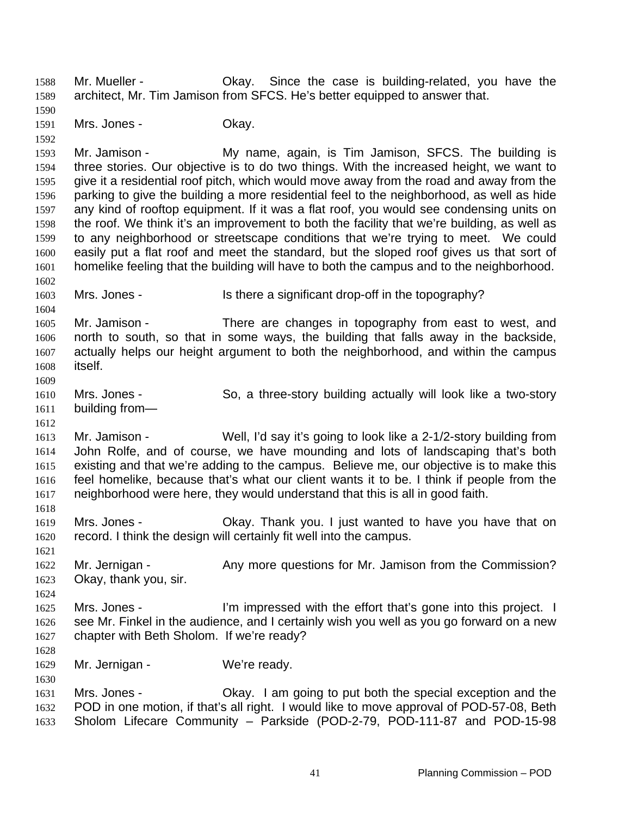Mr. Mueller - Okay. Since the case is building-related, you have the architect, Mr. Tim Jamison from SFCS. He's better equipped to answer that. 1588 1589

1590 1591 Mrs. Jones - Ckay.

1592

1593 1594 1595 1596 1597 1598 1599 1600 1601 1602 Mr. Jamison - My name, again, is Tim Jamison, SFCS. The building is three stories. Our objective is to do two things. With the increased height, we want to give it a residential roof pitch, which would move away from the road and away from the parking to give the building a more residential feel to the neighborhood, as well as hide any kind of rooftop equipment. If it was a flat roof, you would see condensing units on the roof. We think it's an improvement to both the facility that we're building, as well as to any neighborhood or streetscape conditions that we're trying to meet. We could easily put a flat roof and meet the standard, but the sloped roof gives us that sort of homelike feeling that the building will have to both the campus and to the neighborhood.

1603 1604 Mrs. Jones - Is there a significant drop-off in the topography?

1605 1606 1607 1608 1609 Mr. Jamison - There are changes in topography from east to west, and north to south, so that in some ways, the building that falls away in the backside, actually helps our height argument to both the neighborhood, and within the campus itself.

- 1610 1611 Mrs. Jones - So, a three-story building actually will look like a two-story building from—
- 1612

1618

1624

1628

1630

1613 1614 1615 1616 1617 Mr. Jamison - Well, I'd say it's going to look like a 2-1/2-story building from John Rolfe, and of course, we have mounding and lots of landscaping that's both existing and that we're adding to the campus. Believe me, our objective is to make this feel homelike, because that's what our client wants it to be. I think if people from the neighborhood were here, they would understand that this is all in good faith.

- 1619 1620 Mrs. Jones - Ckay. Thank you. I just wanted to have you have that on record. I think the design will certainly fit well into the campus.
- 1621 1622 1623 Mr. Jernigan - Any more questions for Mr. Jamison from the Commission? Okay, thank you, sir.
- 1625 1626 1627 Mrs. Jones - I'm impressed with the effort that's gone into this project. I see Mr. Finkel in the audience, and I certainly wish you well as you go forward on a new chapter with Beth Sholom. If we're ready?
- 1629 Mr. Jernigan - We're ready.
- 1631 1632 1633 Mrs. Jones - Okay. I am going to put both the special exception and the POD in one motion, if that's all right. I would like to move approval of POD-57-08, Beth Sholom Lifecare Community – Parkside (POD-2-79, POD-111-87 and POD-15-98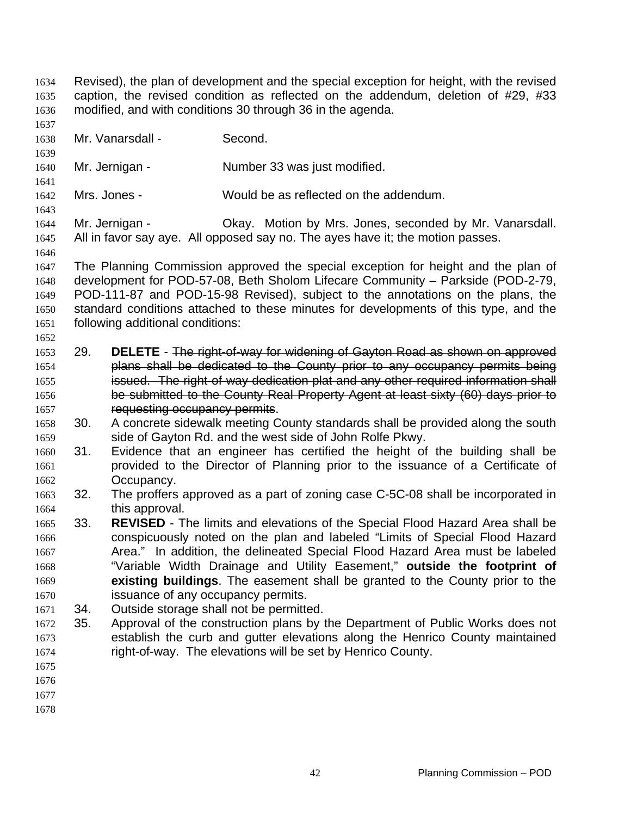- Revised), the plan of development and the special exception for height, with the revised caption, the revised condition as reflected on the addendum, deletion of #29, #33 modified, and with conditions 30 through 36 in the agenda. 1634 1635 1636
- 1637 1638 Mr. Vanarsdall - Second.

1641

1643

1646

- 1640 Mr. Jernigan - Number 33 was just modified.
- 1642 Mrs. Jones - Would be as reflected on the addendum.
- 1644 1645 Mr. Jernigan - Ckay. Motion by Mrs. Jones, seconded by Mr. Vanarsdall. All in favor say aye. All opposed say no. The ayes have it; the motion passes.
- 1647 1648 1649 1650 1651 The Planning Commission approved the special exception for height and the plan of development for POD-57-08, Beth Sholom Lifecare Community – Parkside (POD-2-79, POD-111-87 and POD-15-98 Revised), subject to the annotations on the plans, the standard conditions attached to these minutes for developments of this type, and the following additional conditions:
- 1653 29. **DELETE**  The right-of-way for widening of Gayton Road as shown on approved 1654 plans shall be dedicated to the County prior to any occupancy permits being 1655 issued. The right-of-way dedication plat and any other required information shall 1656 be submitted to the County Real Property Agent at least sixty (60) days prior to 1657 requesting occupancy permits.
- 1658 1659 30. A concrete sidewalk meeting County standards shall be provided along the south side of Gayton Rd. and the west side of John Rolfe Pkwy.
- 1660 1661 1662 31. Evidence that an engineer has certified the height of the building shall be provided to the Director of Planning prior to the issuance of a Certificate of Occupancy.
- 1663 1664 32. The proffers approved as a part of zoning case C-5C-08 shall be incorporated in this approval.
- 1665 1666 1667 1668 1669 1670 33. **REVISED** - The limits and elevations of the Special Flood Hazard Area shall be conspicuously noted on the plan and labeled "Limits of Special Flood Hazard Area." In addition, the delineated Special Flood Hazard Area must be labeled "Variable Width Drainage and Utility Easement," **outside the footprint of existing buildings**. The easement shall be granted to the County prior to the issuance of any occupancy permits.
- 1671 34. Outside storage shall not be permitted.
- 1672 1673 1674 35. Approval of the construction plans by the Department of Public Works does not establish the curb and gutter elevations along the Henrico County maintained right-of-way. The elevations will be set by Henrico County.
- 1675
- 1676
- 1677
- 1678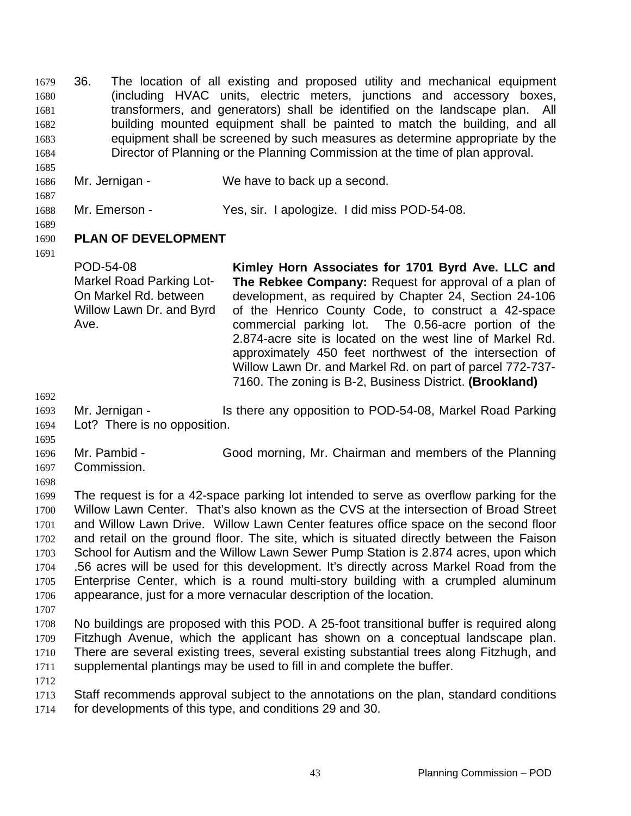36. The location of all existing and proposed utility and mechanical equipment (including HVAC units, electric meters, junctions and accessory boxes, transformers, and generators) shall be identified on the landscape plan. All building mounted equipment shall be painted to match the building, and all equipment shall be screened by such measures as determine appropriate by the Director of Planning or the Planning Commission at the time of plan approval. 1679 1680 1681 1682 1683 1684

- 1686 Mr. Jernigan - We have to back up a second.
- 1688 Mr. Emerson - Yes, sir. I apologize. I did miss POD-54-08.
- 1689

1685

1687

- 1690 **PLAN OF DEVELOPMENT**
- 1691

POD-54-08 Markel Road Parking Lot-On Markel Rd. between Willow Lawn Dr. and Byrd Ave. **Kimley Horn Associates for 1701 Byrd Ave. LLC and The Rebkee Company:** Request for approval of a plan of development, as required by Chapter 24, Section 24-106 of the Henrico County Code, to construct a 42-space commercial parking lot. The 0.56-acre portion of the 2.874-acre site is located on the west line of Markel Rd. approximately 450 feet northwest of the intersection of Willow Lawn Dr. and Markel Rd. on part of parcel 772-737- 7160. The zoning is B-2, Business District. **(Brookland)** 

1692

1695

- 1693 1694 Mr. Jernigan - Is there any opposition to POD-54-08, Markel Road Parking Lot? There is no opposition.
- 1696 1697 Mr. Pambid - Good morning, Mr. Chairman and members of the Planning Commission.
- 1698

1699 1700 1701 1702 1703 1704 1705 1706 1707 The request is for a 42-space parking lot intended to serve as overflow parking for the Willow Lawn Center. That's also known as the CVS at the intersection of Broad Street and Willow Lawn Drive. Willow Lawn Center features office space on the second floor and retail on the ground floor. The site, which is situated directly between the Faison School for Autism and the Willow Lawn Sewer Pump Station is 2.874 acres, upon which .56 acres will be used for this development. It's directly across Markel Road from the Enterprise Center, which is a round multi-story building with a crumpled aluminum appearance, just for a more vernacular description of the location.

- 1708 1709 1710 1711 No buildings are proposed with this POD. A 25-foot transitional buffer is required along Fitzhugh Avenue, which the applicant has shown on a conceptual landscape plan. There are several existing trees, several existing substantial trees along Fitzhugh, and supplemental plantings may be used to fill in and complete the buffer.
- 1712 1713 1714 Staff recommends approval subject to the annotations on the plan, standard conditions for developments of this type, and conditions 29 and 30.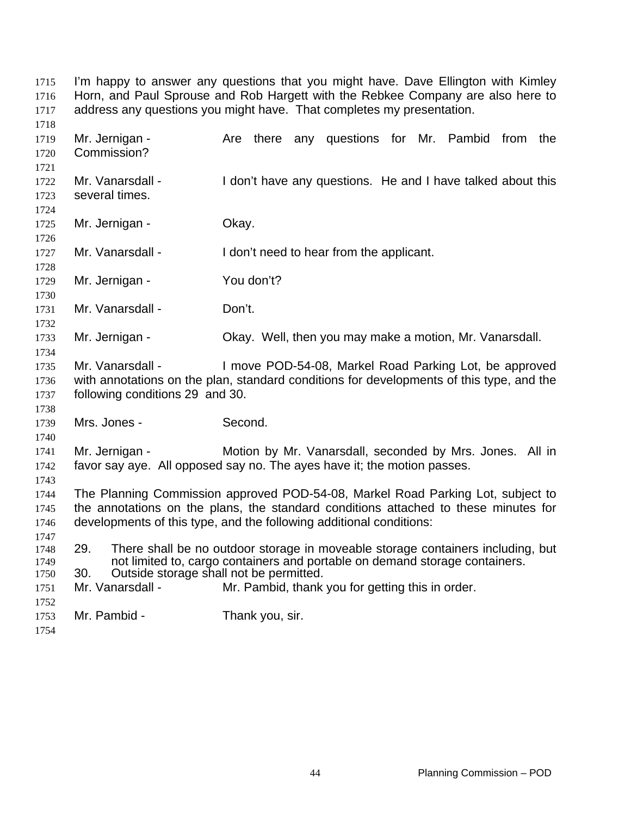I'm happy to answer any questions that you might have. Dave Ellington with Kimley Horn, and Paul Sprouse and Rob Hargett with the Rebkee Company are also here to address any questions you might have. That completes my presentation. 

 Mr. Jernigan - The Are there any questions for Mr. Pambid from the Commission? Mr. Vanarsdall - I don't have any questions. He and I have talked about this several times. Mr. Jernigan - Ckay. Mr. Vanarsdall - I don't need to hear from the applicant. Mr. Jernigan - You don't? Mr. Vanarsdall - Don't. Mr. Jernigan - Okay. Well, then you may make a motion, Mr. Vanarsdall. Mr. Vanarsdall - I move POD-54-08, Markel Road Parking Lot, be approved with annotations on the plan, standard conditions for developments of this type, and the following conditions 29 and 30. Mrs. Jones - Second. Mr. Jernigan - Motion by Mr. Vanarsdall, seconded by Mrs. Jones. All in favor say aye. All opposed say no. The ayes have it; the motion passes. The Planning Commission approved POD-54-08, Markel Road Parking Lot, subject to the annotations on the plans, the standard conditions attached to these minutes for developments of this type, and the following additional conditions: 29. There shall be no outdoor storage in moveable storage containers including, but not limited to, cargo containers and portable on demand storage containers. 30. Outside storage shall not be permitted. Mr. Vanarsdall - Mr. Pambid, thank you for getting this in order. Mr. Pambid - Thank you, sir.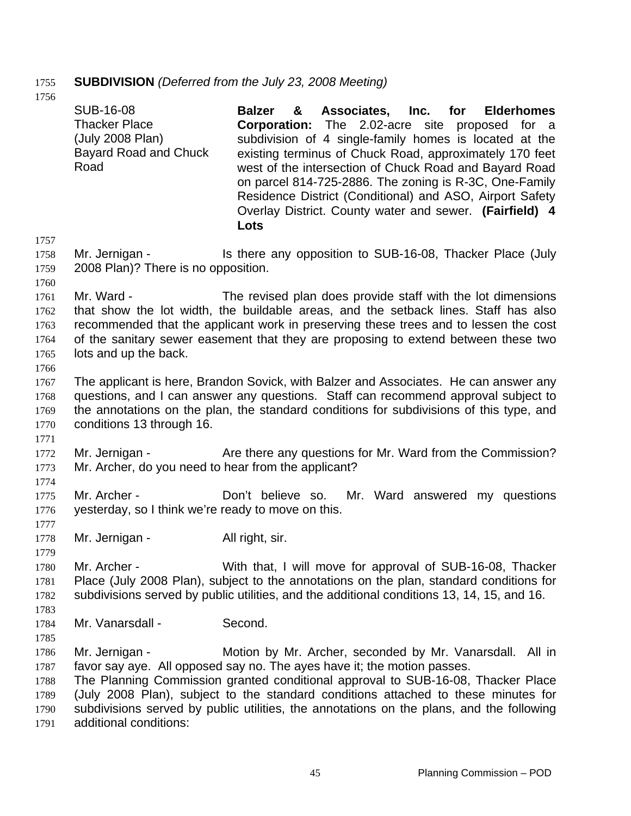# 1755 **SUBDIVISION** *(Deferred from the July 23, 2008 Meeting)*

| 17 J U                                               | <b>SUB-16-08</b><br><b>Thacker Place</b><br>(July 2008 Plan)<br><b>Bayard Road and Chuck</b><br>Road | Associates, Inc. for<br><b>Balzer</b><br><b>Elderhomes</b><br>&<br><b>Corporation:</b> The 2.02-acre site<br>proposed for a<br>subdivision of 4 single-family homes is located at the<br>existing terminus of Chuck Road, approximately 170 feet<br>west of the intersection of Chuck Road and Bayard Road<br>on parcel 814-725-2886. The zoning is R-3C, One-Family<br>Residence District (Conditional) and ASO, Airport Safety<br>Overlay District. County water and sewer. (Fairfield) 4<br>Lots |
|------------------------------------------------------|------------------------------------------------------------------------------------------------------|-----------------------------------------------------------------------------------------------------------------------------------------------------------------------------------------------------------------------------------------------------------------------------------------------------------------------------------------------------------------------------------------------------------------------------------------------------------------------------------------------------|
| 1757<br>1758<br>1759                                 | Mr. Jernigan -<br>2008 Plan)? There is no opposition.                                                | Is there any opposition to SUB-16-08, Thacker Place (July                                                                                                                                                                                                                                                                                                                                                                                                                                           |
| 1760<br>1761<br>1762<br>1763<br>1764<br>1765<br>1766 | Mr. Ward -<br>lots and up the back.                                                                  | The revised plan does provide staff with the lot dimensions<br>that show the lot width, the buildable areas, and the setback lines. Staff has also<br>recommended that the applicant work in preserving these trees and to lessen the cost<br>of the sanitary sewer easement that they are proposing to extend between these two                                                                                                                                                                    |
| 1767<br>1768<br>1769<br>1770<br>1771                 | conditions 13 through 16.                                                                            | The applicant is here, Brandon Sovick, with Balzer and Associates. He can answer any<br>questions, and I can answer any questions. Staff can recommend approval subject to<br>the annotations on the plan, the standard conditions for subdivisions of this type, and                                                                                                                                                                                                                               |
| 1772<br>1773<br>1774                                 | Mr. Jernigan -<br>Mr. Archer, do you need to hear from the applicant?                                | Are there any questions for Mr. Ward from the Commission?                                                                                                                                                                                                                                                                                                                                                                                                                                           |
| 1775<br>1776                                         | Mr. Archer -<br>yesterday, so I think we're ready to move on this.                                   | Don't believe so.<br>Mr. Ward answered my questions                                                                                                                                                                                                                                                                                                                                                                                                                                                 |
| 1777<br>1778<br>1779                                 | Mr. Jernigan -                                                                                       | All right, sir.                                                                                                                                                                                                                                                                                                                                                                                                                                                                                     |
| 1780<br>1781<br>1782<br>1783                         | Mr. Archer -                                                                                         | With that, I will move for approval of SUB-16-08, Thacker<br>Place (July 2008 Plan), subject to the annotations on the plan, standard conditions for<br>subdivisions served by public utilities, and the additional conditions 13, 14, 15, and 16.                                                                                                                                                                                                                                                  |
| 1784                                                 | Mr. Vanarsdall -                                                                                     | Second.                                                                                                                                                                                                                                                                                                                                                                                                                                                                                             |
| 1785<br>1786<br>1787<br>1788<br>1789<br>1790<br>1791 | Mr. Jernigan -<br>additional conditions:                                                             | Motion by Mr. Archer, seconded by Mr. Vanarsdall. All in<br>favor say aye. All opposed say no. The ayes have it; the motion passes.<br>The Planning Commission granted conditional approval to SUB-16-08, Thacker Place<br>(July 2008 Plan), subject to the standard conditions attached to these minutes for<br>subdivisions served by public utilities, the annotations on the plans, and the following                                                                                           |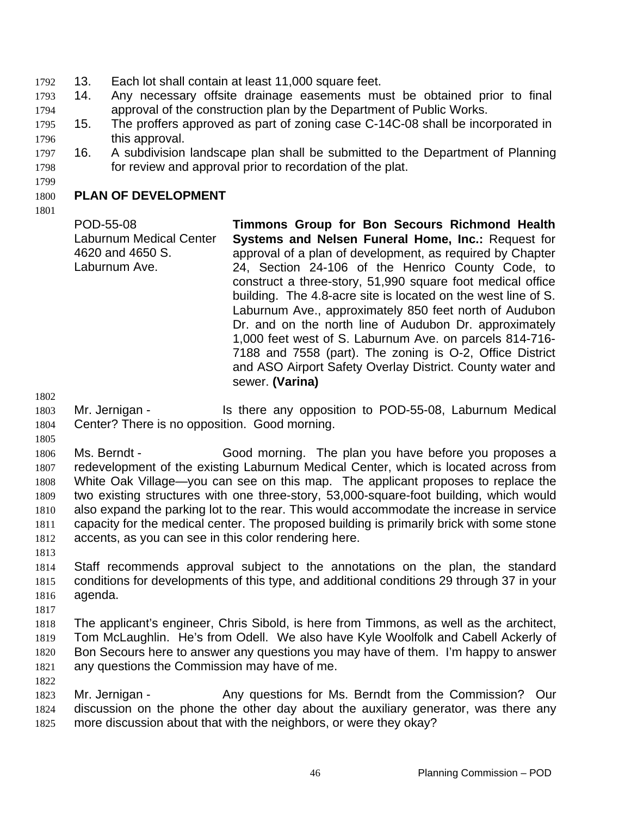- 1792 13. Each lot shall contain at least 11,000 square feet.
- 1793 14. Any necessary offsite drainage easements must be obtained prior to final 1794 approval of the construction plan by the Department of Public Works.
- 1796 1795 15. The proffers approved as part of zoning case C-14C-08 shall be incorporated in this approval.
- 1797 1798 16. A subdivision landscape plan shall be submitted to the Department of Planning for review and approval prior to recordation of the plat.
- 1799

#### 1800 **PLAN OF DEVELOPMENT**

1801

POD-55-08 Laburnum Medical Center 4620 and 4650 S. Laburnum Ave. **Timmons Group for Bon Secours Richmond Health Systems and Nelsen Funeral Home, Inc.:** Request for approval of a plan of development, as required by Chapter 24, Section 24-106 of the Henrico County Code, to construct a three-story, 51,990 square foot medical office building. The 4.8-acre site is located on the west line of S. Laburnum Ave., approximately 850 feet north of Audubon Dr. and on the north line of Audubon Dr. approximately 1,000 feet west of S. Laburnum Ave. on parcels 814-716- 7188 and 7558 (part). The zoning is O-2, Office District and ASO Airport Safety Overlay District. County water and sewer. **(Varina)** 

1802

1805

- 1803 1804 Mr. Jernigan - Is there any opposition to POD-55-08, Laburnum Medical Center? There is no opposition. Good morning.
- 1806 1807 1808 1809 1810 1811 1812 Ms. Berndt - Good morning. The plan you have before you proposes a redevelopment of the existing Laburnum Medical Center, which is located across from White Oak Village—you can see on this map. The applicant proposes to replace the two existing structures with one three-story, 53,000-square-foot building, which would also expand the parking lot to the rear. This would accommodate the increase in service capacity for the medical center. The proposed building is primarily brick with some stone accents, as you can see in this color rendering here.
- 1813
- 1814 1815 1816 Staff recommends approval subject to the annotations on the plan, the standard conditions for developments of this type, and additional conditions 29 through 37 in your agenda.
- 1817

- 1818 1819 1820 1821 The applicant's engineer, Chris Sibold, is here from Timmons, as well as the architect, Tom McLaughlin. He's from Odell. We also have Kyle Woolfolk and Cabell Ackerly of Bon Secours here to answer any questions you may have of them. I'm happy to answer any questions the Commission may have of me.
- 1823 1824 1825 Mr. Jernigan - The Any questions for Ms. Berndt from the Commission? Our discussion on the phone the other day about the auxiliary generator, was there any more discussion about that with the neighbors, or were they okay?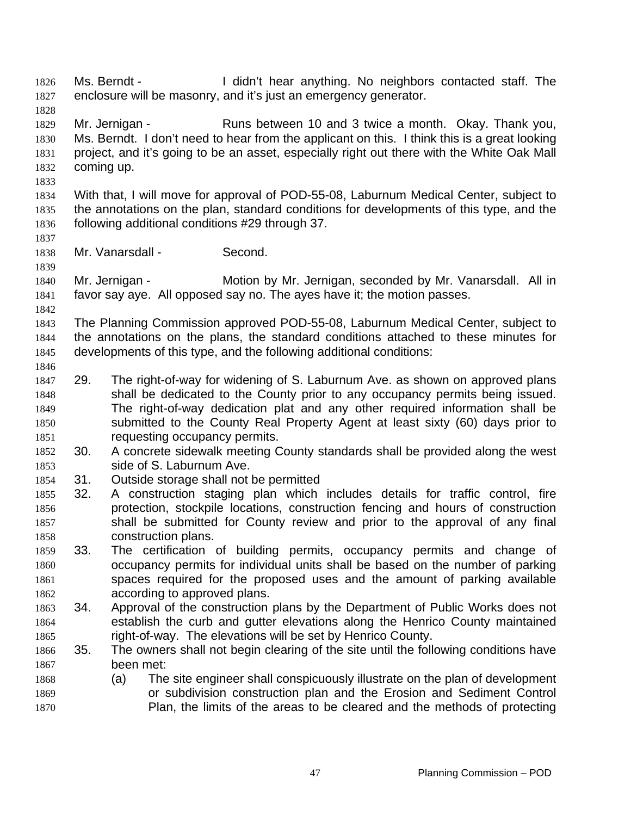Ms. Berndt - I didn't hear anything. No neighbors contacted staff. The enclosure will be masonry, and it's just an emergency generator. 1827 1828 1829 1830 1831 1832 1833 1834 1835 1836 1837 1838 1839 1840 1841 1842 1843 1844 1845 1846 1847 1848 1849 1850 1851 1852 1853 1854 1855 1856 1857 1858 1859 1860 1861 1862 1863 1864 1865 1866 1867 1868 1869 1870 Mr. Jernigan - Runs between 10 and 3 twice a month. Okay. Thank you, Ms. Berndt. I don't need to hear from the applicant on this. I think this is a great looking project, and it's going to be an asset, especially right out there with the White Oak Mall coming up. With that, I will move for approval of POD-55-08, Laburnum Medical Center, subject to the annotations on the plan, standard conditions for developments of this type, and the following additional conditions #29 through 37. Mr. Vanarsdall - Second. Mr. Jernigan - **Motion by Mr. Jernigan, seconded by Mr. Vanarsdall.** All in favor say aye. All opposed say no. The ayes have it; the motion passes. The Planning Commission approved POD-55-08, Laburnum Medical Center, subject to the annotations on the plans, the standard conditions attached to these minutes for developments of this type, and the following additional conditions: 29. The right-of-way for widening of S. Laburnum Ave. as shown on approved plans shall be dedicated to the County prior to any occupancy permits being issued. The right-of-way dedication plat and any other required information shall be submitted to the County Real Property Agent at least sixty (60) days prior to requesting occupancy permits. 30. A concrete sidewalk meeting County standards shall be provided along the west side of S. Laburnum Ave. 31. Outside storage shall not be permitted 32. A construction staging plan which includes details for traffic control, fire protection, stockpile locations, construction fencing and hours of construction shall be submitted for County review and prior to the approval of any final construction plans. 33. The certification of building permits, occupancy permits and change of occupancy permits for individual units shall be based on the number of parking spaces required for the proposed uses and the amount of parking available according to approved plans. 34. Approval of the construction plans by the Department of Public Works does not establish the curb and gutter elevations along the Henrico County maintained right-of-way. The elevations will be set by Henrico County. 35. The owners shall not begin clearing of the site until the following conditions have been met: (a) The site engineer shall conspicuously illustrate on the plan of development or subdivision construction plan and the Erosion and Sediment Control Plan, the limits of the areas to be cleared and the methods of protecting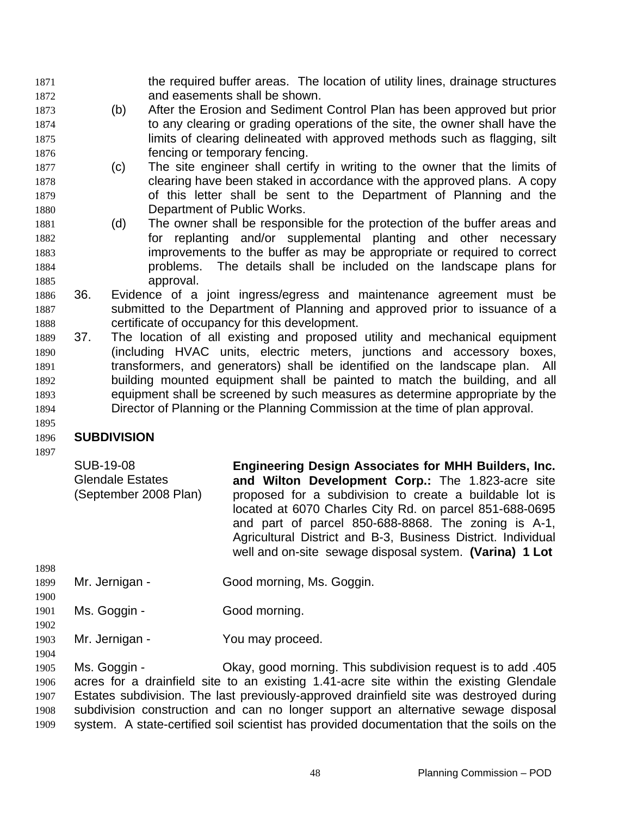the required buffer areas. The location of utility lines, drainage structures and easements shall be shown. 1871 1872

- 1873 1874 1875 1876 (b) After the Erosion and Sediment Control Plan has been approved but prior to any clearing or grading operations of the site, the owner shall have the limits of clearing delineated with approved methods such as flagging, silt fencing or temporary fencing.
- 1877 1878 1879 1880 (c) The site engineer shall certify in writing to the owner that the limits of clearing have been staked in accordance with the approved plans. A copy of this letter shall be sent to the Department of Planning and the Department of Public Works.
- 1881 1882 1883 1884 1885 (d) The owner shall be responsible for the protection of the buffer areas and for replanting and/or supplemental planting and other necessary improvements to the buffer as may be appropriate or required to correct problems. The details shall be included on the landscape plans for approval.
- 1886 1887 1888 36. Evidence of a joint ingress/egress and maintenance agreement must be submitted to the Department of Planning and approved prior to issuance of a certificate of occupancy for this development.
- 1889 1890 1891 1892 1893 1894 37. The location of all existing and proposed utility and mechanical equipment (including HVAC units, electric meters, junctions and accessory boxes, transformers, and generators) shall be identified on the landscape plan. All building mounted equipment shall be painted to match the building, and all equipment shall be screened by such measures as determine appropriate by the Director of Planning or the Planning Commission at the time of plan approval.

#### 1896 **SUBDIVISION**

1897

1895

| SUB-19-08<br><b>Glendale Estates</b><br>(September 2008 Plan) | <b>Engineering Design Associates for MHH Builders, Inc.</b><br>and Wilton Development Corp.: The 1.823-acre site<br>proposed for a subdivision to create a buildable lot is<br>located at 6070 Charles City Rd. on parcel 851-688-0695<br>and part of parcel 850-688-8868. The zoning is A-1,<br>Agricultural District and B-3, Business District. Individual<br>well and on-site sewage disposal system. (Varina) 1 Lot |
|---------------------------------------------------------------|--------------------------------------------------------------------------------------------------------------------------------------------------------------------------------------------------------------------------------------------------------------------------------------------------------------------------------------------------------------------------------------------------------------------------|
|                                                               |                                                                                                                                                                                                                                                                                                                                                                                                                          |

- 1899 1900 Mr. Jernigan - Good morning, Ms. Goggin.
- 1901 1902 Ms. Goggin - Good morning.
- 1903 Mr. Jernigan - You may proceed.
- 1904

1898

1905 1906 1907 1908 1909 Ms. Goggin - Ckay, good morning. This subdivision request is to add .405 acres for a drainfield site to an existing 1.41-acre site within the existing Glendale Estates subdivision. The last previously-approved drainfield site was destroyed during subdivision construction and can no longer support an alternative sewage disposal system. A state-certified soil scientist has provided documentation that the soils on the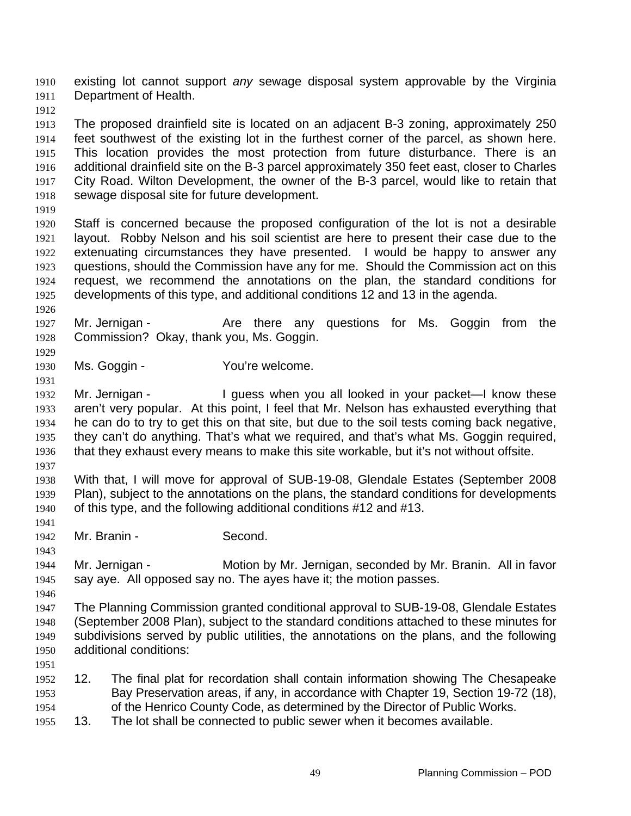existing lot cannot support *any* sewage disposal system approvable by the Virginia Department of Health. 1910 1911

1912

1913 1914 1915 1916 1917 1918 The proposed drainfield site is located on an adjacent B-3 zoning, approximately 250 feet southwest of the existing lot in the furthest corner of the parcel, as shown here. This location provides the most protection from future disturbance. There is an additional drainfield site on the B-3 parcel approximately 350 feet east, closer to Charles City Road. Wilton Development, the owner of the B-3 parcel, would like to retain that sewage disposal site for future development.

1919

1926

1929

1931

1920 1921 1922 1923 1924 1925 Staff is concerned because the proposed configuration of the lot is not a desirable layout. Robby Nelson and his soil scientist are here to present their case due to the extenuating circumstances they have presented. I would be happy to answer any questions, should the Commission have any for me. Should the Commission act on this request, we recommend the annotations on the plan, the standard conditions for developments of this type, and additional conditions 12 and 13 in the agenda.

1927 1928 Mr. Jernigan - The Are there any questions for Ms. Goggin from the Commission? Okay, thank you, Ms. Goggin.

1930 Ms. Goggin - You're welcome.

1932 1933 1934 1935 1936 Mr. Jernigan - The Supplet of the Units of the Units of the Interval and Mr. Jernigan aren't very popular. At this point, I feel that Mr. Nelson has exhausted everything that he can do to try to get this on that site, but due to the soil tests coming back negative, they can't do anything. That's what we required, and that's what Ms. Goggin required, that they exhaust every means to make this site workable, but it's not without offsite.

1937 1938 1939 1940 With that, I will move for approval of SUB-19-08, Glendale Estates (September 2008 Plan), subject to the annotations on the plans, the standard conditions for developments of this type, and the following additional conditions #12 and #13.

1941

1943

1942 Mr. Branin - Second.

1944 1945 Mr. Jernigan - **Motion by Mr. Jernigan, seconded by Mr. Branin.** All in favor say aye. All opposed say no. The ayes have it; the motion passes.

1946

1947 1948 1949 1950 The Planning Commission granted conditional approval to SUB-19-08, Glendale Estates (September 2008 Plan), subject to the standard conditions attached to these minutes for subdivisions served by public utilities, the annotations on the plans, and the following additional conditions:

- 1951
- 1952 1953 1954 12. The final plat for recordation shall contain information showing The Chesapeake Bay Preservation areas, if any, in accordance with Chapter 19, Section 19-72 (18), of the Henrico County Code, as determined by the Director of Public Works.
- 1955 13. The lot shall be connected to public sewer when it becomes available.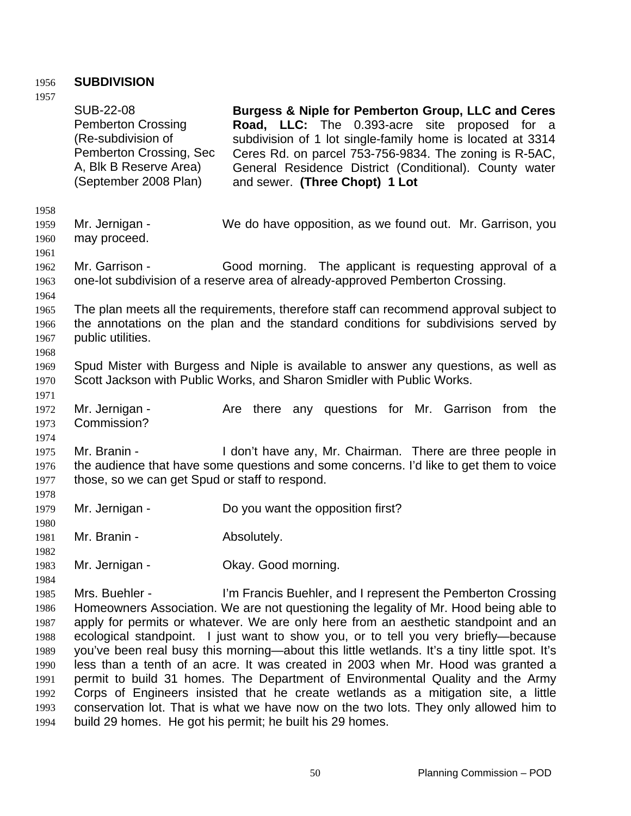# 1956 **SUBDIVISION**

| 1957         |                                                                                                                                                   |                                                                                                                                                                                                                                                                                                                         |  |
|--------------|---------------------------------------------------------------------------------------------------------------------------------------------------|-------------------------------------------------------------------------------------------------------------------------------------------------------------------------------------------------------------------------------------------------------------------------------------------------------------------------|--|
|              | <b>SUB-22-08</b><br><b>Pemberton Crossing</b><br>(Re-subdivision of<br>Pemberton Crossing, Sec<br>A, Blk B Reserve Area)<br>(September 2008 Plan) | Burgess & Niple for Pemberton Group, LLC and Ceres<br>Road, LLC: The 0.393-acre site proposed for a<br>subdivision of 1 lot single-family home is located at 3314<br>Ceres Rd. on parcel 753-756-9834. The zoning is R-5AC,<br>General Residence District (Conditional). County water<br>and sewer. (Three Chopt) 1 Lot |  |
| 1958         |                                                                                                                                                   |                                                                                                                                                                                                                                                                                                                         |  |
| 1959         | Mr. Jernigan -                                                                                                                                    | We do have opposition, as we found out. Mr. Garrison, you                                                                                                                                                                                                                                                               |  |
| 1960         | may proceed.                                                                                                                                      |                                                                                                                                                                                                                                                                                                                         |  |
| 1961         |                                                                                                                                                   |                                                                                                                                                                                                                                                                                                                         |  |
| 1962         | Mr. Garrison -                                                                                                                                    | Good morning. The applicant is requesting approval of a                                                                                                                                                                                                                                                                 |  |
| 1963         |                                                                                                                                                   | one-lot subdivision of a reserve area of already-approved Pemberton Crossing.                                                                                                                                                                                                                                           |  |
| 1964         |                                                                                                                                                   |                                                                                                                                                                                                                                                                                                                         |  |
| 1965         | The plan meets all the requirements, therefore staff can recommend approval subject to                                                            |                                                                                                                                                                                                                                                                                                                         |  |
| 1966         |                                                                                                                                                   | the annotations on the plan and the standard conditions for subdivisions served by                                                                                                                                                                                                                                      |  |
| 1967         | public utilities.                                                                                                                                 |                                                                                                                                                                                                                                                                                                                         |  |
| 1968         |                                                                                                                                                   |                                                                                                                                                                                                                                                                                                                         |  |
| 1969         |                                                                                                                                                   | Spud Mister with Burgess and Niple is available to answer any questions, as well as                                                                                                                                                                                                                                     |  |
| 1970         |                                                                                                                                                   | Scott Jackson with Public Works, and Sharon Smidler with Public Works.                                                                                                                                                                                                                                                  |  |
| 1971         | Mr. Jernigan -                                                                                                                                    | Are there any questions for Mr. Garrison from the                                                                                                                                                                                                                                                                       |  |
| 1972<br>1973 | Commission?                                                                                                                                       |                                                                                                                                                                                                                                                                                                                         |  |
| 1974         |                                                                                                                                                   |                                                                                                                                                                                                                                                                                                                         |  |
| 1975         | Mr. Branin -                                                                                                                                      | I don't have any, Mr. Chairman. There are three people in                                                                                                                                                                                                                                                               |  |
| 1976         |                                                                                                                                                   | the audience that have some questions and some concerns. I'd like to get them to voice                                                                                                                                                                                                                                  |  |
| 1977         | those, so we can get Spud or staff to respond.                                                                                                    |                                                                                                                                                                                                                                                                                                                         |  |
| 1978         |                                                                                                                                                   |                                                                                                                                                                                                                                                                                                                         |  |
| 1979         | Mr. Jernigan -                                                                                                                                    | Do you want the opposition first?                                                                                                                                                                                                                                                                                       |  |
| 1980         |                                                                                                                                                   |                                                                                                                                                                                                                                                                                                                         |  |
| 1981         | Mr. Branin -                                                                                                                                      | Absolutely.                                                                                                                                                                                                                                                                                                             |  |
| 1982         |                                                                                                                                                   |                                                                                                                                                                                                                                                                                                                         |  |
| 1983         | Mr. Jernigan -                                                                                                                                    | Okay. Good morning.                                                                                                                                                                                                                                                                                                     |  |
| 1984         |                                                                                                                                                   |                                                                                                                                                                                                                                                                                                                         |  |
| 1985         | Mrs. Buehler -                                                                                                                                    | I'm Francis Buehler, and I represent the Pemberton Crossing                                                                                                                                                                                                                                                             |  |
| 1986         |                                                                                                                                                   | Homeowners Association. We are not questioning the legality of Mr. Hood being able to                                                                                                                                                                                                                                   |  |
| 1987         | apply for permits or whatever. We are only here from an aesthetic standpoint and an                                                               |                                                                                                                                                                                                                                                                                                                         |  |
| 1988         | ecological standpoint. I just want to show you, or to tell you very briefly—because                                                               |                                                                                                                                                                                                                                                                                                                         |  |
| 1989         | you've been real busy this morning—about this little wetlands. It's a tiny little spot. It's                                                      |                                                                                                                                                                                                                                                                                                                         |  |
| 1990         | less than a tenth of an acre. It was created in 2003 when Mr. Hood was granted a                                                                  |                                                                                                                                                                                                                                                                                                                         |  |
| 1991         | permit to build 31 homes. The Department of Environmental Quality and the Army                                                                    |                                                                                                                                                                                                                                                                                                                         |  |
| 1992         |                                                                                                                                                   | Corps of Engineers insisted that he create wetlands as a mitigation site, a little                                                                                                                                                                                                                                      |  |
| 1993         |                                                                                                                                                   | conservation lot. That is what we have now on the two lots. They only allowed him to                                                                                                                                                                                                                                    |  |
| 1994         |                                                                                                                                                   | build 29 homes. He got his permit; he built his 29 homes.                                                                                                                                                                                                                                                               |  |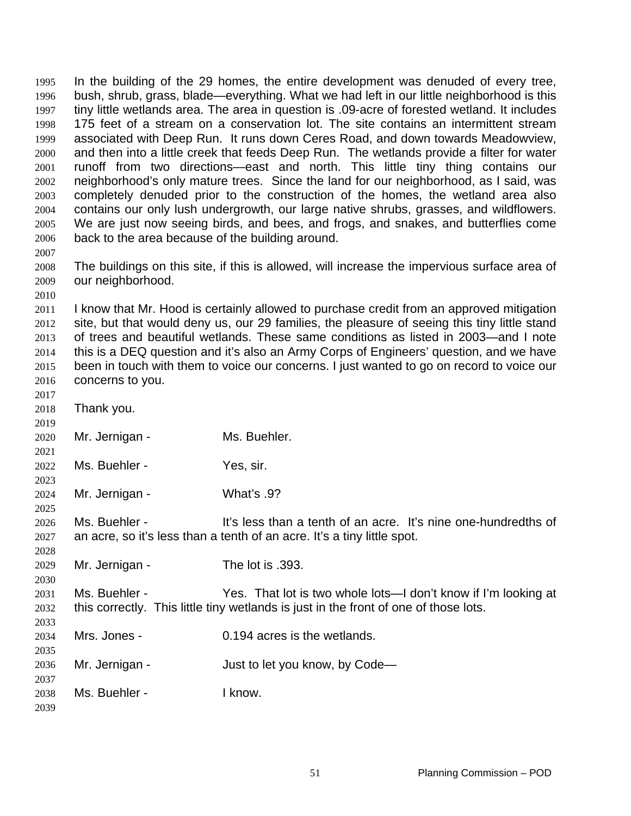In the building of the 29 homes, the entire development was denuded of every tree, bush, shrub, grass, blade—everything. What we had left in our little neighborhood is this tiny little wetlands area. The area in question is .09-acre of forested wetland. It includes 175 feet of a stream on a conservation lot. The site contains an intermittent stream associated with Deep Run. It runs down Ceres Road, and down towards Meadowview, and then into a little creek that feeds Deep Run. The wetlands provide a filter for water runoff from two directions—east and north. This little tiny thing contains our neighborhood's only mature trees. Since the land for our neighborhood, as I said, was completely denuded prior to the construction of the homes, the wetland area also contains our only lush undergrowth, our large native shrubs, grasses, and wildflowers. We are just now seeing birds, and bees, and frogs, and snakes, and butterflies come back to the area because of the building around. 1995 1996 1997 1998 1999 2000 2001 2002 2003 2004 2005 2006 2007 2008 The buildings on this site, if this is allowed, will increase the impervious surface area of

2010 2011 2012 2013 2014 2015 2016 I know that Mr. Hood is certainly allowed to purchase credit from an approved mitigation site, but that would deny us, our 29 families, the pleasure of seeing this tiny little stand of trees and beautiful wetlands. These same conditions as listed in 2003—and I note this is a DEQ question and it's also an Army Corps of Engineers' question, and we have been in touch with them to voice our concerns. I just wanted to go on record to voice our concerns to you.

2009

our neighborhood.

| 2017 |                |                                                                                      |
|------|----------------|--------------------------------------------------------------------------------------|
| 2018 | Thank you.     |                                                                                      |
| 2019 |                |                                                                                      |
| 2020 | Mr. Jernigan - | Ms. Buehler.                                                                         |
| 2021 |                |                                                                                      |
| 2022 | Ms. Buehler -  | Yes, sir.                                                                            |
| 2023 |                |                                                                                      |
| 2024 | Mr. Jernigan - | <b>What's .9?</b>                                                                    |
| 2025 |                |                                                                                      |
| 2026 | Ms. Buehler -  | It's less than a tenth of an acre. It's nine one-hundredths of                       |
| 2027 |                | an acre, so it's less than a tenth of an acre. It's a tiny little spot.              |
| 2028 |                |                                                                                      |
| 2029 | Mr. Jernigan - | The lot is .393.                                                                     |
| 2030 |                |                                                                                      |
| 2031 | Ms. Buehler -  | Yes. That lot is two whole lots—I don't know if I'm looking at                       |
| 2032 |                | this correctly. This little tiny wetlands is just in the front of one of those lots. |
| 2033 |                |                                                                                      |
| 2034 | Mrs. Jones -   | 0.194 acres is the wetlands.                                                         |
| 2035 |                |                                                                                      |
| 2036 | Mr. Jernigan - | Just to let you know, by Code-                                                       |
| 2037 |                |                                                                                      |
| 2038 | Ms. Buehler -  | I know.                                                                              |
| 2039 |                |                                                                                      |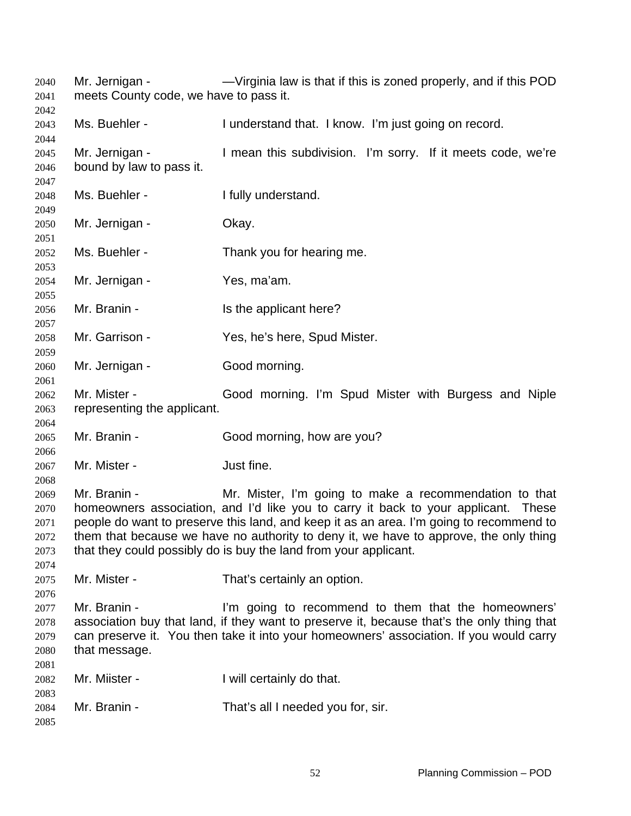Mr. Jernigan - — — — — Virginia law is that if this is zoned properly, and if this POD meets County code, we have to pass it. Ms. Buehler - I understand that. I know. I'm just going on record. Mr. Jernigan - I mean this subdivision. I'm sorry. If it meets code, we're bound by law to pass it. Ms. Buehler - The I fully understand. Mr. Jernigan - **Okay.** Ms. Buehler - Thank you for hearing me. Mr. Jernigan - Yes, ma'am. Mr. Branin - The applicant here? Mr. Garrison - Yes, he's here, Spud Mister. Mr. Jernigan - Good morning. Mr. Mister - Good morning. I'm Spud Mister with Burgess and Niple representing the applicant. Mr. Branin - Good morning, how are you? Mr. Mister - The Unit fine. Mr. Branin - Mr. Mister, I'm going to make a recommendation to that homeowners association, and I'd like you to carry it back to your applicant. These people do want to preserve this land, and keep it as an area. I'm going to recommend to them that because we have no authority to deny it, we have to approve, the only thing that they could possibly do is buy the land from your applicant. Mr. Mister - That's certainly an option. Mr. Branin - I'm going to recommend to them that the homeowners' association buy that land, if they want to preserve it, because that's the only thing that can preserve it. You then take it into your homeowners' association. If you would carry that message. Mr. Miister - The Mull certainly do that. Mr. Branin - That's all I needed you for, sir.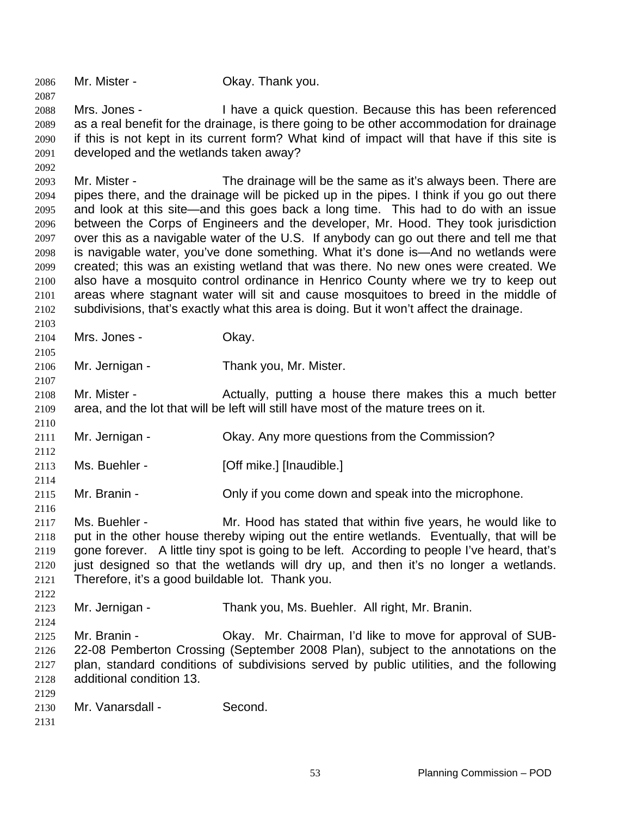2087 2088 2089 2090 2091 2092 2093 2094 2095 2096 2097 2098 2099 2100 2101 2102 2103 2104 2105 2106 2107 2108 2109 2110 2111 2112 2113 2114 2115 2116 2117 2118 2119 2120 2121 2122 2123 2124 2125 2126 2127 2128 2129 2130 2131 Mrs. Jones - I have a quick question. Because this has been referenced as a real benefit for the drainage, is there going to be other accommodation for drainage if this is not kept in its current form? What kind of impact will that have if this site is developed and the wetlands taken away? Mr. Mister - The drainage will be the same as it's always been. There are pipes there, and the drainage will be picked up in the pipes. I think if you go out there and look at this site—and this goes back a long time. This had to do with an issue between the Corps of Engineers and the developer, Mr. Hood. They took jurisdiction over this as a navigable water of the U.S. If anybody can go out there and tell me that is navigable water, you've done something. What it's done is—And no wetlands were created; this was an existing wetland that was there. No new ones were created. We also have a mosquito control ordinance in Henrico County where we try to keep out areas where stagnant water will sit and cause mosquitoes to breed in the middle of subdivisions, that's exactly what this area is doing. But it won't affect the drainage. Mrs. Jones - Ckay. Mr. Jernigan - Thank you, Mr. Mister. Mr. Mister - The Actually, putting a house there makes this a much better area, and the lot that will be left will still have most of the mature trees on it. Mr. Jernigan - Okay. Any more questions from the Commission? Ms. Buehler - [Off mike.] [Inaudible.] Mr. Branin - Chly if you come down and speak into the microphone. Ms. Buehler - Mr. Hood has stated that within five years, he would like to put in the other house thereby wiping out the entire wetlands. Eventually, that will be gone forever. A little tiny spot is going to be left. According to people I've heard, that's just designed so that the wetlands will dry up, and then it's no longer a wetlands. Therefore, it's a good buildable lot. Thank you. Mr. Jernigan - Thank you, Ms. Buehler. All right, Mr. Branin. Mr. Branin - Ckay. Mr. Chairman, I'd like to move for approval of SUB-22-08 Pemberton Crossing (September 2008 Plan), subject to the annotations on the plan, standard conditions of subdivisions served by public utilities, and the following additional condition 13. Mr. Vanarsdall - Second.

2086 Mr. Mister - Okay. Thank you.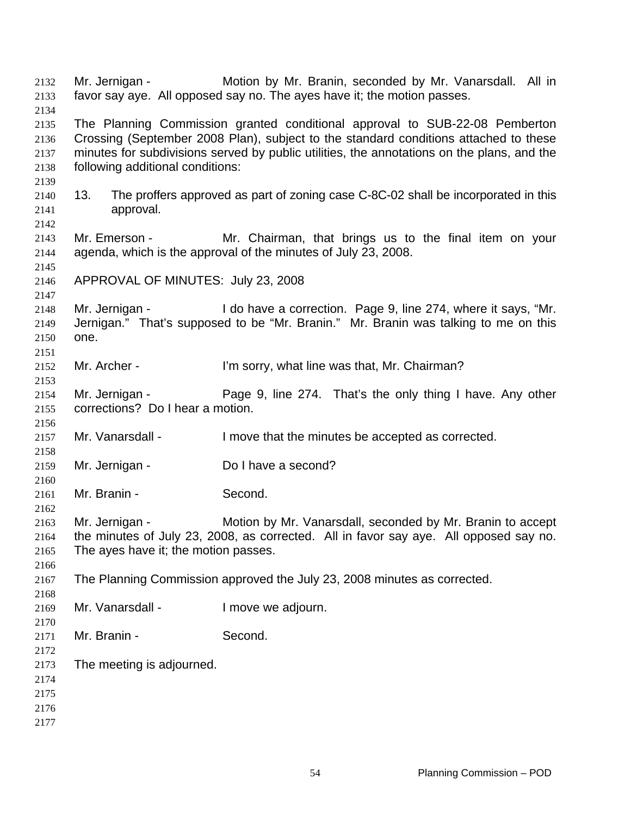Mr. Jernigan - Motion by Mr. Branin, seconded by Mr. Vanarsdall. All in favor say aye. All opposed say no. The ayes have it; the motion passes. The Planning Commission granted conditional approval to SUB-22-08 Pemberton Crossing (September 2008 Plan), subject to the standard conditions attached to these minutes for subdivisions served by public utilities, the annotations on the plans, and the following additional conditions: 13. The proffers approved as part of zoning case C-8C-02 shall be incorporated in this approval. Mr. Emerson - Mr. Chairman, that brings us to the final item on your agenda, which is the approval of the minutes of July 23, 2008. APPROVAL OF MINUTES: July 23, 2008 Mr. Jernigan - The State a correction. Page 9, line 274, where it says, "Mr. Jernigan." That's supposed to be "Mr. Branin." Mr. Branin was talking to me on this one. Mr. Archer - I'm sorry, what line was that, Mr. Chairman? Mr. Jernigan - Page 9, line 274. That's the only thing I have. Any other corrections? Do I hear a motion. Mr. Vanarsdall - I move that the minutes be accepted as corrected. Mr. Jernigan - Do I have a second? Mr. Branin - Second. Mr. Jernigan - Motion by Mr. Vanarsdall, seconded by Mr. Branin to accept the minutes of July 23, 2008, as corrected. All in favor say aye. All opposed say no. The ayes have it; the motion passes. The Planning Commission approved the July 23, 2008 minutes as corrected. Mr. Vanarsdall - I move we adjourn. Mr. Branin - Second. The meeting is adjourned.